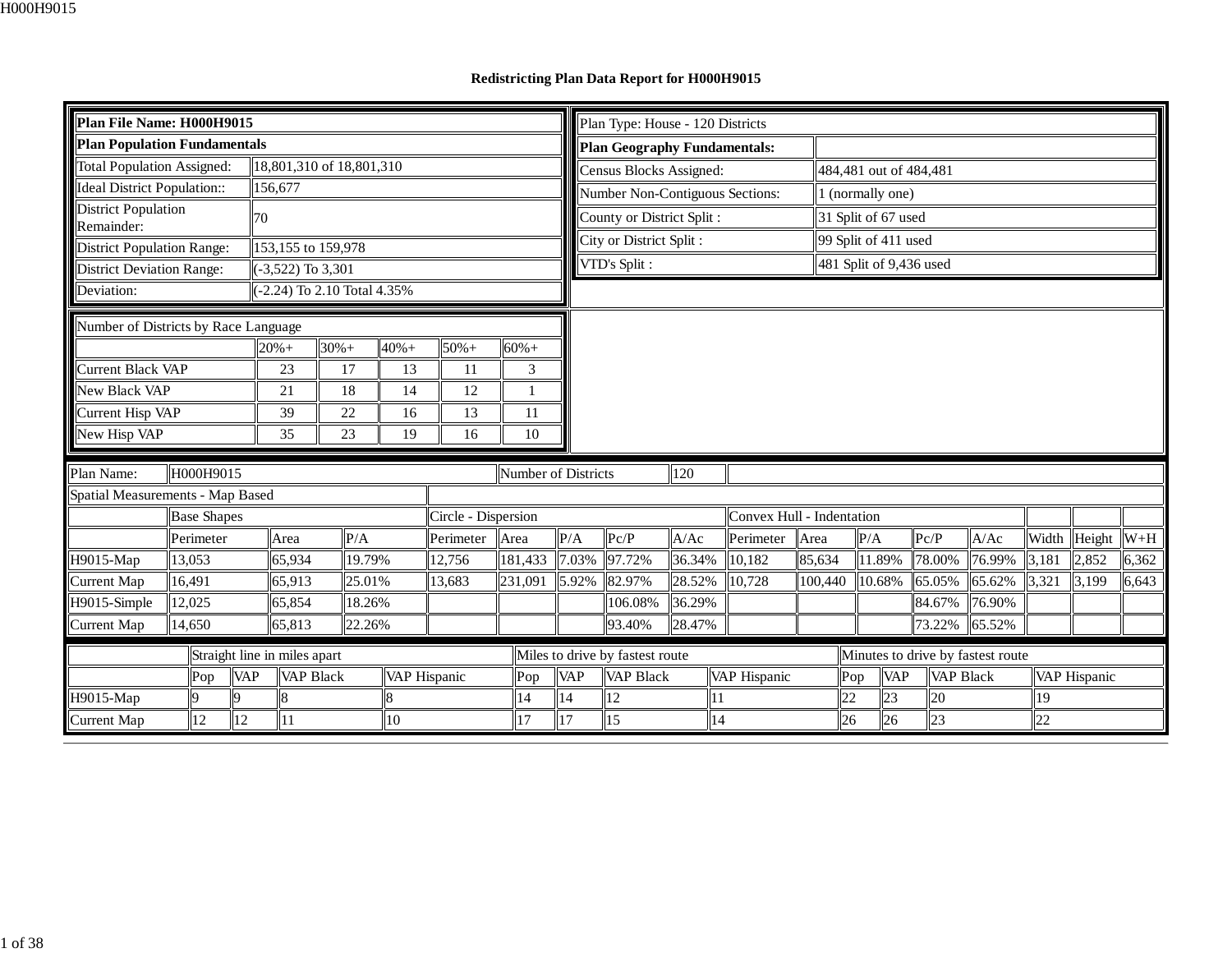## **Redistricting Plan Data Report for H000H9015**

| Plan File Name: H000H9015                        |                                                              |  |    |                             |         |        |         |                     |         |         |                     | Plan Type: House - 120 Districts                    |        |    |                           |         |        |                      |                         |                                   |       |                              |       |
|--------------------------------------------------|--------------------------------------------------------------|--|----|-----------------------------|---------|--------|---------|---------------------|---------|---------|---------------------|-----------------------------------------------------|--------|----|---------------------------|---------|--------|----------------------|-------------------------|-----------------------------------|-------|------------------------------|-------|
| <b>Plan Population Fundamentals</b>              |                                                              |  |    |                             |         |        |         |                     |         |         |                     | <b>Plan Geography Fundamentals:</b>                 |        |    |                           |         |        |                      |                         |                                   |       |                              |       |
| <b>Total Population Assigned:</b>                |                                                              |  |    | 18,801,310 of 18,801,310    |         |        |         |                     |         |         |                     | Census Blocks Assigned:                             |        |    |                           |         |        |                      | 484,481 out of 484,481  |                                   |       |                              |       |
| <b>Ideal District Population::</b>               |                                                              |  |    | 156,677                     |         |        |         |                     |         |         |                     | Number Non-Contiguous Sections:                     |        |    |                           |         |        | 1 (normally one)     |                         |                                   |       |                              |       |
| District Population                              |                                                              |  | 70 |                             |         |        |         |                     |         |         |                     | County or District Split :                          |        |    |                           |         |        | 31 Split of 67 used  |                         |                                   |       |                              |       |
| Remainder:<br><b>District Population Range:</b>  |                                                              |  |    | 153,155 to 159,978          |         |        |         |                     |         |         |                     | City or District Split :                            |        |    |                           |         |        | 99 Split of 411 used |                         |                                   |       |                              |       |
| <b>District Deviation Range:</b>                 |                                                              |  |    | $(-3,522)$ To 3,301         |         |        |         |                     |         |         |                     | VTD's Split :                                       |        |    |                           |         |        |                      | 481 Split of 9,436 used |                                   |       |                              |       |
| Deviation:                                       |                                                              |  |    | (-2.24) To 2.10 Total 4.35% |         |        |         |                     |         |         |                     |                                                     |        |    |                           |         |        |                      |                         |                                   |       |                              |       |
|                                                  |                                                              |  |    |                             |         |        |         |                     |         |         |                     |                                                     |        |    |                           |         |        |                      |                         |                                   |       |                              |       |
| Number of Districts by Race Language             |                                                              |  |    |                             |         |        |         |                     |         |         |                     |                                                     |        |    |                           |         |        |                      |                         |                                   |       |                              |       |
|                                                  |                                                              |  |    | $20% +$                     | $30% +$ |        | $40% +$ | $50% +$             | $60% +$ |         |                     |                                                     |        |    |                           |         |        |                      |                         |                                   |       |                              |       |
| Current Black VAP                                | 23<br>17<br>13<br>11                                         |  |    |                             |         |        |         |                     |         | 3       |                     |                                                     |        |    |                           |         |        |                      |                         |                                   |       |                              |       |
| <b>New Black VAP</b>                             |                                                              |  |    | 21                          | 18      |        | 14      | 12                  |         |         |                     |                                                     |        |    |                           |         |        |                      |                         |                                   |       |                              |       |
| Current Hisp VAP                                 |                                                              |  |    | 39                          | 22      |        | 16      | 13                  |         | 11      |                     |                                                     |        |    |                           |         |        |                      |                         |                                   |       |                              |       |
| New Hisp VAP                                     |                                                              |  |    | 35                          | 23      |        | 19      | 16                  |         | 10      |                     |                                                     |        |    |                           |         |        |                      |                         |                                   |       |                              |       |
| Plan Name:                                       | H000H9015                                                    |  |    |                             |         |        |         |                     |         |         |                     |                                                     | 120    |    |                           |         |        |                      |                         |                                   |       |                              |       |
| Spatial Measurements - Map Based                 |                                                              |  |    |                             |         |        |         |                     |         |         | Number of Districts |                                                     |        |    |                           |         |        |                      |                         |                                   |       |                              |       |
|                                                  | <b>Base Shapes</b>                                           |  |    |                             |         |        |         | Circle - Dispersion |         |         |                     |                                                     |        |    | Convex Hull - Indentation |         |        |                      |                         |                                   |       |                              |       |
|                                                  | Perimeter                                                    |  |    | Area                        |         | P/A    |         | Perimeter           | Area    |         | P/A                 | Pc/P                                                | A/Ac   |    | Perimeter                 | Area    | P/A    |                      | Pc/P                    | A/Ac                              | Width | $\text{Height}$ $\text{W+H}$ |       |
| H9015-Map                                        | 13,053                                                       |  |    | 65,934                      |         | 19.79% |         | 12,756              |         | 181,433 | 7.03%               | 97.72%                                              | 36.34% |    | 10,182                    | 85,634  |        | 11.89%               | 78.00%                  | 76.99%                            | 3,181 | 2,852                        | 6,362 |
| Current Map                                      | 16,491                                                       |  |    | 65,913                      |         |        |         | 13,683              | 231,091 |         | 5.92%               | 82.97%                                              | 28.52% |    | 10,728                    | 100,440 |        | 10.68%               | 65.05%                  | 65.62%                            | 3,321 | 3,199                        | 6,643 |
| H9015-Simple                                     | 25.01%<br>18.26%<br>12,025<br>65,854                         |  |    |                             |         |        |         |                     |         |         | 106.08%             | 36.29%                                              |        |    |                           |         |        | 84.67%               | 76.90%                  |                                   |       |                              |       |
| <b>Current Map</b><br>65,813<br>22.26%<br>14,650 |                                                              |  |    |                             |         |        |         |                     | 93.40%  | 28.47%  |                     |                                                     |        |    |                           | 73.22%  | 65.52% |                      |                         |                                   |       |                              |       |
|                                                  | Straight line in miles apart                                 |  |    |                             |         |        |         |                     |         |         |                     |                                                     |        |    |                           |         |        |                      |                         |                                   |       |                              |       |
|                                                  | <b>VAP</b><br><b>VAP Black</b><br>Pop<br>VAP Hispanic<br>Pop |  |    |                             |         |        |         |                     |         |         | <b>VAP</b>          | Miles to drive by fastest route<br><b>VAP Black</b> |        |    | VAP Hispanic              |         | Pop    | <b>VAP</b>           | <b>VAP Black</b>        | Minutes to drive by fastest route |       | VAP Hispanic                 |       |
| H9015-Map                                        | $\Omega$<br>8<br>14<br><b>Q</b>                              |  |    |                             |         |        |         |                     |         | 14      | 12                  |                                                     | 11     |    |                           | 22      | 23     | 20                   |                         | 19                                |       |                              |       |
| <b>Current Map</b>                               | 12                                                           |  | 12 | 11                          |         |        | 10      |                     |         | 17      | $\vert$ 17          | 15                                                  |        | 14 |                           |         | 26     | 26                   | 23                      |                                   | 22    |                              |       |
|                                                  |                                                              |  |    |                             |         |        |         |                     |         |         |                     |                                                     |        |    |                           |         |        |                      |                         |                                   |       |                              |       |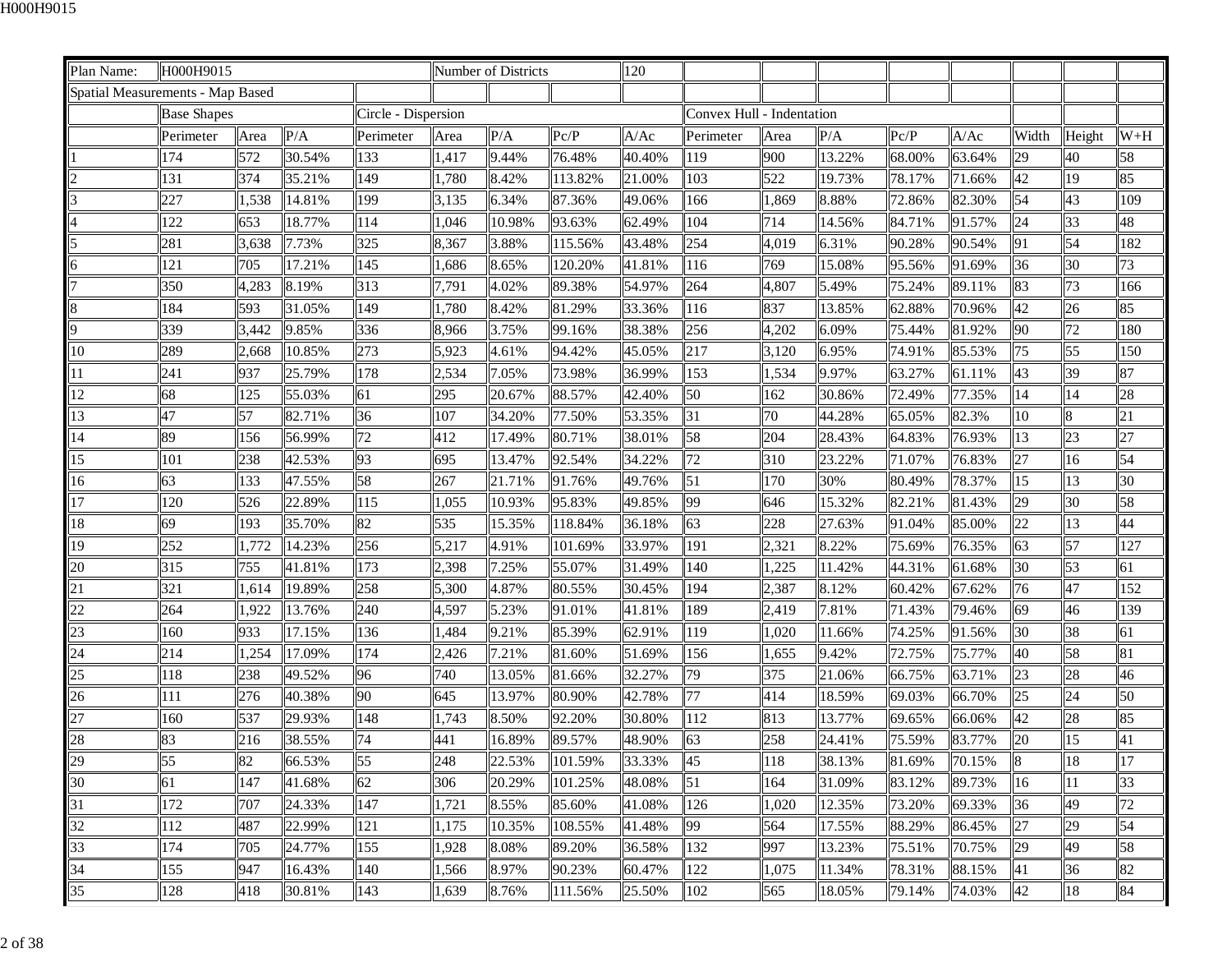| Plan Name:                       | H000H9015          |       |        |                     |       | Number of Districts |         | 120    |                           |       |        |        |        |                 |        |       |
|----------------------------------|--------------------|-------|--------|---------------------|-------|---------------------|---------|--------|---------------------------|-------|--------|--------|--------|-----------------|--------|-------|
| Spatial Measurements - Map Based |                    |       |        |                     |       |                     |         |        |                           |       |        |        |        |                 |        |       |
|                                  | <b>Base Shapes</b> |       |        | Circle - Dispersion |       |                     |         |        | Convex Hull - Indentation |       |        |        |        |                 |        |       |
|                                  | Perimeter          | Area  | P/A    | Perimeter           | Area  | P/A                 | Pc/P    | A/Ac   | Perimeter                 | Area  | P/A    | Pc/P   | A/Ac   | Width           | Height | $W+H$ |
|                                  | 174                | 572   | 30.54% | 133                 | 1,417 | 9.44%               | 76.48%  | 40.40% | 119                       | 900   | 13.22% | 68.00% | 63.64% | 29              | 40     | 58    |
|                                  | 131                | 374   | 35.21% | 149                 | 1,780 | 8.42%               | 113.82% | 21.00% | 103                       | 522   | 19.73% | 78.17% | 71.66% | 42              | 19     | 85    |
|                                  | 227                | 1,538 | 14.81% | 199                 | 3,135 | 6.34%               | 87.36%  | 49.06% | 166                       | 1,869 | 8.88%  | 72.86% | 82.30% | 54              | 43     | 109   |
|                                  | 122                | 653   | 18.77% | 114                 | 1,046 | 10.98%              | 93.63%  | 62.49% | 104                       | 714   | 14.56% | 84.71% | 91.57% | 24              | 33     | 48    |
|                                  | 281                | 3,638 | 7.73%  | 325                 | 8,367 | 3.88%               | 115.56% | 43.48% | 254                       | 4,019 | 6.31%  | 90.28% | 90.54% | 91              | 54     | 182   |
|                                  | 121                | 705   | 17.21% | 145                 | 1,686 | 8.65%               | 120.20% | 41.81% | 116                       | 769   | 15.08% | 95.56% | 91.69% | 36              | 30     | 73    |
|                                  | 350                | 4,283 | 8.19%  | 313                 | 7,791 | 4.02%               | 89.38%  | 54.97% | 264                       | 4,807 | 5.49%  | 75.24% | 89.11% | 83              | 73     | 166   |
|                                  | 184                | 593   | 31.05% | 149                 | 1,780 | 8.42%               | 81.29%  | 33.36% | 116                       | 837   | 13.85% | 62.88% | 70.96% | 42              | 26     | 85    |
| 9                                | 339                | 3,442 | 9.85%  | 336                 | 8,966 | 3.75%               | 99.16%  | 38.38% | 256                       | 4,202 | 6.09%  | 75.44% | 81.92% | 90              | 72     | 180   |
| 10                               | 289                | 2,668 | 10.85% | 273                 | 5,923 | 4.61%               | 94.42%  | 45.05% | 217                       | 3,120 | 6.95%  | 74.91% | 85.53% | 75              | 55     | 150   |
| 11                               | 241                | 937   | 25.79% | 178                 | 2,534 | 7.05%               | 73.98%  | 36.99% | 153                       | 1,534 | 9.97%  | 63.27% | 61.11% | 43              | 39     | 87    |
| 12                               | 68                 | 125   | 55.03% | 61                  | 295   | 20.67%              | 88.57%  | 42.40% | 50                        | 162   | 30.86% | 72.49% | 77.35% | 14              | 14     | 28    |
| 13                               | 47                 | 57    | 82.71% | 36                  | 107   | 34.20%              | 77.50%  | 53.35% | 31                        | 70    | 44.28% | 65.05% | 82.3%  | 10              | 8      | 21    |
| 14                               | 89                 | 156   | 56.99% | 72                  | 412   | 17.49%              | 80.71%  | 38.01% | 58                        | 204   | 28.43% | 64.83% | 76.93% | 13              | 23     | 27    |
| 15                               | 101                | 238   | 42.53% | 93                  | 695   | 13.47%              | 92.54%  | 34.22% | 72                        | 310   | 23.22% | 71.07% | 76.83% | 27              | 16     | 54    |
| 16                               | 63                 | 133   | 47.55% | 58                  | 267   | 21.71%              | 91.76%  | 49.76% | 51                        | 170   | 30%    | 80.49% | 78.37% | 15              | 13     | 30    |
| 17                               | 120                | 526   | 22.89% | 115                 | 1,055 | 10.93%              | 95.83%  | 49.85% | 99                        | 646   | 15.32% | 82.21% | 81.43% | 29              | 30     | 58    |
| 18                               | 69                 | 193   | 35.70% | 82                  | 535   | 15.35%              | 118.84% | 36.18% | 63                        | 228   | 27.63% | 91.04% | 85.00% | 22              | 13     | 44    |
| 19                               | 252                | 1,772 | 14.23% | 256                 | 5,217 | 4.91%               | 101.69% | 33.97% | 191                       | 2,321 | 8.22%  | 75.69% | 76.35% | 63              | 57     | 127   |
| 20                               | 315                | 755   | 41.81% | 173                 | 2,398 | 7.25%               | 55.07%  | 31.49% | 140                       | 1,225 | 11.42% | 44.31% | 61.68% | 30              | 53     | 61    |
| 21                               | 321                | 1,614 | 19.89% | 258                 | 5,300 | 4.87%               | 80.55%  | 30.45% | 194                       | 2,387 | 8.12%  | 60.42% | 67.62% | $\overline{76}$ | 47     | 152   |
| 22                               | 264                | 1,922 | 13.76% | 240                 | 4,597 | 5.23%               | 91.01%  | 41.81% | 189                       | 2,419 | 7.81%  | 71.43% | 79.46% | 69              | 46     | 139   |
| 23                               | 160                | 933   | 17.15% | 136                 | 1,484 | 9.21%               | 85.39%  | 62.91% | 119                       | 1,020 | 11.66% | 74.25% | 91.56% | 30              | 38     | 61    |
| 24                               | 214                | 1,254 | 17.09% | 174                 | 2,426 | 7.21%               | 81.60%  | 51.69% | 156                       | 1,655 | 9.42%  | 72.75% | 75.77% | 40              | 58     | 81    |
| 25                               | 118                | 238   | 49.52% | 96                  | 740   | 13.05%              | 81.66%  | 32.27% | 79                        | 375   | 21.06% | 66.75% | 63.71% | $\overline{23}$ | 28     | 46    |
| 26                               | 111                | 276   | 40.38% | 90                  | 645   | 13.97%              | 80.90%  | 42.78% | 77                        | 414   | 18.59% | 69.03% | 66.70% | 25              | 24     | 50    |
| 27                               | 160                | 537   | 29.93% | 148                 | 1,743 | 8.50%               | 92.20%  | 30.80% | 112                       | 813   | 13.77% | 69.65% | 66.06% | 42              | 28     | 85    |
| 28                               | 83                 | 216   | 38.55% | 74                  | 441   | 16.89%              | 89.57%  | 48.90% | 63                        | 258   | 24.41% | 75.59% | 83.77% | 20              | 15     | 41    |
| 29                               | 55                 | 82    | 66.53% | 55                  | 248   | 22.53%              | 101.59% | 33.33% | 45                        | 118   | 38.13% | 81.69% | 70.15% | 8               | 18     | 17    |
| 30                               | 61                 | 147   | 41.68% | 62                  | 306   | 20.29%              | 101.25% | 48.08% | 51                        | 164   | 31.09% | 83.12% | 89.73% | 16              | 11     | 33    |
| 31                               | 172                | 707   | 24.33% | 147                 | 1,721 | 8.55%               | 85.60%  | 41.08% | 126                       | 1,020 | 12.35% | 73.20% | 69.33% | 36              | 49     | 72    |
| 32                               | 112                | 487   | 22.99% | 121                 | 1,175 | 10.35%              | 108.55% | 41.48% | 99                        | 564   | 17.55% | 88.29% | 86.45% | 27              | 29     | 54    |
| 33                               | 174                | 705   | 24.77% | 155                 | 1,928 | 8.08%               | 89.20%  | 36.58% | 132                       | 997   | 13.23% | 75.51% | 70.75% | 29              | 49     | 58    |
| 34                               | 155                | 947   | 16.43% | 140                 | 1,566 | 8.97%               | 90.23%  | 60.47% | 122                       | 1,075 | 11.34% | 78.31% | 88.15% | 41              | 36     | 82    |
| 35                               | 128                | 418   | 30.81% | 143                 | 1,639 | 8.76%               | 111.56% | 25.50% | 102                       | 565   | 18.05% | 79.14% | 74.03% | 42              | 18     | 84    |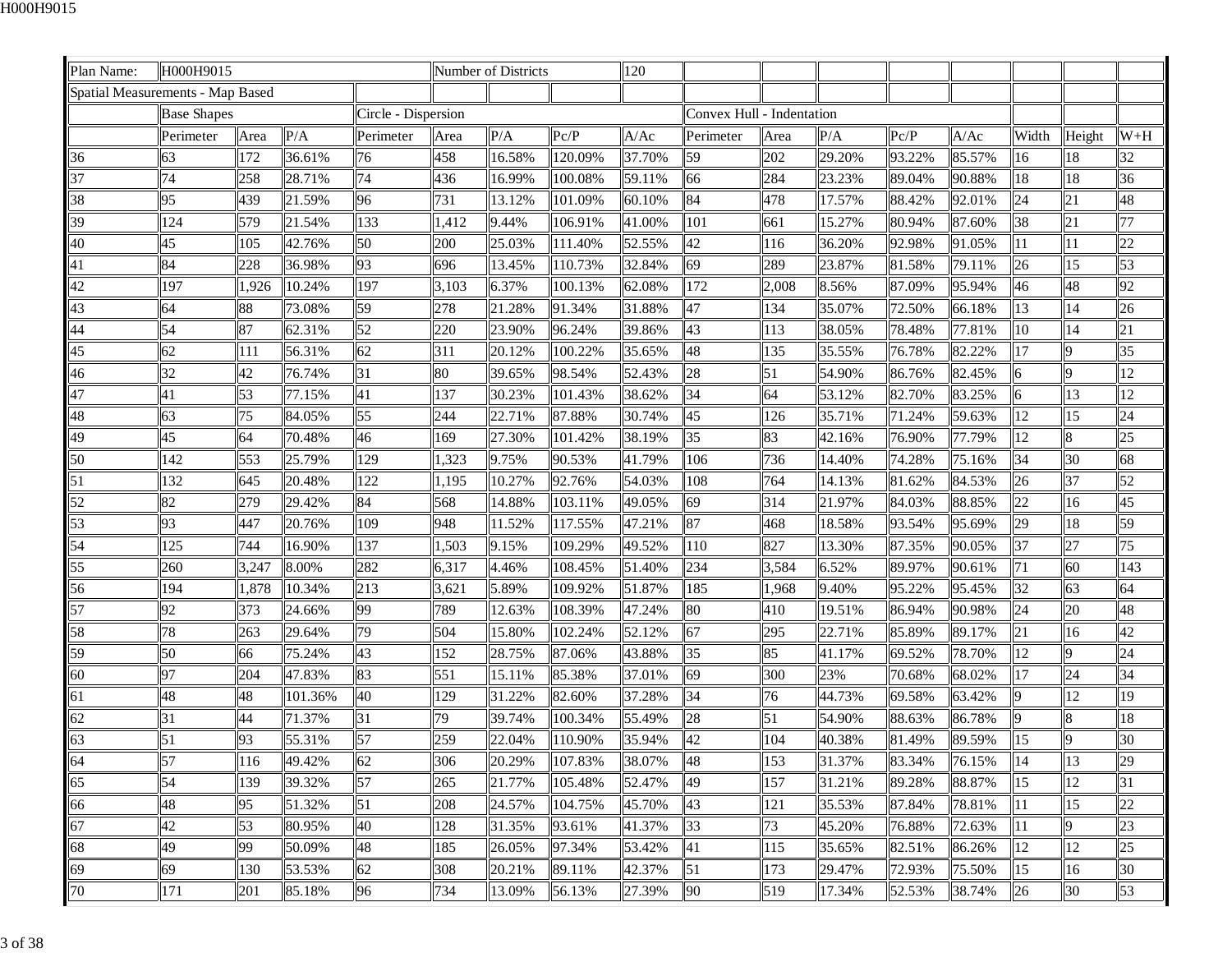| Plan Name:                       | H000H9015          |       |         |                     |       | Number of Districts |         | 120    |                           |       |        |        |        |       |        |       |
|----------------------------------|--------------------|-------|---------|---------------------|-------|---------------------|---------|--------|---------------------------|-------|--------|--------|--------|-------|--------|-------|
| Spatial Measurements - Map Based |                    |       |         |                     |       |                     |         |        |                           |       |        |        |        |       |        |       |
|                                  | <b>Base Shapes</b> |       |         | Circle - Dispersion |       |                     |         |        | Convex Hull - Indentation |       |        |        |        |       |        |       |
|                                  | Perimeter          | Area  | P/A     | Perimeter           | Area  | P/A                 | Pc/P    | A/Ac   | Perimeter                 | Area  | P/A    | Pc/P   | A/Ac   | Width | Height | $W+H$ |
| 36                               | 63                 | 172   | 36.61%  | 76                  | 458   | 16.58%              | 120.09% | 37.70% | 59                        | 202   | 29.20% | 93.22% | 85.57% | 16    | 18     | 32    |
| 37                               | 74                 | 258   | 28.71%  | 74                  | 436   | 16.99%              | 100.08% | 59.11% | 66                        | 284   | 23.23% | 89.04% | 90.88% | 18    | 18     | 36    |
| 38                               | 95                 | 439   | 21.59%  | 96                  | 731   | 13.12%              | 101.09% | 60.10% | 84                        | 478   | 17.57% | 88.42% | 92.01% | 24    | 21     | 48    |
| 39                               | 124                | 579   | 21.54%  | 133                 | 1,412 | 9.44%               | 106.91% | 41.00% | 101                       | 661   | 15.27% | 80.94% | 87.60% | 38    | 21     | 77    |
| 40                               | 45                 | 105   | 42.76%  | 50                  | 200   | 25.03%              | 111.40% | 52.55% | 42                        | 116   | 36.20% | 92.98% | 91.05% | 11    | 11     | 22    |
| 41                               | 84                 | 228   | 36.98%  | 93                  | 696   | 13.45%              | 110.73% | 32.84% | 69                        | 289   | 23.87% | 81.58% | 79.11% | 26    | 15     | 53    |
| 42                               | 197                | 1,926 | 10.24%  | 197                 | 3,103 | 6.37%               | 100.13% | 62.08% | 172                       | 2,008 | 8.56%  | 87.09% | 95.94% | 46    | 48     | 92    |
| 43                               | 64                 | 88    | 73.08%  | 59                  | 278   | 21.28%              | 91.34%  | 31.88% | 47                        | 134   | 35.07% | 72.50% | 66.18% | 13    | 14     | 26    |
| 44                               | 54                 | 87    | 62.31%  | 52                  | 220   | 23.90%              | 96.24%  | 39.86% | 43                        | 113   | 38.05% | 78.48% | 77.81% | 10    | 14     | 21    |
| 45                               | 62                 | 111   | 56.31%  | 62                  | 311   | 20.12%              | 100.22% | 35.65% | 48                        | 135   | 35.55% | 76.78% | 82.22% | 17    |        | 35    |
| 46                               | 32                 | 42    | 76.74%  | 31                  | 80    | 39.65%              | 98.54%  | 52.43% | 28                        | 51    | 54.90% | 86.76% | 82.45% | 6     | 9      | 12    |
| 47                               | 41                 | 53    | 77.15%  | 41                  | 137   | 30.23%              | 101.43% | 38.62% | 34                        | 64    | 53.12% | 82.70% | 83.25% | 6     | 13     | 12    |
| 48                               | 63                 | 75    | 84.05%  | 55                  | 244   | 22.71%              | 87.88%  | 30.74% | 45                        | 126   | 35.71% | 71.24% | 59.63% | 12    | 15     | 24    |
| 49                               | 45                 | 64    | 70.48%  | 46                  | 169   | 27.30%              | 101.42% | 38.19% | 35                        | 83    | 42.16% | 76.90% | 77.79% | 12    | 8      | 25    |
| 50                               | 142                | 553   | 25.79%  | 129                 | 1,323 | 9.75%               | 90.53%  | 41.79% | 106                       | 736   | 14.40% | 74.28% | 75.16% | 34    | 30     | 68    |
| 51                               | 132                | 645   | 20.48%  | 122                 | 1,195 | 10.27%              | 92.76%  | 54.03% | 108                       | 764   | 14.13% | 81.62% | 84.53% | 26    | 37     | 52    |
| 52                               | 82                 | 279   | 29.42%  | 84                  | 568   | 14.88%              | 103.11% | 49.05% | 69                        | 314   | 21.97% | 84.03% | 88.85% | 22    | 16     | 45    |
| 53                               | 93                 | 447   | 20.76%  | 109                 | 948   | 11.52%              | 117.55% | 47.21% | 87                        | 468   | 18.58% | 93.54% | 95.69% | 29    | 18     | 59    |
| 54                               | 125                | 744   | 16.90%  | 137                 | 1,503 | 9.15%               | 109.29% | 49.52% | 110                       | 827   | 13.30% | 87.35% | 90.05% | 37    | 27     | 75    |
| 55                               | 260                | 3,247 | 8.00%   | 282                 | 6,317 | 4.46%               | 108.45% | 51.40% | 234                       | 3,584 | 6.52%  | 89.97% | 90.61% | 71    | 60     | 143   |
| 56                               | 194                | 1,878 | 10.34%  | 213                 | 3,621 | 5.89%               | 109.92% | 51.87% | 185                       | 1,968 | 9.40%  | 95.22% | 95.45% | 32    | 63     | 64    |
| 57                               | 92                 | 373   | 24.66%  | 99                  | 789   | 12.63%              | 108.39% | 47.24% | 80                        | 410   | 19.51% | 86.94% | 90.98% | 24    | 20     | 48    |
| 58                               | 78                 | 263   | 29.64%  | 79                  | 504   | 15.80%              | 102.24% | 52.12% | 67                        | 295   | 22.71% | 85.89% | 89.17% | 21    | 16     | 42    |
| 59                               | 50                 | 66    | 75.24%  | 43                  | 152   | 28.75%              | 87.06%  | 43.88% | 35                        | 85    | 41.17% | 69.52% | 78.70% | 12    | Q      | 24    |
| 60                               | 97                 | 204   | 47.83%  | 83                  | 551   | 15.11%              | 85.38%  | 37.01% | 69                        | 300   | 23%    | 70.68% | 68.02% | 17    | 24     | 34    |
| 61                               | 48                 | 48    | 101.36% | 40                  | 129   | 31.22%              | 82.60%  | 37.28% | 34                        | 76    | 44.73% | 69.58% | 63.42% | 9     | 12     | 19    |
| 62                               | 31                 | 44    | 71.37%  | 31                  | 79    | 39.74%              | 100.34% | 55.49% | 28                        | 51    | 54.90% | 88.63% | 86.78% | 9     | 8      | 18    |
| 63                               | 51                 | 93    | 55.31%  | 57                  | 259   | 22.04%              | 110.90% | 35.94% | 42                        | 104   | 40.38% | 81.49% | 89.59% | 15    |        | 30    |
| 64                               | $\vert$ 57         | 116   | 49.42%  | 62                  | 306   | 20.29%              | 107.83% | 38.07% | 48                        | 153   | 31.37% | 83.34% | 76.15% | 14    | 13     | 29    |
| 65                               | 54                 | 139   | 39.32%  | 57                  | 265   | 21.77%              | 105.48% | 52.47% | 49                        | 157   | 31.21% | 89.28% | 88.87% | 15    | 12     | 31    |
| 66                               | 48                 | 95    | 51.32%  | 51                  | 208   | 24.57%              | 104.75% | 45.70% | 43                        | 121   | 35.53% | 87.84% | 78.81% | 11    | 15     | 22    |
| 67                               | 42                 | 53    | 80.95%  | 40                  | 128   | 31.35%              | 93.61%  | 41.37% | 33                        | 73    | 45.20% | 76.88% | 72.63% | 11    |        | 23    |
| 68                               | 49                 | 99    | 50.09%  | 48                  | 185   | 26.05%              | 97.34%  | 53.42% | 41                        | 115   | 35.65% | 82.51% | 86.26% | 12    | 12     | 25    |
| 69                               | 69                 | 130   | 53.53%  | 62                  | 308   | 20.21%              | 89.11%  | 42.37% | 51                        | 173   | 29.47% | 72.93% | 75.50% | 15    | 16     | 30    |
| 70                               | 171                | 201   | 85.18%  | 96                  | 734   | 13.09%              | 56.13%  | 27.39% | 90                        | 519   | 17.34% | 52.53% | 38.74% | 26    | 30     | 53    |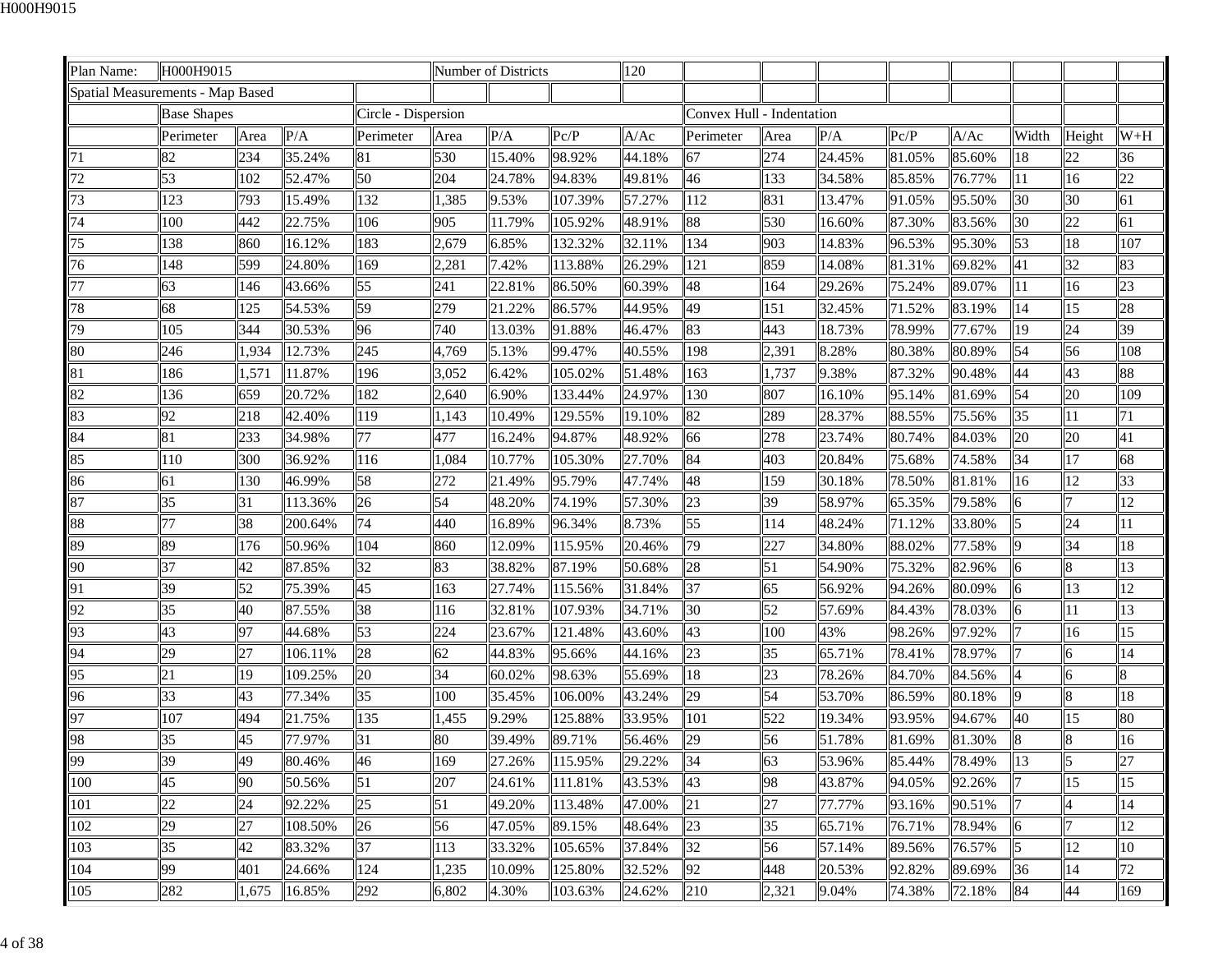| Plan Name:                       | H000H9015          |       |         |                     |       | Number of Districts |         | 120    |                           |                 |        |        |        |                |                 |       |
|----------------------------------|--------------------|-------|---------|---------------------|-------|---------------------|---------|--------|---------------------------|-----------------|--------|--------|--------|----------------|-----------------|-------|
| Spatial Measurements - Map Based |                    |       |         |                     |       |                     |         |        |                           |                 |        |        |        |                |                 |       |
|                                  | <b>Base Shapes</b> |       |         | Circle - Dispersion |       |                     |         |        | Convex Hull - Indentation |                 |        |        |        |                |                 |       |
|                                  | Perimeter          | Area  | P/A     | Perimeter           | Area  | P/A                 | Pc/P    | A/Ac   | Perimeter                 | Area            | P/A    | Pc/P   | A/Ac   | Width          | Height          | $W+H$ |
| 71                               | 82                 | 234   | 35.24%  | 81                  | 530   | 15.40%              | 98.92%  | 44.18% | 67                        | 274             | 24.45% | 81.05% | 85.60% | 18             | 22              | 36    |
| 72                               | 53                 | 102   | 52.47%  | 50                  | 204   | 24.78%              | 94.83%  | 49.81% | 46                        | 133             | 34.58% | 85.85% | 76.77% | 11             | 16              | 22    |
| 73                               | 123                | 793   | 15.49%  | 132                 | 1,385 | 9.53%               | 107.39% | 57.27% | 112                       | 831             | 13.47% | 91.05% | 95.50% | 30             | 30              | 61    |
| 74                               | 100                | 442   | 22.75%  | 106                 | 905   | 11.79%              | 105.92% | 48.91% | 88                        | 530             | 16.60% | 87.30% | 83.56% | 30             | 22              | 61    |
| 75                               | 138                | 860   | 16.12%  | 183                 | 2,679 | 6.85%               | 132.32% | 32.11% | 134                       | 903             | 14.83% | 96.53% | 95.30% | 53             | 18              | 107   |
| 76                               | 148                | 599   | 24.80%  | 169                 | 2,281 | 7.42%               | 113.88% | 26.29% | 121                       | 859             | 14.08% | 81.31% | 69.82% | 41             | 32              | 83    |
| 77                               | 63                 | 146   | 43.66%  | 55                  | 241   | 22.81%              | 86.50%  | 60.39% | 48                        | 164             | 29.26% | 75.24% | 89.07% | 11             | 16              | 23    |
| 78                               | 68                 | 125   | 54.53%  | 59                  | 279   | 21.22%              | 86.57%  | 44.95% | 49                        | 151             | 32.45% | 71.52% | 83.19% | 14             | 15              | 28    |
| 79                               | 105                | 344   | 30.53%  | 96                  | 740   | 13.03%              | 91.88%  | 46.47% | 83                        | 443             | 18.73% | 78.99% | 77.67% | 19             | 24              | 39    |
| 80                               | 246                | 1,934 | 12.73%  | 245                 | 4,769 | 5.13%               | 99.47%  | 40.55% | 198                       | 2,391           | 8.28%  | 80.38% | 80.89% | 54             | 56              | 108   |
| 81                               | 186                | 1,571 | 11.87%  | 196                 | 3,052 | 6.42%               | 105.02% | 51.48% | 163                       | 1,737           | 9.38%  | 87.32% | 90.48% | 44             | 43              | 88    |
| 82                               | 136                | 659   | 20.72%  | 182                 | 2,640 | 6.90%               | 133.44% | 24.97% | 130                       | 807             | 16.10% | 95.14% | 81.69% | 54             | 20              | 109   |
| 83                               | 92                 | 218   | 42.40%  | 119                 | 1,143 | 10.49%              | 129.55% | 19.10% | 82                        | 289             | 28.37% | 88.55% | 75.56% | 35             | 11              | 71    |
| 84                               | 81                 | 233   | 34.98%  | 77                  | 477   | 16.24%              | 94.87%  | 48.92% | 66                        | 278             | 23.74% | 80.74% | 84.03% | 20             | 20              | 41    |
| 85                               | 110                | 300   | 36.92%  | 116                 | 1,084 | 10.77%              | 105.30% | 27.70% | 84                        | 403             | 20.84% | 75.68% | 74.58% | 34             | 17              | 68    |
| 86                               | 61                 | 130   | 46.99%  | 58                  | 272   | 21.49%              | 95.79%  | 47.74% | 48                        | 159             | 30.18% | 78.50% | 81.81% | 16             | $\overline{12}$ | 33    |
| 87                               | 35                 | 31    | 113.36% | 26                  | 54    | 48.20%              | 74.19%  | 57.30% | 23                        | 39              | 58.97% | 65.35% | 79.58% | 6              |                 | 12    |
| 88                               | 77                 | 38    | 200.64% | 74                  | 440   | 16.89%              | 96.34%  | 8.73%  | 55                        | 114             | 48.24% | 71.12% | 33.80% | $\overline{5}$ | 24              | 11    |
| 89                               | 89                 | 176   | 50.96%  | 104                 | 860   | 12.09%              | 115.95% | 20.46% | 79                        | 227             | 34.80% | 88.02% | 77.58% | 9              | 34              | 18    |
| 90                               | 37                 | 42    | 87.85%  | 32                  | 83    | 38.82%              | 87.19%  | 50.68% | 28                        | 51              | 54.90% | 75.32% | 82.96% | 6              | 8               | 13    |
| 91                               | 39                 | 52    | 75.39%  | 45                  | 163   | 27.74%              | 115.56% | 31.84% | 37                        | 65              | 56.92% | 94.26% | 80.09% | 6              | 13              | 12    |
| 92                               | 35                 | 40    | 87.55%  | 38                  | 116   | 32.81%              | 107.93% | 34.71% | 30                        | 52              | 57.69% | 84.43% | 78.03% | 6              | 11              | 13    |
| 93                               | 43                 | 97    | 44.68%  | 53                  | 224   | 23.67%              | 121.48% | 43.60% | 43                        | 100             | 43%    | 98.26% | 97.92% |                | 16              | 15    |
| 94                               | 29                 | 27    | 106.11% | 28                  | 62    | 44.83%              | 95.66%  | 44.16% | 23                        | 35              | 65.71% | 78.41% | 78.97% |                | 6               | 14    |
| 95                               | 21                 | 19    | 109.25% | 20                  | 34    | 60.02%              | 98.63%  | 55.69% | 18                        | $\overline{23}$ | 78.26% | 84.70% | 84.56% |                |                 |       |
| 96                               | 33                 | 43    | 77.34%  | 35                  | 100   | 35.45%              | 106.00% | 43.24% | 29                        | 54              | 53.70% | 86.59% | 80.18% | 9              | 8               | 18    |
| 97                               | 107                | 494   | 21.75%  | 135                 | 1,455 | 9.29%               | 125.88% | 33.95% | 101                       | 522             | 19.34% | 93.95% | 94.67% | 40             | 15              | 80    |
| 98                               | 35                 | 45    | 77.97%  | 31                  | 80    | 39.49%              | 89.71%  | 56.46% | 29                        | 56              | 51.78% | 81.69% | 81.30% | 8              | 8               | 16    |
| 99                               | 39                 | 49    | 80.46%  | 46                  | 169   | 27.26%              | 115.95% | 29.22% | 34                        | 63              | 53.96% | 85.44% | 78.49% | 13             | l5              | 27    |
| 100                              | 45                 | 90    | 50.56%  | 51                  | 207   | 24.61%              | 111.81% | 43.53% | 43                        | 98              | 43.87% | 94.05% | 92.26% |                | 15              | 15    |
| 101                              | 22                 | 24    | 92.22%  | 25                  | 51    | 49.20%              | 113.48% | 47.00% | 21                        | 27              | 77.77% | 93.16% | 90.51% |                |                 | 14    |
| 102                              | 29                 | 27    | 108.50% | 26                  | 56    | 47.05%              | 89.15%  | 48.64% | 23                        | 35              | 65.71% | 76.71% | 78.94% | 6              |                 | 12    |
| 103                              | 35                 | 42    | 83.32%  | 37                  | 113   | 33.32%              | 105.65% | 37.84% | 32                        | 56              | 57.14% | 89.56% | 76.57% | 15             | 12              | 10    |
| 104                              | 99                 | 401   | 24.66%  | 124                 | 1,235 | 10.09%              | 125.80% | 32.52% | 92                        | 448             | 20.53% | 92.82% | 89.69% | 36             | 14              | 72    |
| 105                              | 282                | 1,675 | 16.85%  | 292                 | 6,802 | 4.30%               | 103.63% | 24.62% | 210                       | 2,321           | 9.04%  | 74.38% | 72.18% | 84             | 44              | 169   |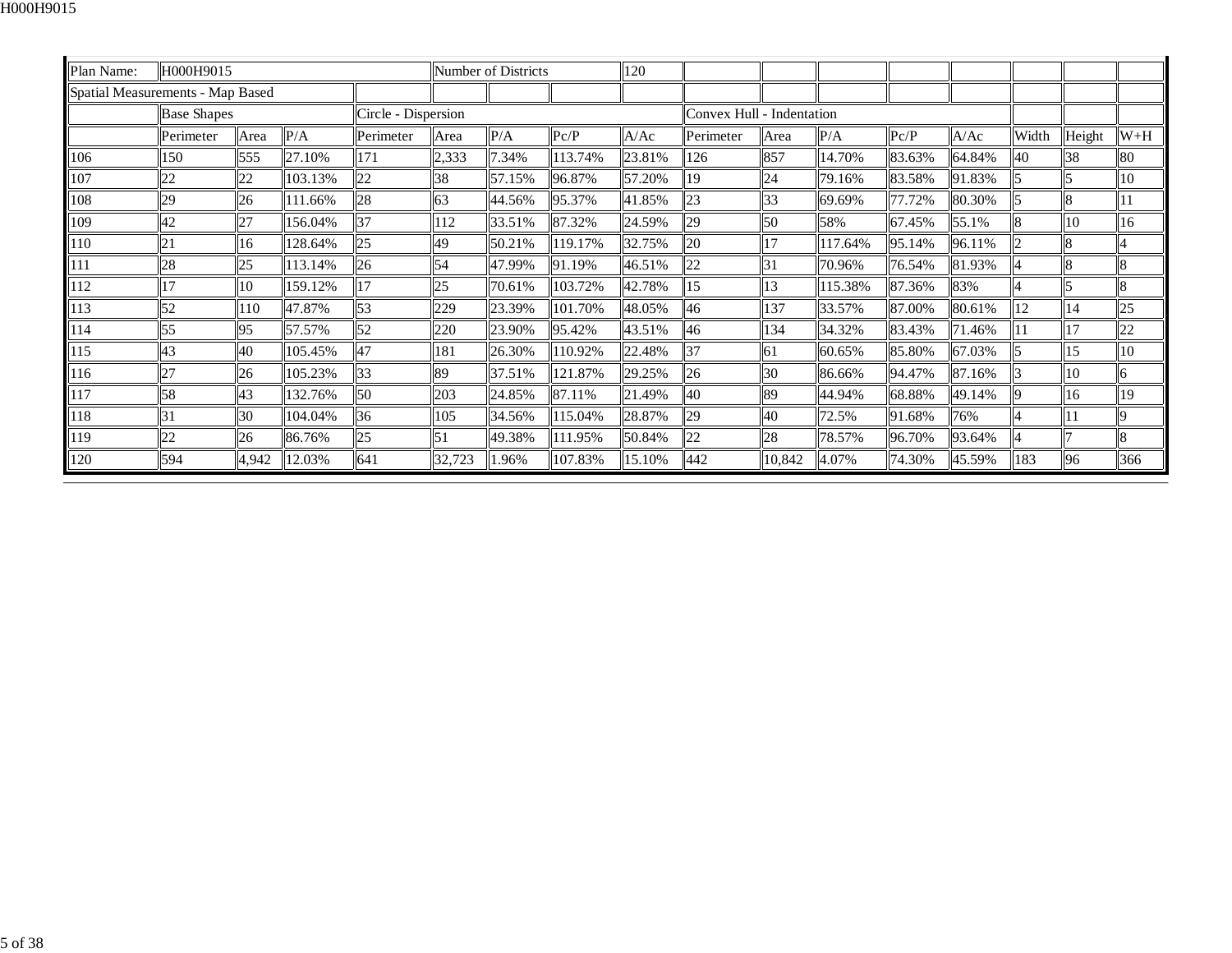| Plan Name:                       | H000H9015          |       |         |                     |                 | Number of Districts |         | 120    |                           |           |         |        |        |       |        |       |
|----------------------------------|--------------------|-------|---------|---------------------|-----------------|---------------------|---------|--------|---------------------------|-----------|---------|--------|--------|-------|--------|-------|
| Spatial Measurements - Map Based |                    |       |         |                     |                 |                     |         |        |                           |           |         |        |        |       |        |       |
|                                  | <b>Base Shapes</b> |       |         | Circle - Dispersion |                 |                     |         |        | Convex Hull - Indentation |           |         |        |        |       |        |       |
|                                  | Perimeter          | Area  | P/A     | Perimeter           | Area            | P/A                 | Pc/P    | A/Ac   | Perimeter                 | Area      | P/A     | Pc/P   | A/Ac   | Width | Height | $W+H$ |
| 106                              | 150                | 555   | 27.10%  | 171                 | 2,333           | 7.34%               | 113.74% | 23.81% | 126                       | 857       | 14.70%  | 83.63% | 64.84% | 40    | 38     | 80    |
| 107                              | 22                 | 22    | 103.13% | 22                  | 38              | 57.15%              | 96.87%  | 57.20% | 19                        | 24        | 79.16%  | 83.58% | 91.83% |       |        | 10    |
| 108                              | 29                 | 26    | 111.66% | 28                  | 63              | 44.56%              | 95.37%  | 41.85% | 23                        | 33        | 69.69%  | 77.72% | 80.30% |       |        | 11    |
| 109                              | 42                 | 27    | 156.04% | 37                  | 112             | 33.51%              | 87.32%  | 24.59% | 29                        | <b>50</b> | 58%     | 67.45% | 55.1%  | 8     | 10     | 16    |
| 110                              | 21                 | 16    | 128.64% | 25                  | 49              | 50.21%              | 119.17% | 32.75% | 20                        | 17        | 117.64% | 95.14% | 96.11% |       | 8      |       |
| 111                              | 28                 | 25    | 113.14% | 26                  | $\vert$ 54      | 47.99%              | 91.19%  | 46.51% | 22                        | 131       | 70.96%  | 76.54% | 81.93% |       | 8      | 8     |
| 112                              | 17                 | 10    | 159.12% | 17                  | 25              | 70.61%              | 103.72% | 42.78% | 15                        | 13        | 115.38% | 87.36% | 83%    |       |        | 8     |
| 113                              | 52                 | 110   | 47.87%  | 53                  | 229             | 23.39%              | 101.70% | 48.05% | 46                        | 137       | 33.57%  | 87.00% | 80.61% | 12    | 14     | 25    |
| 114                              | 55                 | 95    | 57.57%  | 52                  | 220             | 23.90%              | 95.42%  | 43.51% | 46                        | 134       | 34.32%  | 83.43% | 71.46% | II 1  | 17     | 22    |
| 115                              | 43                 | 40    | 105.45% | 47                  | 181             | 26.30%              | 110.92% | 22.48% | 37                        | 161       | 60.65%  | 85.80% | 67.03% |       | 15     | 10    |
| 116                              | 27                 | 26    | 105.23% | 33                  | 89              | 37.51%              | 121.87% | 29.25% | 26                        | 30        | 86.66%  | 94.47% | 87.16% |       | 10     | 6     |
| 117                              | 58                 | 43    | 132.76% | 50                  | 203             | 24.85%              | 87.11%  | 21.49% | 40                        | 89        | 44.94%  | 68.88% | 49.14% |       | 16     | 19    |
| 118                              | 31                 | 30    | 104.04% | 36                  | 105             | 34.56%              | 115.04% | 28.87% | 29                        | 40        | 72.5%   | 91.68% | 76%    |       | 11     | 9     |
| 119                              | 22                 | 26    | 86.76%  | 25                  | $\overline{51}$ | 49.38%              | 111.95% | 50.84% | 22                        | 28        | 78.57%  | 96.70% | 93.64% |       |        | 8     |
| 120                              | 594                | 4,942 | 12.03%  | 641                 | 32,723          | 1.96%               | 107.83% | 15.10% | 442                       | 10,842    | 4.07%   | 74.30% | 45.59% | 183   | 96     | 366   |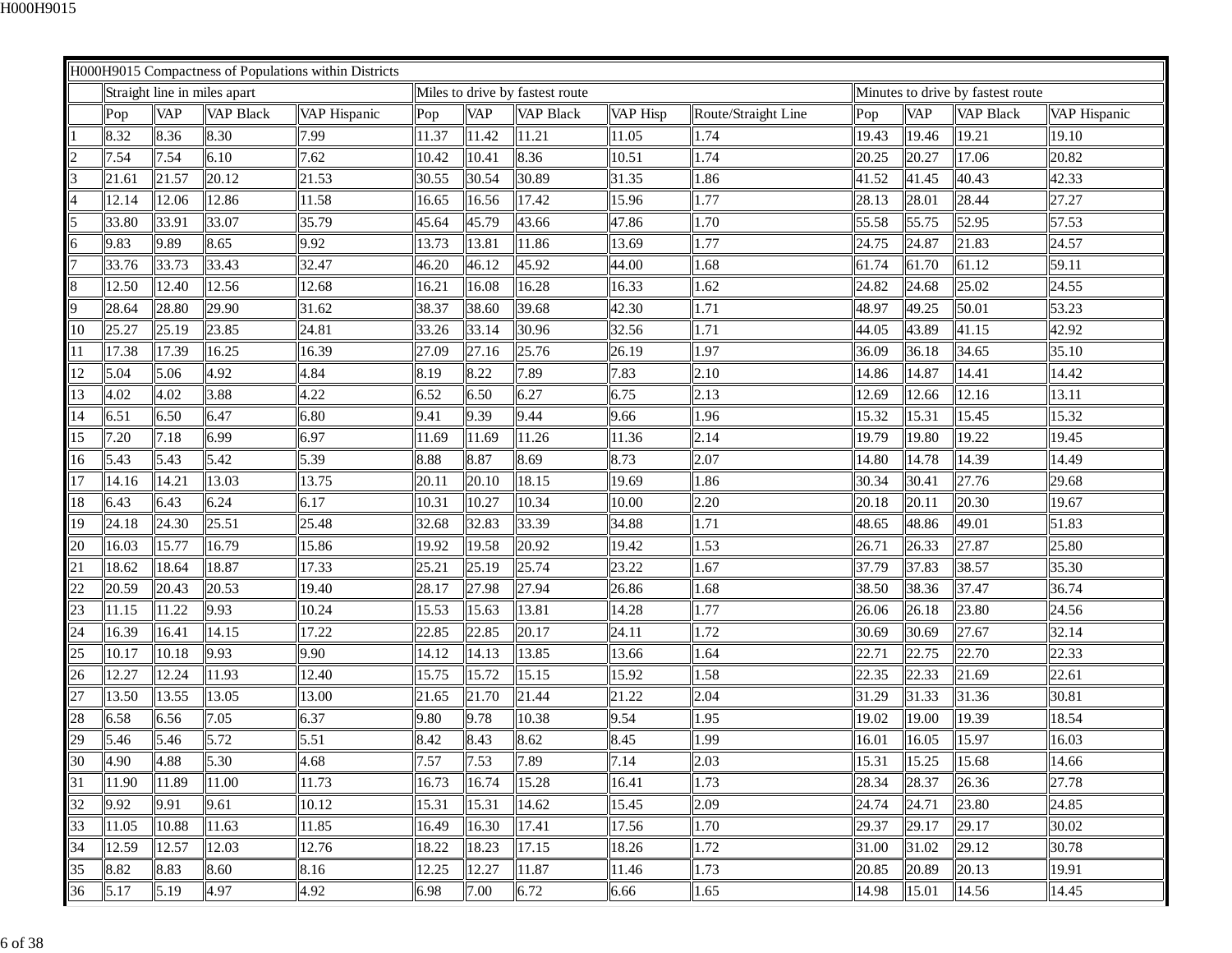|    |       |            |                              | H000H9015 Compactness of Populations within Districts |       |            |                                 |          |                     |       |            |                                   |              |
|----|-------|------------|------------------------------|-------------------------------------------------------|-------|------------|---------------------------------|----------|---------------------|-------|------------|-----------------------------------|--------------|
|    |       |            | Straight line in miles apart |                                                       |       |            | Miles to drive by fastest route |          |                     |       |            | Minutes to drive by fastest route |              |
|    | Pop   | <b>VAP</b> | <b>VAP Black</b>             | VAP Hispanic                                          | Pop   | <b>VAP</b> | <b>VAP Black</b>                | VAP Hisp | Route/Straight Line | Pop   | <b>VAP</b> | <b>VAP Black</b>                  | VAP Hispanic |
|    | 8.32  | 8.36       | 8.30                         | 7.99                                                  | 11.37 | 11.42      | 11.21                           | 11.05    | 1.74                | 19.43 | 19.46      | 19.21                             | 19.10        |
|    | 7.54  | 7.54       | 6.10                         | 7.62                                                  | 10.42 | 10.41      | 8.36                            | 10.51    | 1.74                | 20.25 | 20.27      | 17.06                             | 20.82        |
| 13 | 21.61 | 21.57      | 20.12                        | 21.53                                                 | 30.55 | 30.54      | 30.89                           | 31.35    | 1.86                | 41.52 | 41.45      | 40.43                             | 42.33        |
|    | 12.14 | 12.06      | 12.86                        | 11.58                                                 | 16.65 | 16.56      | 17.42                           | 15.96    | 1.77                | 28.13 | 28.01      | 28.44                             | 27.27        |
| 5  | 33.80 | 33.91      | 33.07                        | 35.79                                                 | 45.64 | 45.79      | 43.66                           | 47.86    | 1.70                | 55.58 | 55.75      | 52.95                             | 57.53        |
| 6  | 9.83  | 9.89       | 8.65                         | 9.92                                                  | 13.73 | 13.81      | 11.86                           | 13.69    | 1.77                | 24.75 | 24.87      | 21.83                             | 24.57        |
| 17 | 33.76 | 33.73      | 33.43                        | 32.47                                                 | 46.20 | 46.12      | 45.92                           | 44.00    | 1.68                | 61.74 | 61.70      | 61.12                             | 59.11        |
| 8  | 12.50 | 12.40      | 12.56                        | 12.68                                                 | 16.21 | 16.08      | 16.28                           | 16.33    | 1.62                | 24.82 | 24.68      | 25.02                             | 24.55        |
| 9  | 28.64 | 28.80      | 29.90                        | 31.62                                                 | 38.37 | 38.60      | 39.68                           | 42.30    | 1.71                | 48.97 | 49.25      | 50.01                             | 53.23        |
| 10 | 25.27 | 25.19      | 23.85                        | 24.81                                                 | 33.26 | 33.14      | 30.96                           | 32.56    | 1.71                | 44.05 | 43.89      | 41.15                             | 42.92        |
| 11 | 17.38 | 17.39      | 16.25                        | 16.39                                                 | 27.09 | 27.16      | 25.76                           | 26.19    | 1.97                | 36.09 | 36.18      | 34.65                             | 35.10        |
| 12 | 5.04  | 5.06       | 4.92                         | 4.84                                                  | 8.19  | 8.22       | 7.89                            | 7.83     | 2.10                | 14.86 | 14.87      | 14.41                             | 14.42        |
| 13 | 4.02  | 4.02       | 3.88                         | 4.22                                                  | 6.52  | 6.50       | 6.27                            | 6.75     | 2.13                | 12.69 | 12.66      | 12.16                             | 13.11        |
| 14 | 6.51  | 6.50       | 6.47                         | 6.80                                                  | 9.41  | 9.39       | 9.44                            | 9.66     | 1.96                | 15.32 | 15.31      | 15.45                             | 15.32        |
| 15 | 7.20  | 7.18       | 6.99                         | 6.97                                                  | 11.69 | 11.69      | 11.26                           | 11.36    | 2.14                | 19.79 | 19.80      | 19.22                             | 19.45        |
| 16 | 5.43  | 5.43       | 5.42                         | 5.39                                                  | 8.88  | 8.87       | 8.69                            | 8.73     | 2.07                | 14.80 | 14.78      | 14.39                             | 14.49        |
| 17 | 14.16 | 14.21      | 13.03                        | 13.75                                                 | 20.11 | 20.10      | 18.15                           | 19.69    | 1.86                | 30.34 | 30.41      | 27.76                             | 29.68        |
| 18 | 6.43  | 6.43       | 6.24                         | 6.17                                                  | 10.31 | 10.27      | 10.34                           | 10.00    | 2.20                | 20.18 | 20.11      | 20.30                             | 19.67        |
| 19 | 24.18 | 24.30      | 25.51                        | 25.48                                                 | 32.68 | 32.83      | 33.39                           | 34.88    | 1.71                | 48.65 | 48.86      | 49.01                             | 51.83        |
| 20 | 16.03 | 15.77      | 16.79                        | 15.86                                                 | 19.92 | 19.58      | 20.92                           | 19.42    | .53                 | 26.71 | 26.33      | 27.87                             | 25.80        |
| 21 | 18.62 | 18.64      | 18.87                        | 17.33                                                 | 25.21 | 25.19      | 25.74                           | 23.22    | 1.67                | 37.79 | 37.83      | 38.57                             | 35.30        |
| 22 | 20.59 | 20.43      | 20.53                        | 19.40                                                 | 28.17 | 27.98      | 27.94                           | 26.86    | 1.68                | 38.50 | 38.36      | 37.47                             | 36.74        |
| 23 | 11.15 | 11.22      | 9.93                         | 10.24                                                 | 15.53 | 15.63      | 13.81                           | 14.28    | 1.77                | 26.06 | 26.18      | 23.80                             | 24.56        |
| 24 | 16.39 | 16.41      | 14.15                        | 17.22                                                 | 22.85 | 22.85      | 20.17                           | 24.11    | 1.72                | 30.69 | 30.69      | 27.67                             | 32.14        |
| 25 | 10.17 | 10.18      | 9.93                         | 9.90                                                  | 14.12 | 14.13      | 13.85                           | 13.66    | 1.64                | 22.71 | 22.75      | 22.70                             | 22.33        |
| 26 | 12.27 | 12.24      | 11.93                        | 12.40                                                 | 15.75 | 15.72      | 15.15                           | 15.92    | 1.58                | 22.35 | 22.33      | 21.69                             | 22.61        |
| 27 | 13.50 | 13.55      | 13.05                        | 13.00                                                 | 21.65 | 21.70      | 21.44                           | 21.22    | 2.04                | 31.29 | 31.33      | 31.36                             | 30.81        |
| 28 | 6.58  | 6.56       | 7.05                         | 6.37                                                  | 9.80  | 9.78       | 10.38                           | 9.54     | 1.95                | 19.02 | 19.00      | 19.39                             | 18.54        |
| 29 | 5.46  | 5.46       | 5.72                         | 5.51                                                  | 8.42  | 8.43       | 8.62                            | 8.45     | 1.99                | 16.01 | 16.05      | 15.97                             | 16.03        |
| 30 | 4.90  | 4.88       | 5.30                         | 4.68                                                  | 7.57  | 7.53       | 7.89                            | 7.14     | 2.03                | 15.31 | 15.25      | 15.68                             | 14.66        |
| 31 | 11.90 | 11.89      | 11.00                        | 11.73                                                 | 16.73 | 16.74      | 15.28                           | 16.41    | 1.73                | 28.34 | 28.37      | 26.36                             | 27.78        |
| 32 | 9.92  | 9.91       | 9.61                         | 10.12                                                 | 15.31 | 15.31      | 14.62                           | 15.45    | 2.09                | 24.74 | 24.71      | 23.80                             | 24.85        |
| 33 | 11.05 | 10.88      | 11.63                        | 11.85                                                 | 16.49 | 16.30      | 17.41                           | 17.56    | 1.70                | 29.37 | 29.17      | 29.17                             | 30.02        |
| 34 | 12.59 | 12.57      | 12.03                        | 12.76                                                 | 18.22 | 18.23      | 17.15                           | 18.26    | 1.72                | 31.00 | 31.02      | 29.12                             | 30.78        |
| 35 | 8.82  | 8.83       | 8.60                         | 8.16                                                  | 12.25 | 12.27      | 11.87                           | 11.46    | 1.73                | 20.85 | 20.89      | 20.13                             | 19.91        |
| 36 | 5.17  | 5.19       | 4.97                         | 4.92                                                  | 6.98  | 7.00       | 6.72                            | 6.66     | 1.65                | 14.98 | 15.01      | 14.56                             | 14.45        |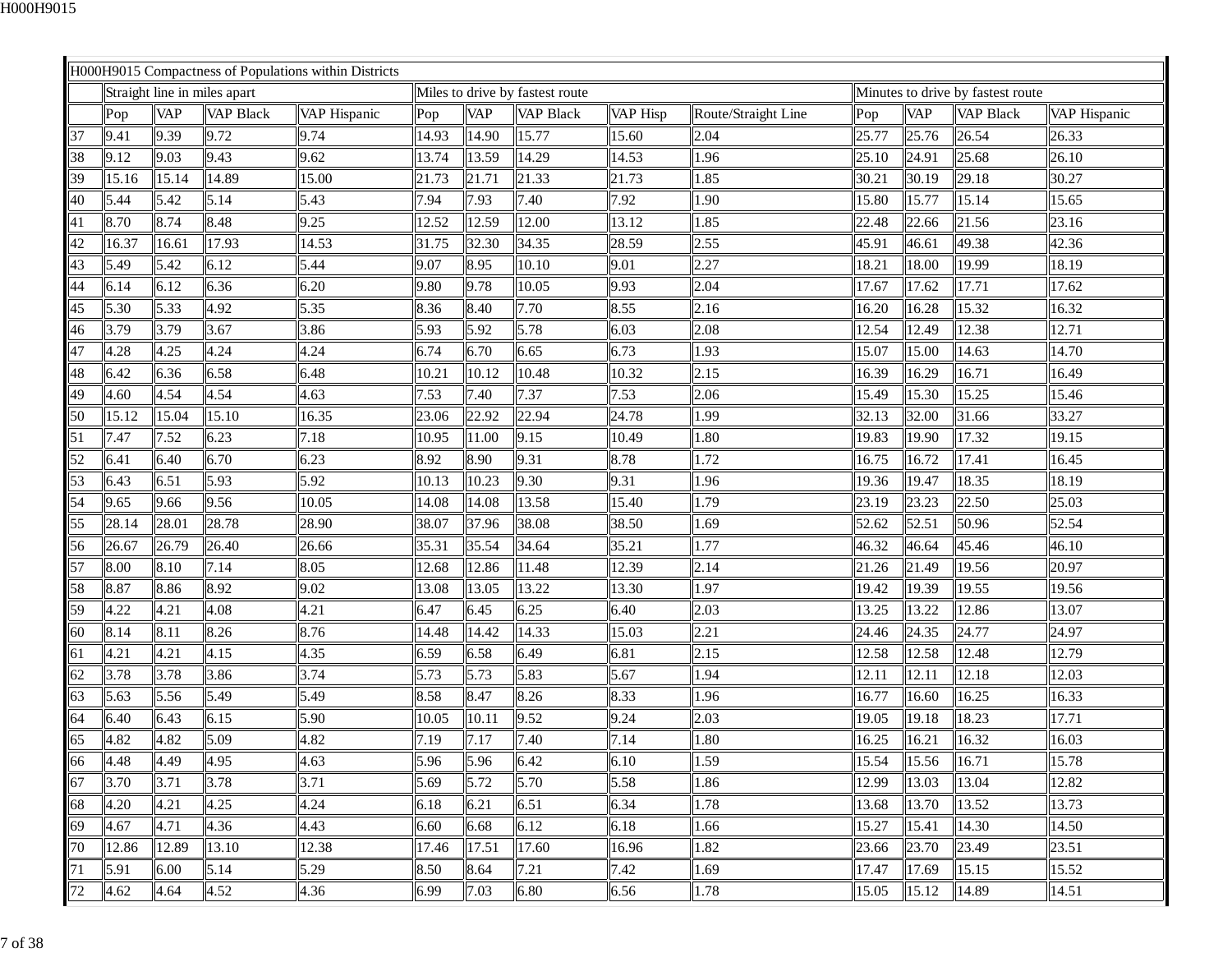|    |       |            |                              | H000H9015 Compactness of Populations within Districts |       |            |                                 |          |                     |       |            |                                   |              |
|----|-------|------------|------------------------------|-------------------------------------------------------|-------|------------|---------------------------------|----------|---------------------|-------|------------|-----------------------------------|--------------|
|    |       |            | Straight line in miles apart |                                                       |       |            | Miles to drive by fastest route |          |                     |       |            | Minutes to drive by fastest route |              |
|    | Pop   | <b>VAP</b> | <b>VAP Black</b>             | VAP Hispanic                                          | Pop   | <b>VAP</b> | <b>VAP Black</b>                | VAP Hisp | Route/Straight Line | Pop   | <b>VAP</b> | <b>VAP Black</b>                  | VAP Hispanic |
| 37 | 9.41  | 9.39       | 9.72                         | 9.74                                                  | 14.93 | 14.90      | 15.77                           | 15.60    | 2.04                | 25.77 | 25.76      | 26.54                             | 26.33        |
| 38 | 9.12  | 9.03       | 9.43                         | 9.62                                                  | 13.74 | 13.59      | 14.29                           | 14.53    | 1.96                | 25.10 | 24.91      | 25.68                             | 26.10        |
| 39 | 15.16 | 15.14      | 14.89                        | 15.00                                                 | 21.73 | 21.71      | 21.33                           | 21.73    | 1.85                | 30.21 | 30.19      | 29.18                             | 30.27        |
| 40 | 5.44  | 5.42       | 5.14                         | 5.43                                                  | 7.94  | 7.93       | 7.40                            | 7.92     | 1.90                | 15.80 | 15.77      | 15.14                             | 15.65        |
| 41 | 8.70  | 8.74       | 8.48                         | 9.25                                                  | 12.52 | 12.59      | 12.00                           | 13.12    | 1.85                | 22.48 | 22.66      | $\sqrt{21.56}$                    | 23.16        |
| 42 | 16.37 | 16.61      | 17.93                        | 14.53                                                 | 31.75 | 32.30      | 34.35                           | 28.59    | 2.55                | 45.91 | 46.61      | 49.38                             | 42.36        |
| 43 | 5.49  | 5.42       | 6.12                         | 5.44                                                  | 9.07  | 8.95       | 10.10                           | 9.01     | 2.27                | 18.21 | 18.00      | 19.99                             | 18.19        |
| 44 | 6.14  | 6.12       | 6.36                         | 6.20                                                  | 9.80  | 9.78       | 10.05                           | 9.93     | 2.04                | 17.67 | 17.62      | 17.71                             | 17.62        |
| 45 | 5.30  | 5.33       | 4.92                         | 5.35                                                  | 8.36  | 8.40       | 7.70                            | 8.55     | 2.16                | 16.20 | 16.28      | 15.32                             | 16.32        |
| 46 | 3.79  | 3.79       | 3.67                         | 3.86                                                  | 5.93  | 5.92       | 5.78                            | 6.03     | 2.08                | 12.54 | 12.49      | 12.38                             | 12.71        |
| 47 | 4.28  | 4.25       | 4.24                         | 4.24                                                  | 6.74  | 6.70       | 6.65                            | 6.73     | 1.93                | 15.07 | 15.00      | 14.63                             | 14.70        |
| 48 | 6.42  | 6.36       | 6.58                         | 6.48                                                  | 10.21 | 10.12      | 10.48                           | 10.32    | 2.15                | 16.39 | 16.29      | 16.71                             | 16.49        |
| 49 | 4.60  | 4.54       | 4.54                         | 4.63                                                  | 7.53  | 7.40       | 7.37                            | 7.53     | 2.06                | 15.49 | 15.30      | 15.25                             | 15.46        |
| 50 | 15.12 | 15.04      | 15.10                        | 16.35                                                 | 23.06 | 22.92      | 22.94                           | 24.78    | 1.99                | 32.13 | 32.00      | 31.66                             | 33.27        |
| 51 | 7.47  | 7.52       | 6.23                         | 7.18                                                  | 10.95 | 11.00      | 9.15                            | 10.49    | 1.80                | 19.83 | 19.90      | 17.32                             | 19.15        |
| 52 | 6.41  | 6.40       | 6.70                         | 6.23                                                  | 8.92  | 8.90       | 9.31                            | 8.78     | 1.72                | 16.75 | 16.72      | 17.41                             | 16.45        |
| 53 | 6.43  | 6.51       | 5.93                         | 5.92                                                  | 10.13 | 10.23      | 9.30                            | 9.31     | 1.96                | 19.36 | 19.47      | 18.35                             | 18.19        |
| 54 | 9.65  | 9.66       | 9.56                         | 10.05                                                 | 14.08 | 14.08      | 13.58                           | 15.40    | 1.79                | 23.19 | 23.23      | 22.50                             | 25.03        |
| 55 | 28.14 | 28.01      | 28.78                        | 28.90                                                 | 38.07 | 37.96      | 38.08                           | 38.50    | 1.69                | 52.62 | 52.51      | 50.96                             | 52.54        |
| 56 | 26.67 | 26.79      | 26.40                        | 26.66                                                 | 35.31 | 35.54      | 34.64                           | 35.21    | 1.77                | 46.32 | 46.64      | 45.46                             | 46.10        |
| 57 | 8.00  | 8.10       | 7.14                         | 8.05                                                  | 12.68 | 12.86      | 11.48                           | 12.39    | 2.14                | 21.26 | 21.49      | 19.56                             | 20.97        |
| 58 | 8.87  | 8.86       | 8.92                         | 9.02                                                  | 13.08 | 13.05      | 13.22                           | 13.30    | 1.97                | 19.42 | 19.39      | 19.55                             | 19.56        |
| 59 | 4.22  | 4.21       | 4.08                         | 4.21                                                  | 6.47  | 6.45       | 6.25                            | 6.40     | 2.03                | 13.25 | 13.22      | 12.86                             | 13.07        |
| 60 | 8.14  | 8.11       | 8.26                         | 8.76                                                  | 14.48 | 14.42      | 14.33                           | 15.03    | 2.21                | 24.46 | 24.35      | 24.77                             | 24.97        |
| 61 | 4.21  | 4.21       | 4.15                         | 4.35                                                  | 6.59  | 6.58       | 6.49                            | 6.81     | 2.15                | 12.58 | 12.58      | 12.48                             | 12.79        |
| 62 | 3.78  | 3.78       | 3.86                         | 3.74                                                  | 5.73  | 5.73       | 5.83                            | 5.67     | 1.94                | 12.11 | 12.11      | 12.18                             | 12.03        |
| 63 | 5.63  | 5.56       | 5.49                         | 5.49                                                  | 8.58  | 8.47       | 8.26                            | 8.33     | 1.96                | 16.77 | 16.60      | 16.25                             | 16.33        |
| 64 | 6.40  | 6.43       | 6.15                         | 5.90                                                  | 10.05 | 10.11      | 9.52                            | 9.24     | 2.03                | 19.05 | 19.18      | 18.23                             | 17.71        |
| 65 | 4.82  | 4.82       | 5.09                         | 4.82                                                  | 7.19  | 7.17       | 7.40                            | 7.14     | 1.80                | 16.25 | 16.21      | 16.32                             | 16.03        |
| 66 | 4.48  | 4.49       | 4.95                         | 4.63                                                  | 5.96  | 5.96       | 6.42                            | 6.10     | 1.59                | 15.54 | 15.56      | 16.71                             | 15.78        |
| 67 | 3.70  | 3.71       | 3.78                         | 3.71                                                  | 5.69  | 5.72       | 5.70                            | 5.58     | 1.86                | 12.99 | 13.03      | 13.04                             | 12.82        |
| 68 | 4.20  | 4.21       | 4.25                         | 4.24                                                  | 6.18  | 6.21       | 6.51                            | 6.34     | 1.78                | 13.68 | 13.70      | 13.52                             | 13.73        |
| 69 | 4.67  | 4.71       | 4.36                         | 4.43                                                  | 6.60  | 6.68       | 6.12                            | 6.18     | 1.66                | 15.27 | 15.41      | 14.30                             | 14.50        |
| 70 | 12.86 | 12.89      | 13.10                        | 12.38                                                 | 17.46 | 17.51      | 17.60                           | 16.96    | 1.82                | 23.66 | 23.70      | 23.49                             | 23.51        |
| 71 | 5.91  | 6.00       | 5.14                         | 5.29                                                  | 8.50  | 8.64       | 7.21                            | 7.42     | 1.69                | 17.47 | 17.69      | 15.15                             | 15.52        |
| 72 | 4.62  | 4.64       | 4.52                         | 4.36                                                  | 6.99  | 7.03       | 6.80                            | 6.56     | 1.78                | 15.05 | 15.12      | 14.89                             | 14.51        |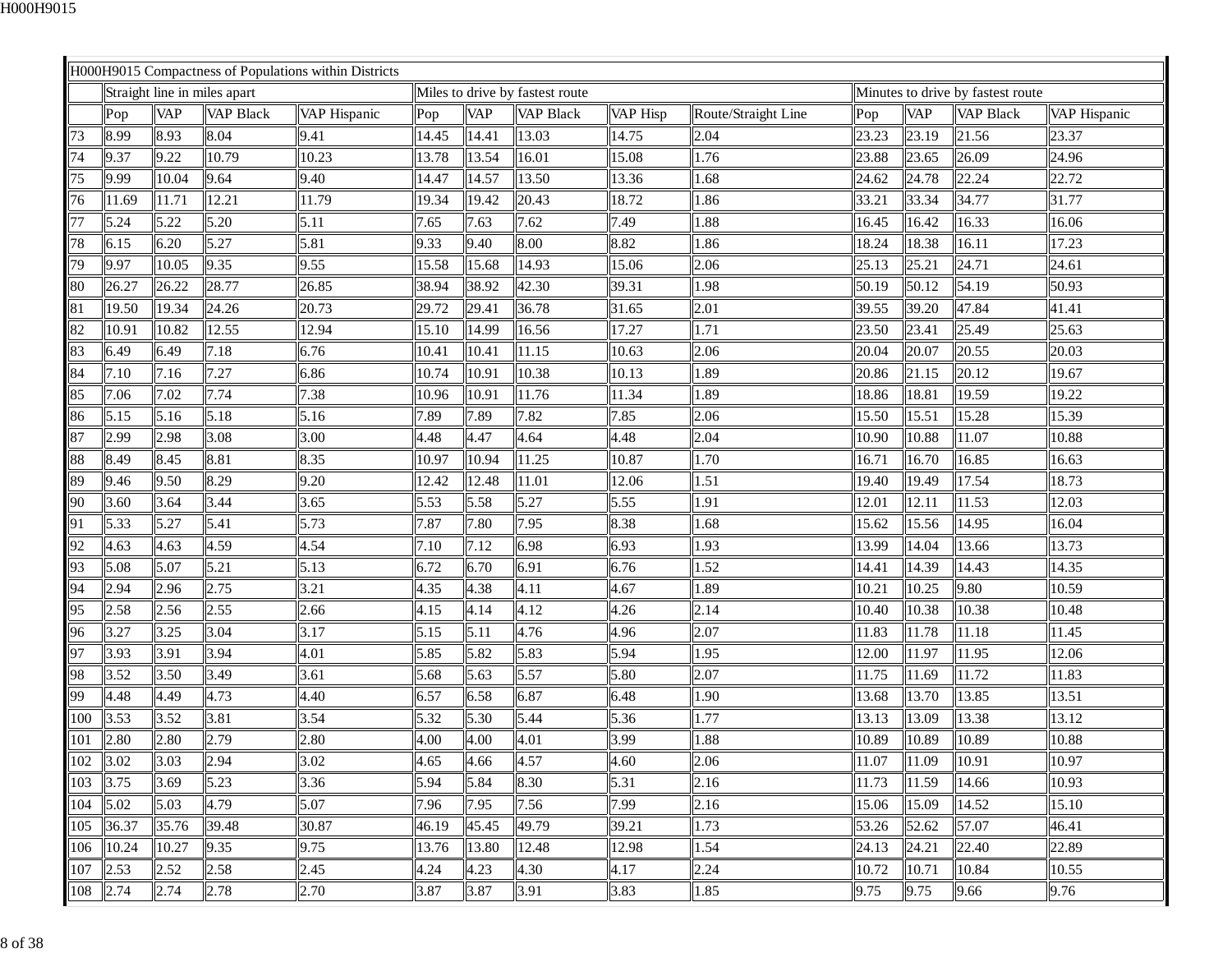|          |       |            |                              | H000H9015 Compactness of Populations within Districts |       |            |                                 |          |                     |       |            |                                   |              |
|----------|-------|------------|------------------------------|-------------------------------------------------------|-------|------------|---------------------------------|----------|---------------------|-------|------------|-----------------------------------|--------------|
|          |       |            | Straight line in miles apart |                                                       |       |            | Miles to drive by fastest route |          |                     |       |            | Minutes to drive by fastest route |              |
|          | Pop   | <b>VAP</b> | <b>VAP Black</b>             | VAP Hispanic                                          | Pop   | <b>VAP</b> | <b>VAP Black</b>                | VAP Hisp | Route/Straight Line | Pop   | <b>VAP</b> | <b>VAP Black</b>                  | VAP Hispanic |
| 73       | 8.99  | 8.93       | 8.04                         | 9.41                                                  | 14.45 | 14.41      | 13.03                           | 14.75    | 2.04                | 23.23 | 23.19      | 21.56                             | 23.37        |
| 74       | 9.37  | 9.22       | 10.79                        | 10.23                                                 | 13.78 | 13.54      | 16.01                           | 15.08    | 1.76                | 23.88 | 23.65      | 26.09                             | 24.96        |
| 75       | 9.99  | 10.04      | 9.64                         | 9.40                                                  | 14.47 | 14.57      | 13.50                           | 13.36    | 1.68                | 24.62 | 24.78      | 22.24                             | 22.72        |
| 76       | 11.69 | 11.71      | 12.21                        | 11.79                                                 | 19.34 | 19.42      | 20.43                           | 18.72    | 1.86                | 33.21 | 33.34      | 34.77                             | 31.77        |
| 77       | 5.24  | 5.22       | 5.20                         | 5.11                                                  | 7.65  | 7.63       | 7.62                            | 7.49     | 1.88                | 16.45 | 16.42      | 16.33                             | 16.06        |
| 78       | 6.15  | 6.20       | 5.27                         | 5.81                                                  | 9.33  | 9.40       | 8.00                            | 8.82     | 1.86                | 18.24 | 18.38      | 16.11                             | 17.23        |
| 79       | 9.97  | 10.05      | 9.35                         | 9.55                                                  | 15.58 | 15.68      | 14.93                           | 15.06    | 2.06                | 25.13 | 25.21      | 24.71                             | 24.61        |
| 80       | 26.27 | 26.22      | 28.77                        | 26.85                                                 | 38.94 | 38.92      | 42.30                           | 39.31    | 1.98                | 50.19 | 50.12      | 54.19                             | 50.93        |
| 81       | 19.50 | 19.34      | 24.26                        | 20.73                                                 | 29.72 | 29.41      | 36.78                           | 31.65    | 2.01                | 39.55 | 39.20      | 47.84                             | 41.41        |
| 82       | 10.91 | 10.82      | 12.55                        | 12.94                                                 | 15.10 | 14.99      | 16.56                           | 17.27    | 1.71                | 23.50 | 23.41      | 25.49                             | 25.63        |
| 83       | 6.49  | 6.49       | 7.18                         | 6.76                                                  | 10.41 | 10.41      | 11.15                           | 10.63    | 2.06                | 20.04 | 20.07      | 20.55                             | 20.03        |
| 84       | 7.10  | 7.16       | 7.27                         | 6.86                                                  | 10.74 | 10.91      | 10.38                           | 10.13    | 1.89                | 20.86 | 21.15      | 20.12                             | 19.67        |
| 85       | 7.06  | 7.02       | 7.74                         | 7.38                                                  | 10.96 | 10.91      | 11.76                           | 11.34    | 1.89                | 18.86 | 18.81      | 19.59                             | 19.22        |
| 86       | 5.15  | 5.16       | 5.18                         | 5.16                                                  | 7.89  | 7.89       | 7.82                            | 7.85     | 2.06                | 15.50 | 15.51      | 15.28                             | 15.39        |
| 87       | 2.99  | 2.98       | 3.08                         | 3.00                                                  | 4.48  | 4.47       | 4.64                            | 4.48     | 2.04                | 10.90 | 10.88      | 11.07                             | 10.88        |
| 88       | 8.49  | 8.45       | 8.81                         | 8.35                                                  | 10.97 | 10.94      | 11.25                           | 10.87    | 1.70                | 16.71 | 16.70      | 16.85                             | 16.63        |
| 89       | 9.46  | 9.50       | 8.29                         | 9.20                                                  | 12.42 | 12.48      | 11.01                           | 12.06    | 1.51                | 19.40 | 19.49      | 17.54                             | 18.73        |
| 90       | 3.60  | 3.64       | 3.44                         | 3.65                                                  | 5.53  | 5.58       | 5.27                            | 5.55     | 1.91                | 12.01 | 12.11      | 11.53                             | 12.03        |
| 91       | 5.33  | 5.27       | 5.41                         | 5.73                                                  | 7.87  | 7.80       | 7.95                            | 8.38     | 1.68                | 15.62 | 15.56      | 14.95                             | 16.04        |
| 92       | 4.63  | 4.63       | 4.59                         | 4.54                                                  | 7.10  | 7.12       | 6.98                            | 6.93     | 1.93                | 13.99 | 14.04      | 13.66                             | 13.73        |
| 93       | 5.08  | 5.07       | 5.21                         | 5.13                                                  | 6.72  | 6.70       | 6.91                            | 6.76     | 1.52                | 14.41 | 14.39      | 14.43                             | 14.35        |
| 94       | 2.94  | 2.96       | 2.75                         | 3.21                                                  | 4.35  | 4.38       | 4.11                            | 4.67     | 1.89                | 10.21 | 10.25      | 9.80                              | 10.59        |
| 95       | 2.58  | 2.56       | 2.55                         | 2.66                                                  | 4.15  | 4.14       | 4.12                            | 4.26     | 2.14                | 10.40 | 10.38      | 10.38                             | 10.48        |
| 96       | 3.27  | 3.25       | 3.04                         | 3.17                                                  | 5.15  | 5.11       | 4.76                            | 4.96     | 2.07                | 11.83 | 11.78      | 11.18                             | 11.45        |
| 97       | 3.93  | 3.91       | 3.94                         | 4.01                                                  | 5.85  | 5.82       | 5.83                            | 5.94     | 1.95                | 12.00 | 11.97      | 11.95                             | 12.06        |
| 98       | 3.52  | 3.50       | 3.49                         | 3.61                                                  | 5.68  | 5.63       | 5.57                            | 5.80     | 2.07                | 11.75 | 11.69      | 11.72                             | 11.83        |
| 99       | 4.48  | 4.49       | 4.73                         | 4.40                                                  | 6.57  | 6.58       | 6.87                            | 6.48     | 1.90                | 13.68 | 13.70      | 13.85                             | 13.51        |
| 100      | 3.53  | 3.52       | 3.81                         | 3.54                                                  | 5.32  | 5.30       | 5.44                            | 5.36     | 1.77                | 13.13 | 13.09      | 13.38                             | 13.12        |
| 101      | 2.80  | 2.80       | 2.79                         | 2.80                                                  | 4.00  | 4.00       | 4.01                            | 3.99     | 1.88                | 10.89 | 10.89      | 10.89                             | 10.88        |
| 102 3.02 |       | 3.03       | 2.94                         | $ 3.02\rangle$                                        | 4.65  | 4.66       | 4.57                            | 4.60     | 2.06                | 11.07 | 11.09      | 10.91                             | 10.97        |
| 103      | 3.75  | 3.69       | 5.23                         | 3.36                                                  | 5.94  | 5.84       | 8.30                            | 5.31     | 2.16                | 11.73 | 11.59      | 14.66                             | 10.93        |
| 104 5.02 |       | 5.03       | 4.79                         | 5.07                                                  | 7.96  | 7.95       | 7.56                            | 7.99     | 2.16                | 15.06 | 15.09      | 14.52                             | 15.10        |
| 105      | 36.37 | 35.76      | 39.48                        | 30.87                                                 | 46.19 | 45.45      | 49.79                           | 39.21    | 1.73                | 53.26 | 52.62      | 57.07                             | 46.41        |
| 106      | 10.24 | 10.27      | 9.35                         | 9.75                                                  | 13.76 | 13.80      | 12.48                           | 12.98    | 1.54                | 24.13 | 24.21      | 22.40                             | 22.89        |
| 107      | 2.53  | 2.52       | 2.58                         | 2.45                                                  | 4.24  | 4.23       | 4.30                            | 4.17     | 2.24                | 10.72 | 10.71      | 10.84                             | 10.55        |
| 108      | 2.74  | 2.74       | 2.78                         | 2.70                                                  | 3.87  | 3.87       | 3.91                            | 3.83     | 1.85                | 9.75  | 9.75       | 9.66                              | 9.76         |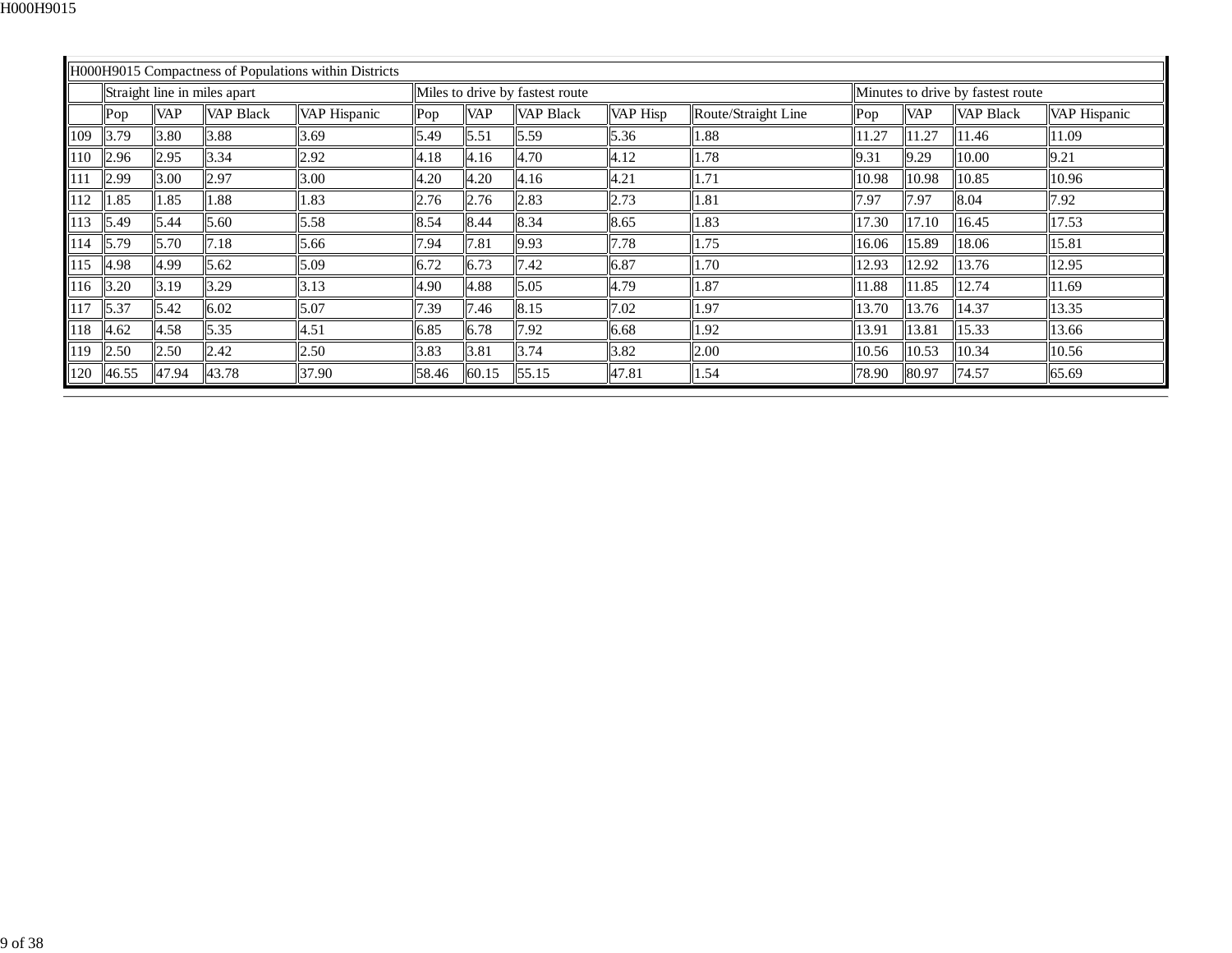|     |       |            |                              | H000H9015 Compactness of Populations within Districts |       |            |                                 |                 |                     |       |            |                                   |              |
|-----|-------|------------|------------------------------|-------------------------------------------------------|-------|------------|---------------------------------|-----------------|---------------------|-------|------------|-----------------------------------|--------------|
|     |       |            | Straight line in miles apart |                                                       |       |            | Miles to drive by fastest route |                 |                     |       |            | Minutes to drive by fastest route |              |
|     | Pop   | <b>VAP</b> | <b>VAP Black</b>             | VAP Hispanic                                          | Pop   | <b>VAP</b> | <b>VAP Black</b>                | <b>VAP Hisp</b> | Route/Straight Line | Pop   | <b>VAP</b> | <b>VAP Black</b>                  | VAP Hispanic |
| 109 | 3.79  | 3.80       | 3.88                         | 3.69                                                  | 5.49  | 5.51       | 5.59                            | 5.36            | 1.88                | 11.27 | 11.27      | 11.46                             | 11.09        |
| 110 | 2.96  | 2.95       | 3.34                         | 2.92                                                  | 4.18  | 4.16       | 4.70                            | 4.12            | 1.78                | 9.31  | 9.29       | 10.00                             | 9.21         |
|     | 2.99  | 3.00       | 2.97                         | 3.00                                                  | 4.20  | 4.20       | 4.16                            | 4.21            | 1.71                | 10.98 | 10.98      | 10.85                             | 10.96        |
| 112 | 1.85  | 1.85       | 1.88                         | 1.83                                                  | 2.76  | 2.76       | 2.83                            | 2.73            | 1.81                | 7.97  | 7.97       | 8.04                              | 7.92         |
| 113 | 5.49  | 5.44       | 5.60                         | 5.58                                                  | 8.54  | 8.44       | 8.34                            | 8.65            | 1.83                | 17.30 | 17.10      | 16.45                             | 17.53        |
| 114 | 5.79  | 5.70       | 7.18                         | 5.66                                                  | 7.94  | 7.81       | 9.93                            | 7.78            | 1.75                | 16.06 | 15.89      | 18.06                             | 15.81        |
| 115 | 4.98  | 4.99       | 5.62                         | 5.09                                                  | 6.72  | 6.73       | 7.42                            | 6.87            | 1.70                | 12.93 | 12.92      | 13.76                             | 12.95        |
| 116 | 3.20  | 3.19       | 3.29                         | 3.13                                                  | 4.90  | 4.88       | 5.05                            | 4.79            | 1.87                | 11.88 | 11.85      | 12.74                             | 11.69        |
| 117 | 5.37  | 5.42       | 6.02                         | 5.07                                                  | 7.39  | 7.46       | 8.15                            | 7.02            | 1.97                | 13.70 | 13.76      | 14.37                             | 13.35        |
| 118 | 4.62  | 4.58       | 5.35                         | 4.51                                                  | 6.85  | 6.78       | 7.92                            | 6.68            | l.92                | 13.91 | 13.81      | 15.33                             | 13.66        |
| 119 | 2.50  | 2.50       | 2.42                         | 2.50                                                  | 3.83  | 3.81       | 3.74                            | 3.82            | 2.00                | 10.56 | 10.53      | 10.34                             | 10.56        |
| 120 | 46.55 | 47.94      | 43.78                        | 37.90                                                 | 58.46 | 60.15      | 55.15                           | 47.81           | 1.54                | 78.90 | 80.97      | 74.57                             | 65.69        |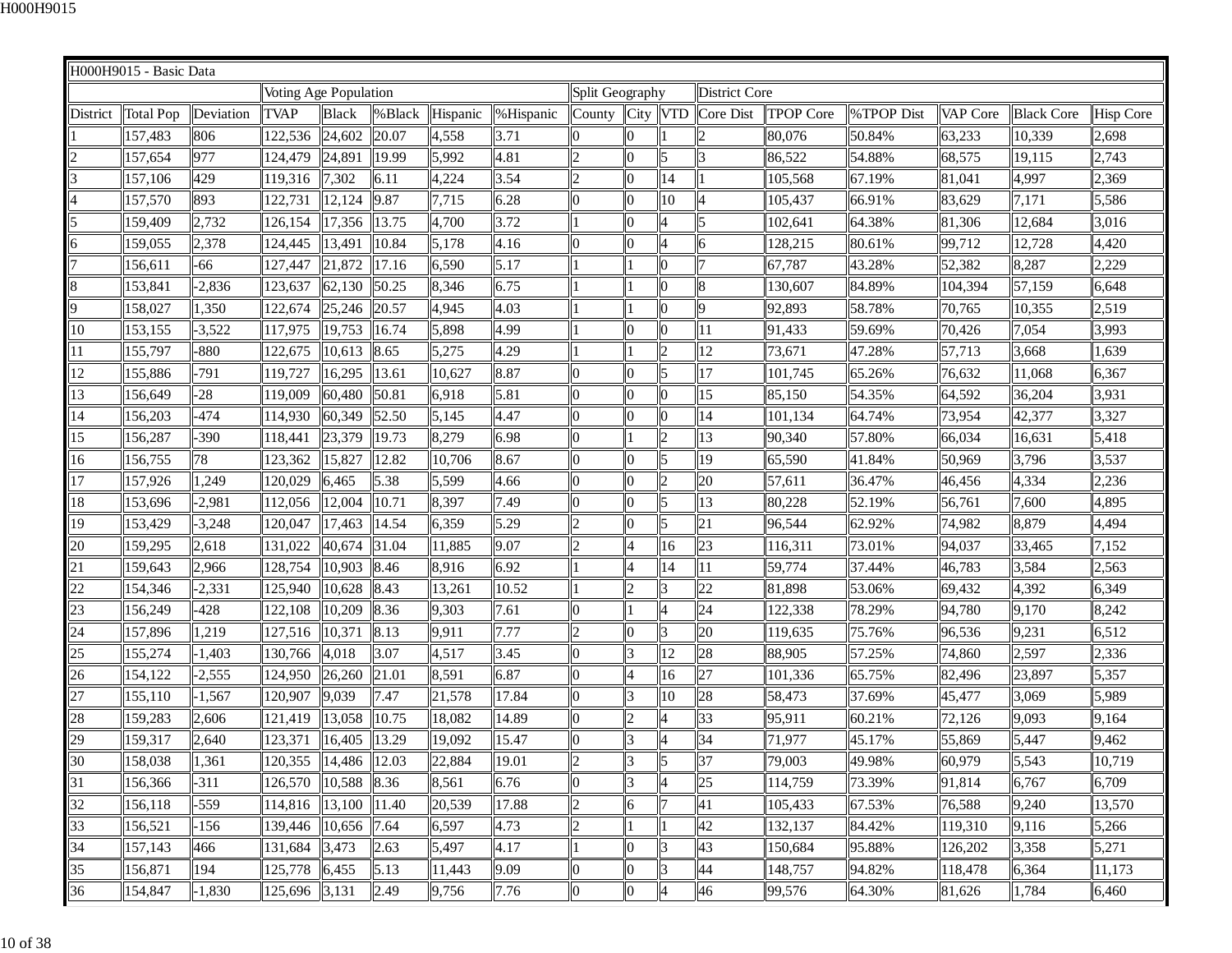|          | H000H9015 - Basic Data |           |                          |              |         |            |           |                 |                |                          |                      |                  |            |          |                   |                  |
|----------|------------------------|-----------|--------------------------|--------------|---------|------------|-----------|-----------------|----------------|--------------------------|----------------------|------------------|------------|----------|-------------------|------------------|
|          |                        |           | Voting Age Population    |              |         |            |           | Split Geography |                |                          | <b>District Core</b> |                  |            |          |                   |                  |
| District | <b>Total Pop</b>       | Deviation | <b>TVAP</b>              | <b>Black</b> | % Black | Hispanic   | %Hispanic | County          | City VTD       |                          | Core Dist            | <b>TPOP Core</b> | %TPOP Dist | VAP Core | <b>Black Core</b> | <b>Hisp Core</b> |
|          | 157,483                | 806       | 122,536                  | 24,602       | 20.07   | 4,558      | 3.71      | $\overline{0}$  |                |                          | $\overline{2}$       | 80,076           | 50.84%     | 63,233   | 10,339            | 2,698            |
|          | 157,654                | 977       | 124,479                  | 24,891       | 19.99   | 5,992      | 4.81      | $\overline{2}$  |                | 5                        | 3                    | 86,522           | 54.88%     | 68,575   | 19,115            | 2,743            |
|          | 157,106                | 429       | 119,316                  | 7,302        | 6.11    | 4,224      | 3.54      | $ 2\rangle$     |                | 14                       |                      | 105,568          | 67.19%     | 81,041   | 4,997             | 2,369            |
|          | 157,570                | 893       | 122,731                  | 12,124       | 9.87    | 7,715      | 6.28      | 10              | 0              | 10                       | $\overline{4}$       | 105,437          | 66.91%     | 83,629   | 7,171             | 5,586            |
|          | 159,409                | 2,732     | 126,154                  | 17,356       | 13.75   | 4,700      | 3.72      |                 | <sup>0</sup>   | $\overline{\mathcal{A}}$ | 5                    | 102,641          | 64.38%     | 81,306   | 12,684            | 3,016            |
| 6        | 159,055                | 2,378     | 124,445                  | 13,491       | 10.84   | 5,178      | 4.16      | $\overline{0}$  |                | $\overline{4}$           | 6                    | 128,215          | 80.61%     | 99,712   | 12,728            | 4,420            |
|          | 156,611                | -66       | 127,447                  | 21,872       | 17.16   | 6,590      | 5.17      |                 | l1             | $\bf{0}$                 | $\overline{7}$       | 67,787           | 43.28%     | 52,382   | 8,287             | 2,229            |
| 8        | 153,841                | $-2,836$  | 123,637                  | 62,130       | 50.25   | 8,346      | 6.75      |                 |                | $\boldsymbol{0}$         | 8                    | 130,607          | 84.89%     | 104,394  | 57,159            | 6,648            |
| Q        | 158,027                | 1,350     | 122,674                  | 25,246       | 20.57   | 4,945      | 4.03      |                 |                | Ю                        | 9                    | 92,893           | 58.78%     | 70,765   | 10,355            | 2,519            |
| 10       | 153,155                | $-3,522$  | 117,975                  | 19,753       | 16.74   | 5,898      | 4.99      |                 | $\overline{0}$ | $\overline{0}$           | 11                   | 91,433           | 59.69%     | 70,426   | 7,054             | 3,993            |
| 11       | 155,797                | $-880$    | 122,675                  | 10,613       | 8.65    | 5,275      | 4.29      |                 |                | 2                        | 12                   | 73,671           | 47.28%     | 57,713   | 3,668             | 1,639            |
| 12       | 155,886                | $-791$    | 119,727                  | 16,295       | 13.61   | 10,627     | 8.87      | $\overline{0}$  | n              | 5                        | 17                   | 101,745          | 65.26%     | 76,632   | 11,068            | 6,367            |
| 13       | 156,649                | $-28$     | 119,009                  | 60,480       | 50.81   | 6,918      | 5.81      | 0               | $\Omega$       | $\bf{0}$                 | 15                   | 85,150           | 54.35%     | 64,592   | 36,204            | 3,931            |
| 14       | 156,203                | $-474$    | 114,930                  | 60,349       | 52.50   | 5,145      | 4.47      | 0               | Ю              | 0                        | 14                   | 101,134          | 64.74%     | 73,954   | 42,377            | 3,327            |
| 15       | 156,287                | $-390$    | 118,441                  | 23,379       | 19.73   | 8,279      | 6.98      | 0               |                | $\overline{c}$           | 13                   | 90,340           | 57.80%     | 66,034   | 16,631            | 5,418            |
| 16       | 156,755                | 78        | 123,362                  | 15,827       | 12.82   | 10,706     | 8.67      | 0               | 0              | 5                        | 19                   | 65,590           | 41.84%     | 50,969   | 3,796             | 3,537            |
| 17       | 157,926                | 1,249     | 120,029                  | 6,465        | 5.38    | 5,599      | 4.66      | $\overline{0}$  |                | $\overline{c}$           | 20                   | 57,611           | 36.47%     | 46,456   | 4,334             | 2,236            |
| 18       | 153,696                | $-2,981$  | 112,056                  | 12,004       | 10.71   | 8,397      | 7.49      | 10              |                | 5                        | 13                   | 80,228           | 52.19%     | 56,761   | 7,600             | 4,895            |
| 19       | 153,429                | $-3,248$  | 120,047                  | 17,463       | 14.54   | 6,359      | 5.29      | 2               | Ю              | 5                        | 21                   | 96,544           | 62.92%     | 74,982   | 8,879             | 4,494            |
| 20       | 159,295                | 2,618     | 131,022                  | 40,674       | 31.04   | 11,885     | 9.07      | $\overline{c}$  | 4              | 16                       | 23                   | 116,311          | 73.01%     | 94,037   | 33,465            | 7,152            |
| 21       | 159,643                | 2,966     | 128,754                  | 10,903       | 8.46    | 8,916      | 6.92      |                 | $\overline{4}$ | 14                       | $\vert$ 11           | 59,774           | 37.44%     | 46,783   | 3,584             | 2,563            |
| 22       | 154,346                | $-2,331$  | 125,940                  | 10,628       | 8.43    | 13,261     | 10.52     |                 | $\mathcal{D}$  | 3                        | 22                   | 81,898           | 53.06%     | 69,432   | 4,392             | 6,349            |
| 23       | 156,249                | -428      | 122,108                  | 10,209       | 8.36    | 9,303      | 7.61      | 0               |                | $\overline{4}$           | 24                   | 122,338          | 78.29%     | 94,780   | 9,170             | 8,242            |
| 24       | 157,896                | 1,219     | 127,516                  | 10,371       | 8.13    | 9,911      | 7.77      | $ 2\rangle$     | $\Omega$       | 3                        | 20                   | 119,635          | 75.76%     | 96,536   | 9,231             | 6,512            |
| 25       | 155,274                | $-1,403$  | 130,766                  | 4,018        | 3.07    | 4,517      | 3.45      | 10              |                | 12                       | 28                   | 88,905           | 57.25%     | 74,860   | 2,597             | 2,336            |
| 26       | 154,122                | $-2,555$  | 124,950                  | 26,260       | 21.01   | 8,591      | 6.87      | $\overline{0}$  |                | 16                       | $\overline{27}$      | 101,336          | 65.75%     | 82,496   | 23,897            | 5,357            |
| 27       | 155,110                | $-1,567$  | 120,907                  | 9,039        | 7.47    | 21,578     | 17.84     | $\overline{0}$  | 13             | 10                       | 28                   | 58,473           | 37.69%     | 45,477   | 3,069             | 5,989            |
| 28       | 159,283                | 2,606     | 121,419                  | 13,058       | 10.75   | 18,082     | 14.89     | 0               | 2              | $\overline{4}$           | 33                   | 95,911           | 60.21%     | 72,126   | 9,093             | 9,164            |
| 29       | 159,317                | 2,640     | 123,371                  | 16,405       | 13.29   | 19,092     | 15.47     | 0               | 3              | 4                        | 34                   | 71,977           | 45.17%     | 55,869   | 5,447             | 9,462            |
| 30       | 158,038                | 1,361     | 120,355   14,486   12.03 |              |         | 22,884     | 19.01     | 2               | 3              | 5                        | 37                   | 79,003           | 49.98%     | 60,979   | 5,543             | 10,719           |
| 31       | 156,366                | $-311$    | 126,570                  | 10,588       | 8.36    | 8,561      | 6.76      | $\overline{0}$  | 13             | $\overline{4}$           | 25                   | 114,759          | 73.39%     | 91,814   | 6,767             | 6,709            |
| 32       | 156,118                | -559      | 114,816                  | 13,100       | 11.40   | $\ 20,539$ | 17.88     | $ 2\rangle$     | 6              | $\overline{7}$           | 41                   | 105,433          | 67.53%     | 76,588   | 9,240             | 13,570           |
| 33       | 156,521                | -156      | 139,446                  | 10,656 7.64  |         | 6,597      | 4.73      | 2               |                |                          | 42                   | 132,137          | 84.42%     | 119,310  | 9,116             | 5,266            |
| 34       | 157,143                | 466       | 131,684                  | 3,473        | 2.63    | 5,497      | 4.17      |                 | $\Omega$       | $\overline{\mathbf{3}}$  | 43                   | 150,684          | 95.88%     | 126,202  | 3,358             | 5,271            |
| 35       | 156,871                | 194       | 125,778                  | 6,455        | 5.13    | 11,443     | 9.09      | $\overline{0}$  | Ю              | $\overline{3}$           | 44                   | 148,757          | 94.82%     | 118,478  | 6,364             | 11,173           |
| 36       | 154,847                | $-1,830$  | 125,696                  | 3,131        | 2.49    | 9,756      | 7.76      | $\vert 0 \vert$ | $\bf{0}$       | $\overline{\mathbf{4}}$  | 46                   | 99,576           | 64.30%     | 81,626   | 1,784             | 6,460            |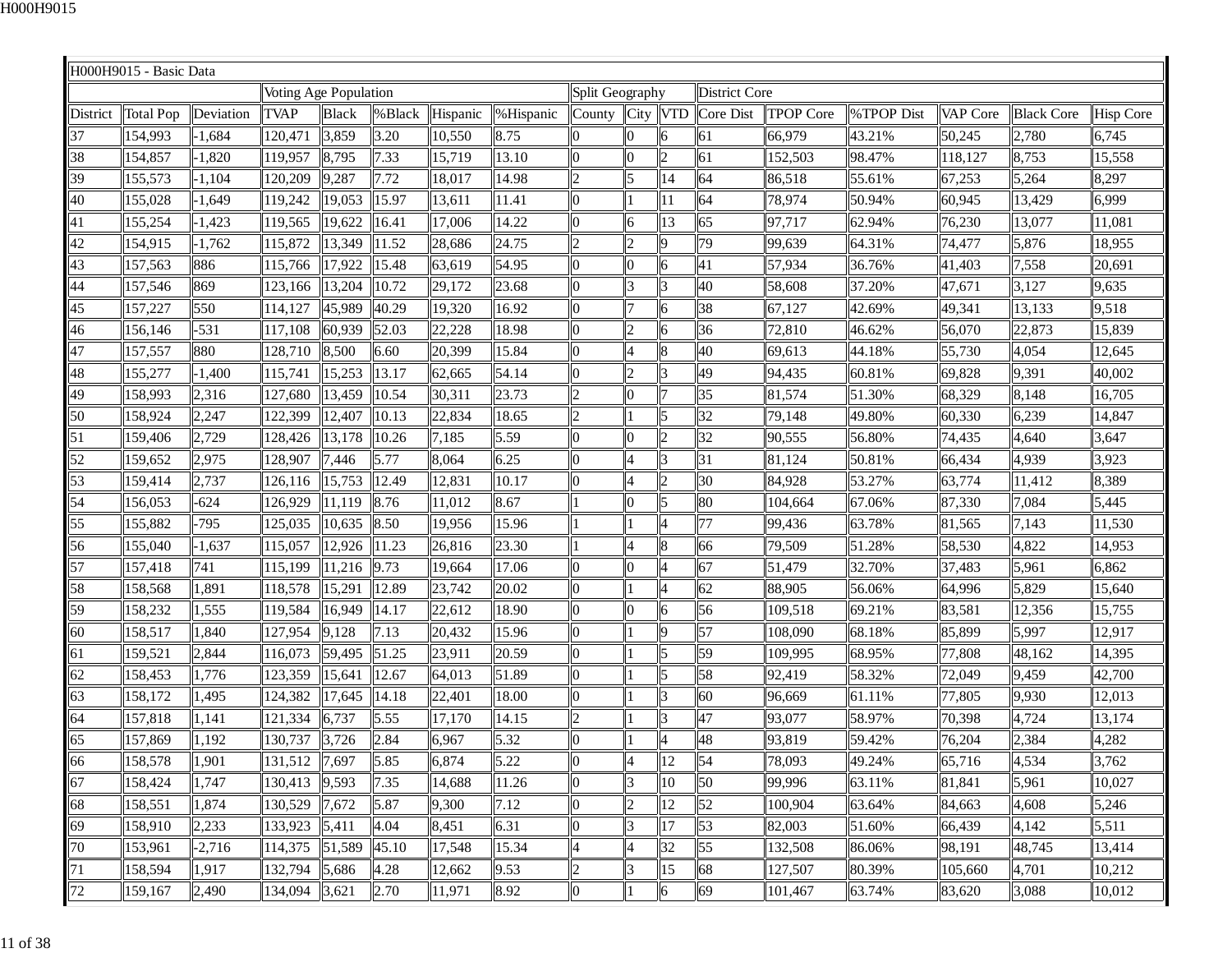|          | H000H9015 - Basic Data |           |                       |              |        |          |           |                 |                |                |                      |                  |            |          |                   |                  |
|----------|------------------------|-----------|-----------------------|--------------|--------|----------|-----------|-----------------|----------------|----------------|----------------------|------------------|------------|----------|-------------------|------------------|
|          |                        |           | Voting Age Population |              |        |          |           | Split Geography |                |                | <b>District Core</b> |                  |            |          |                   |                  |
| District | <b>Total Pop</b>       | Deviation | <b>TVAP</b>           | <b>Black</b> | %Black | Hispanic | %Hispanic | County          | City   VTD     |                | Core Dist            | <b>TPOP Core</b> | %TPOP Dist | VAP Core | <b>Black Core</b> | <b>Hisp Core</b> |
| 37       | 154,993                | 1,684     | 120,471               | 3,859        | 3.20   | 10,550   | 8.75      | $\overline{0}$  |                | 6              | 61                   | 66,979           | 43.21%     | 50,245   | 2,780             | 6,745            |
| 38       | 154,857                | 1,820     | 119,957               | 8,795        | 7.33   | 15,719   | 13.10     | 10              |                | $\overline{c}$ | 61                   | 152,503          | 98.47%     | 118,127  | 8,753             | 15,558           |
| 39       | 155,573                | $-1,104$  | 120,209               | 9,287        | 7.72   | 18,017   | 14.98     | $\overline{2}$  | 5              | 14             | 64                   | 86,518           | 55.61%     | 67,253   | 5,264             | 8,297            |
| 40       | 155,028                | $-1,649$  | 119,242               | 19,053       | 15.97  | 13,611   | 11.41     | $\overline{0}$  |                | 11             | 64                   | 78,974           | 50.94%     | 60,945   | 13,429            | 6,999            |
| 41       | 155,254                | $-1,423$  | 119,565               | 19,622       | 16.41  | 17,006   | 14.22     | $\overline{0}$  | 6              | 13             | 65                   | 97,717           | 62.94%     | 76,230   | 13,077            | 11,081           |
| 42       | 154,915                | $-1,762$  | 115,872               | 13,349       | 11.52  | 28,686   | 24.75     | $\vert$ 2       | $\overline{2}$ | $\vert$ 9      | 79                   | 99,639           | 64.31%     | 74,477   | 5,876             | 18,955           |
| 43       | 157,563                | 886       | 115,766               | 17,922       | 15.48  | 63,619   | 54.95     | $\overline{0}$  | 0              | 6              | 41                   | 57,934           | 36.76%     | 41,403   | 7,558             | 20,691           |
| 44       | 157,546                | 869       | 123,166               | 13,204       | 10.72  | 29,172   | 23.68     | 10              | 13             | 3              | 40                   | 58,608           | 37.20%     | 47,671   | 3,127             | 9,635            |
| 45       | 157,227                | 550       | 114,127               | 45,989       | 40.29  | 19,320   | 16.92     | $\overline{0}$  |                | 6              | 38                   | 67,127           | 42.69%     | 49,341   | 13,133            | 9,518            |
| 46       | 156,146                | $-531$    | 117,108               | 60,939       | 52.03  | 22,228   | 18.98     | 0               | $\overline{2}$ | 6              | 36                   | 72,810           | 46.62%     | 56,070   | 22,873            | 15,839           |
| 47       | 157,557                | 880       | 128,710               | 8,500        | 6.60   | 20,399   | 15.84     | $\overline{0}$  |                | 8              | 40                   | 69,613           | 44.18%     | 55,730   | 4,054             | 12,645           |
| 48       | 155,277                | $-1,400$  | 115,741               | 15,253       | 13.17  | 62,665   | 54.14     | l0              | $\mathcal{D}$  | 3              | 49                   | 94,435           | 60.81%     | 69,828   | 9,391             | 40,002           |
| 49       | 158,993                | 2,316     | 127,680               | 13,459       | 10.54  | 30,311   | 23.73     | $\vert$ 2       | n              | $\overline{7}$ | 35                   | 81,574           | 51.30%     | 68,329   | 8,148             | 16,705           |
| 50       | 158,924                | 2,247     | 122,399               | 12,407       | 10.13  | 22,834   | 18.65     | 2               |                | 5              | 32                   | 79,148           | 49.80%     | 60,330   | 6,239             | 14,847           |
| 51       | 159,406                | 2,729     | 128,426               | 13,178       | 10.26  | 7,185    | 5.59      | l0              |                | $\overline{c}$ | 32                   | 90,555           | 56.80%     | 74,435   | 4,640             | 3,647            |
| 52       | 159,652                | 2,975     | 128,907               | 7,446        | 5.77   | 8,064    | 6.25      | llo             | 4              | 3              | 31                   | 81,124           | 50.81%     | 66,434   | 4,939             | 3,923            |
| 53       | 159,414                | 2,737     | 126,116               | 15,753       | 12.49  | 12,831   | 10.17     | $\overline{0}$  |                | $\overline{c}$ | 30                   | 84,928           | 53.27%     | 63,774   | 11,412            | 8,389            |
| 54       | 156,053                | $-624$    | 126,929               | 11,119       | 8.76   | 11,012   | 8.67      |                 | O              | 5              | 80                   | 104,664          | 67.06%     | 87,330   | 7,084             | 5,445            |
| 55       | 155,882                | -795      | 125,035               | 10,635       | 8.50   | 19,956   | 15.96     |                 |                | $\overline{4}$ | 77                   | 99,436           | 63.78%     | 81,565   | 7,143             | 11,530           |
| 56       | 155,040                | $-1,637$  | 115,057               | 12,926       | 11.23  | 26,816   | 23.30     |                 |                | 8              | 66                   | 79,509           | 51.28%     | 58,530   | 4,822             | 14,953           |
| 57       | 157,418                | 741       | 115,199               | 11,216       | 9.73   | 19,664   | 17.06     | $\overline{0}$  | n              | 4              | 67                   | 51,479           | 32.70%     | 37,483   | 5,961             | 6,862            |
| 58       | 158,568                | 1,891     | 118,578               | 15,291       | 12.89  | 23,742   | 20.02     | 0               |                | 4              | 62                   | 88,905           | 56.06%     | 64,996   | 5,829             | 15,640           |
| 59       | 158,232                | 1,555     | 119,584               | 16,949       | 14.17  | 22,612   | 18.90     | $\overline{0}$  | <sup>o</sup>   | 6              | 56                   | 109,518          | 69.21%     | 83,581   | 12,356            | 15,755           |
| 60       | 158,517                | 1,840     | 127,954               | 9,128        | 7.13   | 20,432   | 15.96     | 10              |                | $\overline{9}$ | 57                   | 108,090          | 68.18%     | 85,899   | 5,997             | 12,917           |
| 61       | 159,521                | 2,844     | 116,073               | 59,495       | 51.25  | 23,911   | 20.59     | $\overline{0}$  |                | 5              | 59                   | 109,995          | 68.95%     | 77,808   | 48,162            | 14,395           |
| 62       | 158,453                | 1,776     | 123,359               | 15,641       | 12.67  | 64,013   | 51.89     | 0               |                | 5              | 58                   | 92,419           | 58.32%     | 72,049   | 9,459             | 42,700           |
| 63       | 158,172                | 1,495     | 124,382               | 17,645       | 14.18  | 22,401   | 18.00     | $\overline{0}$  |                | 3              | 60                   | 96,669           | 61.11%     | 77,805   | 9,930             | 12,013           |
| 64       | 157,818                | 1,141     | 121,334               | 6,737        | 5.55   | 17,170   | 14.15     | 2               |                | 3              | 47                   | 93,077           | 58.97%     | 70,398   | 4,724             | 13,174           |
| 65       | 157,869                | 1,192     | 130,737               | 3,726        | 2.84   | 6,967    | 5.32      | $\overline{0}$  |                | $\overline{4}$ | 48                   | 93,819           | 59.42%     | 76,204   | 2,384             | 4,282            |
| 66       | 158,578                | 1,901     | 131,512               | 7,697        | 5.85   | 6,874    | 5.22      | 10              | $\overline{A}$ | 12             | 54                   | 78,093           | 49.24%     | 65,716   | 4,534             | 3,762            |
| 67       | 158,424                | 1,747     | 130,413               | 9,593        | 7.35   | 14,688   | 11.26     | $\overline{0}$  | $\vert$ 3      | 10             | 50                   | 99,996           | 63.11%     | 81,841   | 5,961             | 10,027           |
| 68       | 158,551                | 1,874     | 130,529               | 7,672        | 5.87   | 9,300    | 7.12      | 10              | $\overline{2}$ | 12             | 52                   | 100,904          | 63.64%     | 84,663   | 4,608             | 5,246            |
| 69       | 158,910                | 2,233     | 133,923               | 5,411        | 4.04   | 8,451    | 6.31      | $\overline{0}$  | 13             | 17             | $\vert$ 53           | 82,003           | 51.60%     | 66,439   | 4,142             | 5,511            |
| 70       | 153,961                | $-2,716$  | 114,375               | 51,589       | 45.10  | 17,548   | 15.34     | $\overline{4}$  | 4              | 32             | $\vert$ 55           | 132,508          | 86.06%     | 98,191   | 48,745            | 13,414           |
| 71       | 158,594                | 1,917     | 132,794               | 5,686        | 4.28   | 12,662   | 9.53      | $ 2\rangle$     | 13             | 15             | 68                   | 127,507          | 80.39%     | 105,660  | 4,701             | 10,212           |
| 72       | 159,167                | 2,490     | 134,094 3,621         |              | 2.70   | 11,971   | 8.92      | $\vert 0 \vert$ | l1             | 6              | 69                   | 101,467          | 63.74%     | 83,620   | 3,088             | 10,012           |
|          |                        |           |                       |              |        |          |           |                 |                |                |                      |                  |            |          |                   |                  |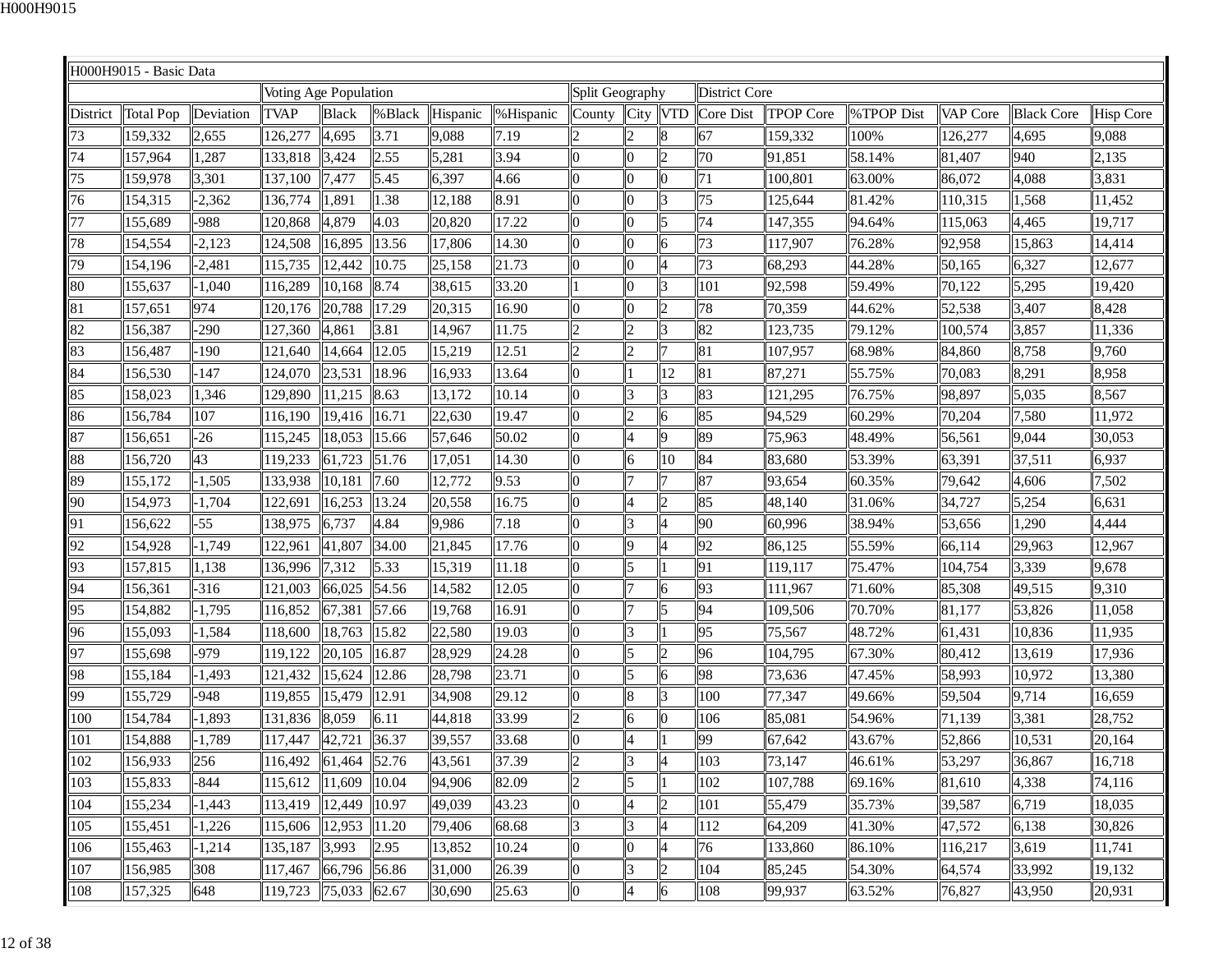|          | H000H9015 - Basic Data |           |                       |              |         |          |           |                      |                |                          |                      |                  |            |          |                   |                  |
|----------|------------------------|-----------|-----------------------|--------------|---------|----------|-----------|----------------------|----------------|--------------------------|----------------------|------------------|------------|----------|-------------------|------------------|
|          |                        |           | Voting Age Population |              |         |          |           | Split Geography      |                |                          | <b>District Core</b> |                  |            |          |                   |                  |
| District | <b>Total Pop</b>       | Deviation | <b>TVAP</b>           | <b>Black</b> | % Black | Hispanic | %Hispanic | County               | City VTD       |                          | Core Dist            | <b>TPOP Core</b> | %TPOP Dist | VAP Core | <b>Black Core</b> | <b>Hisp Core</b> |
| 73       | 159,332                | 2,655     | 126,277               | 4,695        | 3.71    | 9,088    | 7.19      | 2                    |                | 8                        | 67                   | 159,332          | 100%       | 126,277  | 4,695             | 9,088            |
| 74       | 157,964                | 1,287     | 133,818               | 3,424        | 2.55    | 5,281    | 3.94      | l0                   |                | $\overline{c}$           | 70                   | 91,851           | 58.14%     | 81,407   | 940               | 2,135            |
| 75       | 159,978                | 3,301     | 137,100               | 7,477        | 5.45    | 6,397    | 4.66      | $\overline{0}$       |                | $\bf{0}$                 | 71                   | 100,801          | 63.00%     | 86,072   | 4,088             | 3,831            |
| 76       | 154,315                | $-2,362$  | 136,774               | 1,891        | 1.38    | 12,188   | 8.91      | $\overline{0}$       | 0              | 3                        | 75                   | 125,644          | 81.42%     | 110,315  | .568              | 11,452           |
| 77       | 155,689                | -988      | 120,868               | 4,879        | 4.03    | 20,820   | 17.22     | $\overline{0}$       | <sup>0</sup>   | 5                        | 74                   | 147,355          | 94.64%     | 115,063  | 4,465             | 19,717           |
| 78       | 154,554                | $-2,123$  | 124,508               | 16,895       | 13.56   | 17,806   | 14.30     | $\overline{0}$       | n              | 6                        | $\overline{73}$      | 117,907          | 76.28%     | 92,958   | 15,863            | 14,414           |
| 79       | 154,196                | $-2,481$  | 115,735               | 12,442       | 10.75   | 25,158   | 21.73     | $\overline{0}$       | 0              | $\overline{4}$           | 73                   | 68,293           | 44.28%     | 50,165   | 6,327             | 12,677           |
| 80       | 155,637                | $-1,040$  | 116,289               | 10,168       | 8.74    | 38,615   | 33.20     | 11                   | 0              | 3                        | 101                  | 92,598           | 59.49%     | 70,122   | 5,295             | 19,420           |
| 81       | 157,651                | 974       | 120,176               | 20,788       | 17.29   | 20,315   | 16.90     | $\overline{0}$       |                | $\overline{c}$           | 78                   | 70,359           | 44.62%     | 52,538   | 3,407             | 8,428            |
| 82       | 156,387                | $-290$    | 127,360               | 4,861        | 3.81    | 14,967   | 11.75     | $\overline{2}$       | $\overline{c}$ | 3                        | 82                   | 123,735          | 79.12%     | 100,574  | 3,857             | 11,336           |
| 83       | 156,487                | -190      | 121,640               | 14,664       | 12.05   | 15,219   | 12.51     | 2                    | 2              |                          | 81                   | 107,957          | 68.98%     | 84,860   | 8,758             | 9,760            |
| 84       | 156,530                | 147       | 124,070               | 23,531       | 18.96   | 16,933   | 13.64     | $\overline{0}$       |                | 12                       | 81                   | 87,271           | 55.75%     | 70,083   | 8,291             | 8,958            |
| 85       | 158,023                | 1,346     | 129,890               | 11,215       | 8.63    | 13,172   | 10.14     | $\overline{0}$       | 13             | 3                        | 83                   | 121,295          | 76.75%     | 98,897   | 5,035             | 8,567            |
| 86       | 156,784                | 107       | 116,190               | 19,416       | 16.71   | 22,630   | 19.47     | 0                    | $\overline{c}$ | 6                        | 85                   | 94,529           | 60.29%     | 70,204   | 7,580             | 11,972           |
| 87       | 156,651                | $-26$     | 115,245               | 18,053       | 15.66   | 57,646   | 50.02     | $\overline{0}$       | $\overline{4}$ | $\vert$ 9                | 89                   | 75,963           | 48.49%     | 56,561   | 9,044             | 30,053           |
| 88       | 156,720                | 43        | 119,233               | 61,723       | 51.76   | 17,051   | 14.30     | 0                    | 6              | 10                       | 84                   | 83,680           | 53.39%     | 63,391   | 37,511            | 6,937            |
| 89       | 155,172                | 1,505     | 133,938               | 10,181       | 7.60    | 12,772   | 9.53      | $\overline{0}$       |                |                          | 87                   | 93,654           | 60.35%     | 79,642   | 4,606             | 7,502            |
| 90       | 154,973                | $-1,704$  | 122,691               | 16,253       | 13.24   | 20,558   | 16.75     | 10                   |                | $\overline{c}$           | 85                   | 48,140           | 31.06%     | 34,727   | 5,254             | 6,631            |
| 91       | 156,622                | $-55$     | 138,975               | 6,737        | 4.84    | 9,986    | 7.18      | $\overline{0}$       | 13             | $\overline{\mathcal{A}}$ | 90                   | 60,996           | 38.94%     | 53,656   | 1,290             | 4,444            |
| 92       | 154,928                | 1,749     | 122,961               | 41,807       | 34.00   | 21,845   | 17.76     | $\overline{0}$       | 9              |                          | 92                   | 86,125           | 55.59%     | 66,114   | 29,963            | 12,967           |
| 93       | 157,815                | 1,138     | 136,996               | 7,312        | 5.33    | 15,319   | 11.18     | $\overline{0}$       | 5              |                          | 91                   | 119,117          | 75.47%     | 104,754  | 3,339             | 9,678            |
| 94       | 156,361                | $-316$    | 121,003               | 66,025       | 54.56   | 14,582   | 12.05     | $\overline{0}$       |                | 6                        | 93                   | 111,967          | 71.60%     | 85,308   | 49,515            | 9,310            |
| 95       | 154,882                | $-1,795$  | 116,852               | 67,381       | 57.66   | 19,768   | 16.91     | 0                    |                | 5                        | 94                   | 109,506          | 70.70%     | 81,177   | 53,826            | 11,058           |
| 96       | 155,093                | $-1,584$  | 118,600               | 18,763       | 15.82   | 22,580   | 19.03     | $\overline{0}$       | 3              |                          | 95                   | 75,567           | 48.72%     | 61,431   | 10,836            | 11,935           |
| 97       | 155,698                | -979      | 119,122               | 20,105       | 16.87   | 28,929   | 24.28     | $\overline{0}$       |                | $\overline{c}$           | 96                   | 104,795          | 67.30%     | 80,412   | 13,619            | 17,936           |
| 98       | 155,184                | 1,493     | 121,432               | 15,624       | 12.86   | 28,798   | 23.71     | $\overline{0}$       | 15             | 6                        | 98                   | 73,636           | 47.45%     | 58,993   | 10,972            | 13,380           |
| 99       | 155,729                | -948      | 119,855               | 15,479       | 12.91   | 34,908   | 29.12     | $\overline{0}$       |                | 3                        | 100                  | 77,347           | 49.66%     | 59,504   | 9,714             | 16,659           |
| 100      | 154,784                | 1,893     | 131,836               | 8,059        | 6.11    | 44,818   | 33.99     | 2                    | 6              | $\bf{0}$                 | 106                  | 85,081           | 54.96%     | 71,139   | 3,381             | 28,752           |
| 101      | 154,888                | $-1,789$  | 117,447               | 42,721       | 36.37   | 39,557   | 33.68     | 0                    | 4              |                          | 99                   | 67,642           | 43.67%     | 52,866   | 10,531            | 20,164           |
| 102      | 156,933                | 256       | 116,492               | 61,464 52.76 |         | 43,561   | 37.39     | $ 2\rangle$          | 3              | 4                        | 103                  | 73,147           | 46.61%     | 53,297   | 36,867            | 16,718           |
| 103      | 155,833                | $-844$    | 115,612               | 11,609       | 10.04   | 94,906   | 82.09     | $ 2\rangle$          | 5              |                          | 102                  | 107,788          | 69.16%     | 81,610   | 4,338             | 74,116           |
| 104      | 155,234                | $-1,443$  | 113,419               | 12,449       | 10.97   | 49,039   | 43.23     | 10                   | 4              | $\overline{c}$           | 101                  | 55,479           | 35.73%     | 39,587   | 6,719             | 18,035           |
| 105      | 155,451                | 1,226     | 115,606               | 12,953       | 11.20   | 79,406   | 68.68     | $\vert 3 \vert$      | 13             |                          | 112                  | 64,209           | 41.30%     | 47,572   | 6,138             | 30,826           |
| 106      | 155,463                | $-1,214$  | 135,187               | 3,993        | 2.95    | 13,852   | 10.24     | 0                    | 0              | $\overline{4}$           | 76                   | 133,860          | 86.10%     | 116,217  | 3,619             | 11,741           |
| 107      | 156,985                | 308       | 117,467               | 66,796 56.86 |         | 31,000   | 26.39     | $\overline{0}$       | 13             | $\overline{2}$           | 104                  | 85,245           | 54.30%     | 64,574   | 33,992            | 19,132           |
| 108      | 157,325                | 648       | 119,723               | 75,033 62.67 |         | 30,690   | 25.63     | $\vert\vert 0 \vert$ | $\overline{4}$ | 6                        | 108                  | 99,937           | 63.52%     | 76,827   | 43,950            | 20,931           |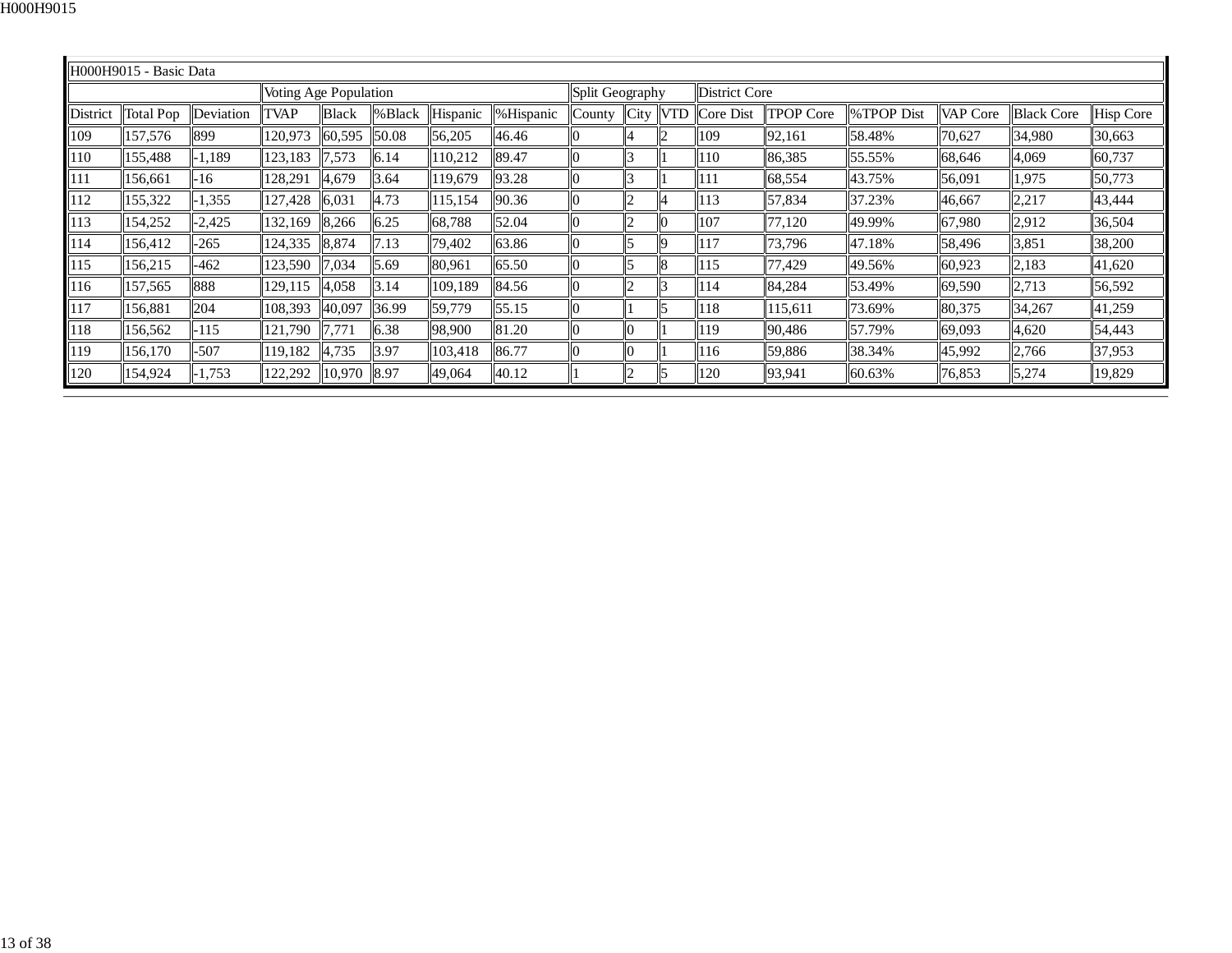|          | H000H9015 - Basic Data |           |                       |              |         |          |           |                 |      |            |                      |                  |            |          |                   |                  |
|----------|------------------------|-----------|-----------------------|--------------|---------|----------|-----------|-----------------|------|------------|----------------------|------------------|------------|----------|-------------------|------------------|
|          |                        |           | Voting Age Population |              |         |          |           | Split Geography |      |            | <b>District Core</b> |                  |            |          |                   |                  |
| District | <b>Total Pop</b>       | Deviation | <b>TVAP</b>           | <b>Black</b> | % Black | Hispanic | %Hispanic | County          | City | <b>VTD</b> | Core Dist            | <b>TPOP Core</b> | %TPOP Dist | VAP Core | <b>Black Core</b> | <b>Hisp Core</b> |
| 109      | 157,576                | 899       | 120,973               | 60,595       | 50.08   | 56,205   | 46.46     |                 |      |            | 109                  | 92,161           | 58.48%     | 70,627   | 34,980            | 30,663           |
| 110      | 155,488                | $-1.189$  | 123,183               | 7,573        | 6.14    | 110,212  | 89.47     |                 |      |            | 110                  | 86,385           | 55.55%     | 68,646   | 4,069             | 60,737           |
| 111      | 156,661                | -16       | 128,291               | 4,679        | 3.64    | 119,679  | 93.28     |                 |      |            | 111                  | 68,554           | 43.75%     | 56,091   | 1,975             | 50,773           |
| 112      | 155,322                | $-1,355$  | 127,428               | 6,031        | 4.73    | 115, 154 | 90.36     |                 |      |            | 113                  | 57,834           | 37.23%     | 46,667   | 2,217             | 43,444           |
| 113      | 154,252                | $-2,425$  | 132,169               | 8,266        | 6.25    | 68,788   | 52.04     |                 |      | IO         | 107                  | 77,120           | 49.99%     | 67,980   | 2,912             | 36,504           |
| 114      | 156,412                | $-265$    | 124,335               | 8,874        | 7.13    | 79,402   | 63.86     |                 |      | Iq         | 117                  | 73,796           | 47.18%     | 58,496   | 3,851             | 38,200           |
| 115      | 156,215                | $-462$    | 123,590               | 7,034        | 5.69    | 80,961   | 65.50     |                 |      | 8          | 115                  | 77,429           | 49.56%     | 60,923   | 2,183             | 41,620           |
| 116      | 157,565                | 888       | 129,115               | 4,058        | 3.14    | 109,189  | 84.56     |                 |      | 13         | 114                  | 84,284           | 53.49%     | 69,590   | 2,713             | 56,592           |
| 117      | 156,881                | 204       | 108,393               | 40,097       | 36.99   | 59,779   | 55.15     |                 |      | I٢         | 118                  | 115,611          | 73.69%     | 80,375   | 34,267            | 41,259           |
| 118      | 156,562                | -115      | 121.790               | 7.771        | 6.38    | 98,900   | 81.20     |                 |      |            | 119                  | 90,486           | 57.79%     | 69,093   | 4,620             | 54,443           |
| 119      | 156,170                | $-507$    | 119,182               | 4,735        | 3.97    | 103,418  | 86.77     |                 |      |            | 116                  | 59,886           | 38.34%     | 45,992   | 2,766             | 37,953           |
| 120      | 154,924                | $-1,753$  | 122,292               | 10,970       | 8.97    | 49,064   | 40.12     |                 |      | l5         | 120                  | 93,941           | 60.63%     | 76,853   | 5,274             | 19,829           |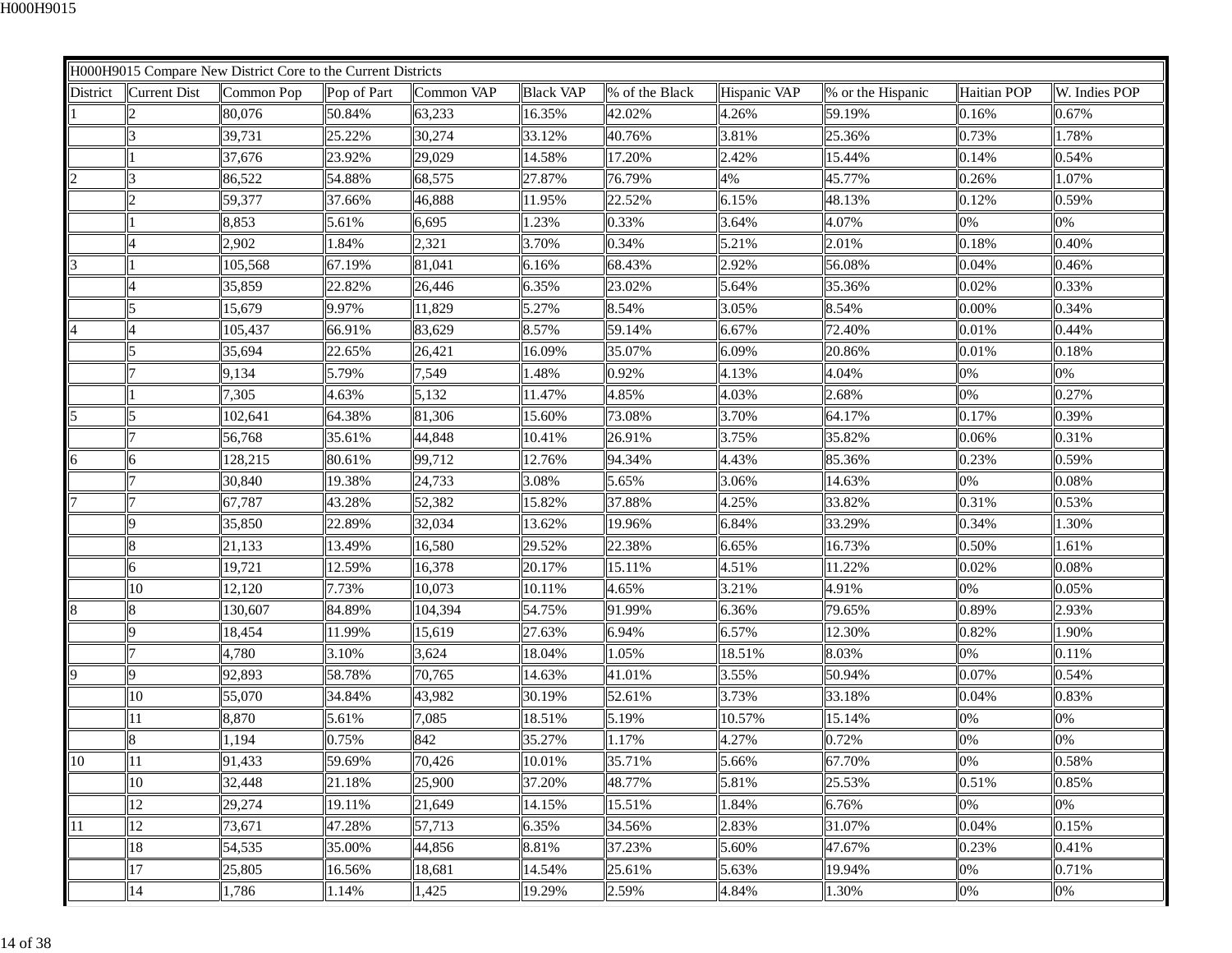|          |                         | H000H9015 Compare New District Core to the Current Districts |             |            |                  |                |              |                   |                    |               |
|----------|-------------------------|--------------------------------------------------------------|-------------|------------|------------------|----------------|--------------|-------------------|--------------------|---------------|
| District | <b>Current Dist</b>     | Common Pop                                                   | Pop of Part | Common VAP | <b>Black VAP</b> | % of the Black | Hispanic VAP | % or the Hispanic | <b>Haitian POP</b> | W. Indies POP |
|          |                         | 80,076                                                       | 50.84%      | 63,233     | 16.35%           | 42.02%         | 4.26%        | 59.19%            | 0.16%              | 0.67%         |
|          | 3                       | 39,731                                                       | 25.22%      | 30,274     | 33.12%           | 40.76%         | 3.81%        | 25.36%            | 0.73%              | 1.78%         |
|          |                         | 37,676                                                       | 23.92%      | 29,029     | 14.58%           | 17.20%         | 2.42%        | 15.44%            | 0.14%              | 0.54%         |
|          |                         | 86,522                                                       | 54.88%      | 68,575     | 27.87%           | 76.79%         | 4%           | 45.77%            | 0.26%              | 1.07%         |
|          | $\overline{c}$          | 59,377                                                       | 37.66%      | 46,888     | 11.95%           | 22.52%         | 6.15%        | 48.13%            | 0.12%              | 0.59%         |
|          |                         | 8,853                                                        | 5.61%       | 6,695      | 1.23%            | 0.33%          | 3.64%        | 4.07%             | 0%                 | 0%            |
|          |                         | 2,902                                                        | 1.84%       | 2,321      | 3.70%            | 0.34%          | 5.21%        | 2.01%             | 0.18%              | 0.40%         |
|          |                         | 105,568                                                      | 67.19%      | 81,041     | 6.16%            | 68.43%         | 2.92%        | 56.08%            | 0.04%              | 0.46%         |
|          |                         | 35,859                                                       | 22.82%      | 26,446     | 6.35%            | 23.02%         | 5.64%        | 35.36%            | 0.02%              | 0.33%         |
|          |                         | 15,679                                                       | 9.97%       | 11,829     | 5.27%            | 8.54%          | 3.05%        | 8.54%             | 0.00%              | 0.34%         |
|          |                         | 105,437                                                      | 66.91%      | 83,629     | 8.57%            | 59.14%         | 6.67%        | 72.40%            | 0.01%              | 0.44%         |
|          |                         | 35,694                                                       | 22.65%      | 26,421     | 16.09%           | 35.07%         | 6.09%        | 20.86%            | 0.01%              | 0.18%         |
|          |                         | 9,134                                                        | 5.79%       | 7,549      | 1.48%            | 0.92%          | 4.13%        | 4.04%             | 0%                 | 0%            |
|          |                         | 7,305                                                        | 4.63%       | 5,132      | 11.47%           | 4.85%          | 4.03%        | 2.68%             | 0%                 | 0.27%         |
|          | $\overline{\mathbf{5}}$ | 102,641                                                      | 64.38%      | 81,306     | 15.60%           | 73.08%         | 3.70%        | 64.17%            | 0.17%              | 0.39%         |
|          |                         | 56,768                                                       | 35.61%      | 44,848     | 10.41%           | 26.91%         | 3.75%        | 35.82%            | 0.06%              | 0.31%         |
| 6        | 6                       | 128,215                                                      | 80.61%      | 99,712     | 12.76%           | 94.34%         | 4.43%        | 85.36%            | 0.23%              | 0.59%         |
|          |                         | 30,840                                                       | 19.38%      | 24,733     | 3.08%            | 5.65%          | 3.06%        | 14.63%            | 0%                 | 0.08%         |
|          |                         | 67,787                                                       | 43.28%      | 52,382     | 15.82%           | 37.88%         | 4.25%        | 33.82%            | 0.31%              | 0.53%         |
|          | Q                       | 35,850                                                       | 22.89%      | 32,034     | 13.62%           | 19.96%         | 6.84%        | 33.29%            | 0.34%              | 1.30%         |
|          | 8                       | 21,133                                                       | 13.49%      | 16,580     | 29.52%           | 22.38%         | 6.65%        | 16.73%            | 0.50%              | 1.61%         |
|          | 6                       | 19,721                                                       | 12.59%      | 16,378     | 20.17%           | 15.11%         | 4.51%        | 11.22%            | 0.02%              | 0.08%         |
|          | 10                      | 12,120                                                       | 7.73%       | 10,073     | 10.11%           | 4.65%          | 3.21%        | 4.91%             | 0%                 | 0.05%         |
| 8        | 8                       | 130,607                                                      | 84.89%      | 104,394    | 54.75%           | 91.99%         | 6.36%        | 79.65%            | 0.89%              | 2.93%         |
|          | 9                       | 18,454                                                       | 11.99%      | 15,619     | 27.63%           | 6.94%          | 6.57%        | 12.30%            | 0.82%              | 1.90%         |
|          |                         | 4,780                                                        | 3.10%       | 3,624      | 18.04%           | 1.05%          | 18.51%       | 8.03%             | 0%                 | 0.11%         |
|          | 9                       | 92,893                                                       | 58.78%      | 70,765     | 14.63%           | 41.01%         | 3.55%        | 50.94%            | 0.07%              | 0.54%         |
|          | 10                      | 55,070                                                       | 34.84%      | 43,982     | 30.19%           | 52.61%         | 3.73%        | 33.18%            | 0.04%              | 0.83%         |
|          | 11                      | 8,870                                                        | 5.61%       | 7,085      | 18.51%           | 5.19%          | 10.57%       | 15.14%            | 0%                 | 0%            |
|          | 8                       | 1,194                                                        | 0.75%       | 842        | 35.27%           | 1.17%          | 4.27%        | 0.72%             | 0%                 | 0%            |
| 10       | 11                      | 91,433                                                       | 59.69%      | 70,426     | 10.01%           | 35.71%         | 5.66%        | 67.70%            | 0%                 | 0.58%         |
|          | 10                      | 32,448                                                       | 21.18%      | 25,900     | 37.20%           | 48.77%         | 5.81%        | 25.53%            | 0.51%              | 0.85%         |
|          | 12                      | 29,274                                                       | 19.11%      | 21,649     | 14.15%           | 15.51%         | 1.84%        | 6.76%             | 0%                 | 0%            |
| 11       | 12                      | 73,671                                                       | 47.28%      | 57,713     | 6.35%            | 34.56%         | 2.83%        | 31.07%            | 0.04%              | 0.15%         |
|          | 18                      | 54,535                                                       | 35.00%      | 44,856     | 8.81%            | 37.23%         | 5.60%        | 47.67%            | 0.23%              | 0.41%         |
|          | 17                      | 25,805                                                       | 16.56%      | 18,681     | 14.54%           | 25.61%         | 5.63%        | 19.94%            | 0%                 | 0.71%         |
|          | 14                      | 1,786                                                        | 1.14%       | 1,425      | 19.29%           | 2.59%          | 4.84%        | 1.30%             | 0%                 | $0\%$         |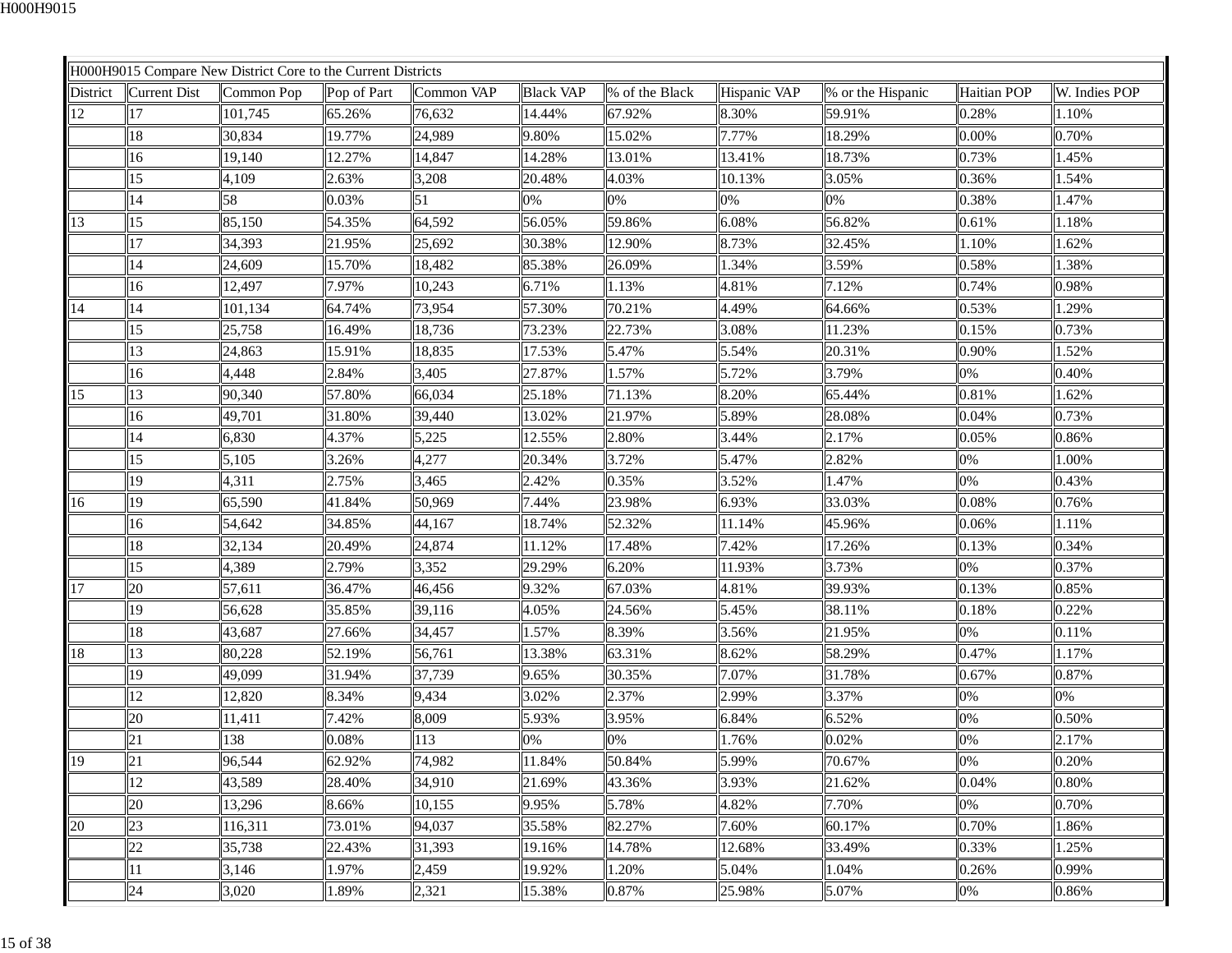| H000H9015 Compare New District Core to the Current Districts |             |            |                  |                |              |                   |             |               |
|--------------------------------------------------------------|-------------|------------|------------------|----------------|--------------|-------------------|-------------|---------------|
| District<br>Current Dist<br>Common Pop                       | Pop of Part | Common VAP | <b>Black VAP</b> | % of the Black | Hispanic VAP | % or the Hispanic | Haitian POP | W. Indies POP |
| 12<br>17<br>101,745                                          | 65.26%      | 76,632     | 14.44%           | 67.92%         | 8.30%        | 59.91%            | 0.28%       | 1.10%         |
| 18<br>30,834                                                 | 19.77%      | 24,989     | 9.80%            | 15.02%         | 7.77%        | 18.29%            | 0.00%       | 0.70%         |
| 16<br>19,140                                                 | 12.27%      | 14,847     | 14.28%           | 13.01%         | 13.41%       | 18.73%            | 0.73%       | 1.45%         |
| 15<br>4,109                                                  | 2.63%       | 3,208      | 20.48%           | 4.03%          | 10.13%       | 3.05%             | 0.36%       | 1.54%         |
| 58<br>14                                                     | 0.03%       | 51         | 0%               | 0%             | 0%           | 0%                | 0.38%       | 1.47%         |
| 85,150<br>13<br>15                                           | 54.35%      | 64,592     | 56.05%           | 59.86%         | 6.08%        | 56.82%            | 0.61%       | 1.18%         |
| 17<br>34,393                                                 | 21.95%      | 25,692     | 30.38%           | 12.90%         | 8.73%        | 32.45%            | 1.10%       | 1.62%         |
| 14<br>24,609                                                 | 15.70%      | 18,482     | 85.38%           | 26.09%         | 1.34%        | 3.59%             | 0.58%       | 1.38%         |
| 16<br>12,497                                                 | 7.97%       | 10,243     | 6.71%            | 1.13%          | 4.81%        | 7.12%             | 0.74%       | 0.98%         |
| 14<br>14<br>101,134                                          | 64.74%      | 73,954     | 57.30%           | 70.21%         | 4.49%        | 64.66%            | 0.53%       | 1.29%         |
| 15<br>25,758                                                 | 16.49%      | 18,736     | 73.23%           | 22.73%         | 3.08%        | 11.23%            | 0.15%       | 0.73%         |
| 13<br>24,863                                                 | 15.91%      | 18,835     | 17.53%           | 5.47%          | 5.54%        | 20.31%            | 0.90%       | 1.52%         |
| 16<br>4,448                                                  | 2.84%       | 3,405      | 27.87%           | 1.57%          | 5.72%        | 3.79%             | 0%          | 0.40%         |
| 15<br>13<br>90,340                                           | 57.80%      | 66,034     | 25.18%           | 71.13%         | 8.20%        | 65.44%            | 0.81%       | 1.62%         |
| 16<br>49,701                                                 | 31.80%      | 39,440     | 13.02%           | 21.97%         | 5.89%        | 28.08%            | 0.04%       | 0.73%         |
| 14<br>6,830                                                  | 4.37%       | 5,225      | 12.55%           | 2.80%          | 3.44%        | 2.17%             | 0.05%       | 0.86%         |
| 5,105<br>15                                                  | 3.26%       | 4,277      | 20.34%           | 3.72%          | 5.47%        | 2.82%             | 0%          | 1.00%         |
| 19<br>4,311                                                  | 2.75%       | 3,465      | 2.42%            | 0.35%          | 3.52%        | 1.47%             | 0%          | 0.43%         |
| 19<br>65,590<br>16                                           | 41.84%      | 50,969     | 7.44%            | 23.98%         | 6.93%        | 33.03%            | 0.08%       | 0.76%         |
| 54,642<br>16                                                 | 34.85%      | 44,167     | 18.74%           | 52.32%         | 11.14%       | 45.96%            | 0.06%       | 1.11%         |
| 18<br>32,134                                                 | 20.49%      | 24,874     | 11.12%           | 17.48%         | 7.42%        | 17.26%            | 0.13%       | 0.34%         |
| 15<br>4,389                                                  | 2.79%       | 3,352      | 29.29%           | 6.20%          | 11.93%       | 3.73%             | 0%          | 0.37%         |
| 17<br>57,611<br>20                                           | 36.47%      | 46,456     | 9.32%            | 67.03%         | 4.81%        | 39.93%            | 0.13%       | 0.85%         |
| 19<br>56,628                                                 | 35.85%      | 39,116     | 4.05%            | 24.56%         | 5.45%        | 38.11%            | 0.18%       | 0.22%         |
| 18<br>43,687                                                 | 27.66%      | 34,457     | 1.57%            | 8.39%          | 3.56%        | 21.95%            | 0%          | 0.11%         |
| 13<br>18<br>80,228                                           | 52.19%      | 56,761     | 13.38%           | 63.31%         | 8.62%        | 58.29%            | 0.47%       | 1.17%         |
| 19<br>49,099                                                 | 31.94%      | 37,739     | 9.65%            | 30.35%         | 7.07%        | 31.78%            | 0.67%       | 0.87%         |
| 12<br>12,820                                                 | 8.34%       | 9,434      | 3.02%            | 2.37%          | 2.99%        | 3.37%             | 0%          | 0%            |
| 20<br>11,411                                                 | 7.42%       | 8,009      | 5.93%            | 3.95%          | 6.84%        | 6.52%             | 0%          | 0.50%         |
| 138<br>21                                                    | 0.08%       | 113        | 0%               | 0%             | 1.76%        | 0.02%             | 0%          | 2.17%         |
| 19<br>21<br>96,544                                           | 62.92%      | 74,982     | 11.84%           | 50.84%         | 5.99%        | 70.67%            | 0%          | 0.20%         |
| 12<br>43,589                                                 | 28.40%      | 34,910     | 21.69%           | 43.36%         | 3.93%        | 21.62%            | 0.04%       | 0.80%         |
| 20<br>13,296                                                 | 8.66%       | 10,155     | 9.95%            | 5.78%          | 4.82%        | 7.70%             | 0%          | 0.70%         |
| 20<br>23<br>116,311                                          | 73.01%      | 94,037     | 35.58%           | 82.27%         | 7.60%        | 60.17%            | 0.70%       | 1.86%         |
| 22<br>35,738                                                 | 22.43%      | 31,393     | 19.16%           | 14.78%         | 12.68%       | 33.49%            | 0.33%       | 1.25%         |
| 3,146<br>11                                                  | 1.97%       | 2,459      | 19.92%           | 1.20%          | 5.04%        | 1.04%             | 0.26%       | 0.99%         |
| 24<br>3,020                                                  | 1.89%       | 2,321      | 15.38%           | 0.87%          | 25.98%       | 5.07%             | 0%          | 0.86%         |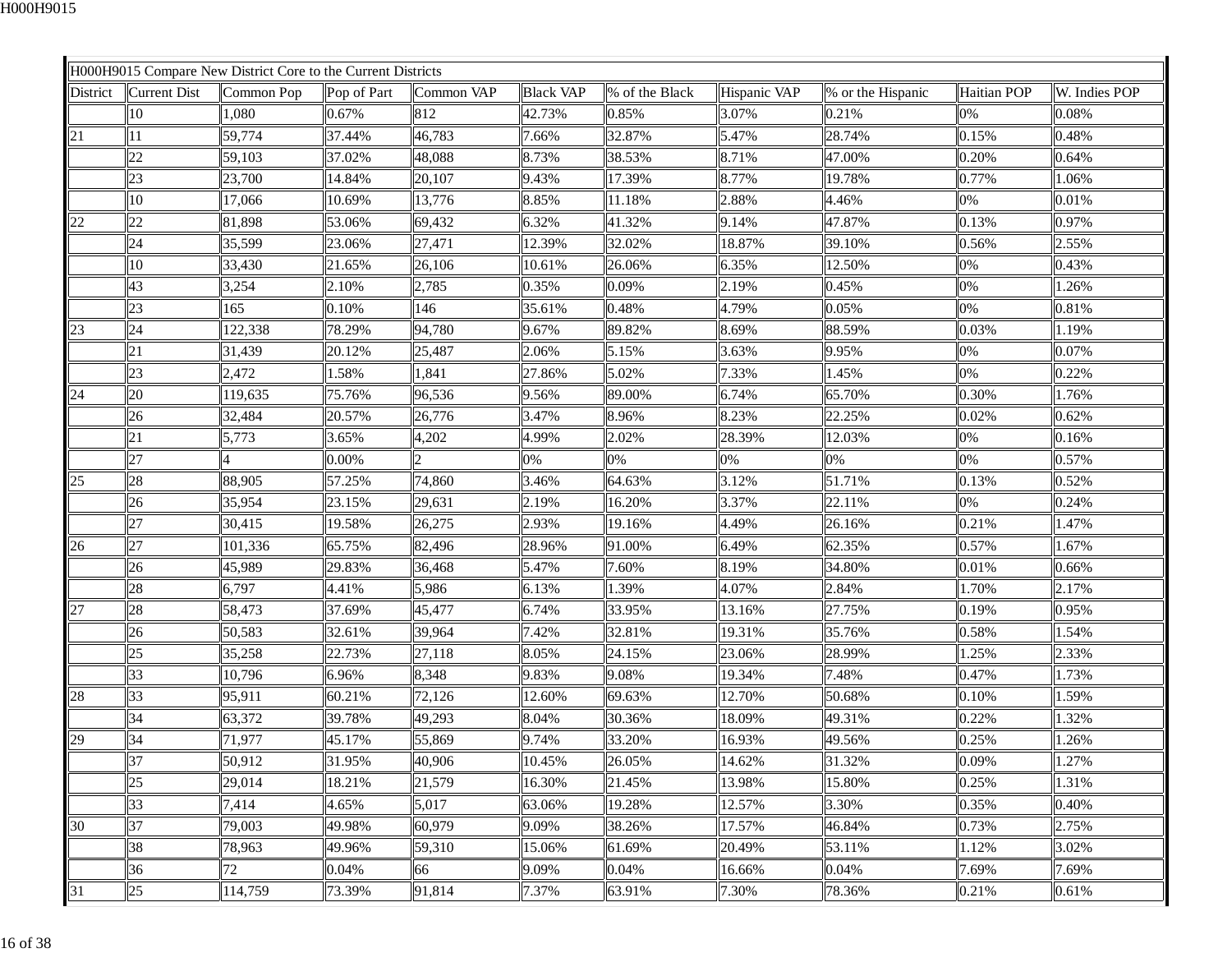|          |              | H000H9015 Compare New District Core to the Current Districts |             |            |                  |                |              |                   |             |               |
|----------|--------------|--------------------------------------------------------------|-------------|------------|------------------|----------------|--------------|-------------------|-------------|---------------|
| District | Current Dist | Common Pop                                                   | Pop of Part | Common VAP | <b>Black VAP</b> | % of the Black | Hispanic VAP | % or the Hispanic | Haitian POP | W. Indies POP |
|          | 10           | 1,080                                                        | 0.67%       | 812        | 42.73%           | 0.85%          | 3.07%        | 0.21%             | 0%          | 0.08%         |
| 21       | 11           | 59,774                                                       | 37.44%      | 46,783     | 7.66%            | 32.87%         | 5.47%        | 28.74%            | 0.15%       | 0.48%         |
|          | 22           | 59,103                                                       | 37.02%      | 48,088     | 8.73%            | 38.53%         | 8.71%        | 47.00%            | 0.20%       | 0.64%         |
|          | 23           | 23,700                                                       | 14.84%      | 20,107     | 9.43%            | 17.39%         | 8.77%        | 19.78%            | 0.77%       | 1.06%         |
|          | 10           | 17,066                                                       | 10.69%      | 13,776     | 8.85%            | 11.18%         | 2.88%        | 4.46%             | 0%          | 0.01%         |
| 22       | 22           | 81,898                                                       | 53.06%      | 69,432     | 6.32%            | 41.32%         | 9.14%        | 47.87%            | 0.13%       | 0.97%         |
|          | 24           | 35,599                                                       | 23.06%      | 27,471     | 12.39%           | 32.02%         | 18.87%       | 39.10%            | 0.56%       | 2.55%         |
|          | 10           | 33,430                                                       | 21.65%      | 26,106     | 10.61%           | 26.06%         | 6.35%        | 12.50%            | 0%          | 0.43%         |
|          | 43           | 3,254                                                        | 2.10%       | 2,785      | 0.35%            | 0.09%          | 2.19%        | 0.45%             | 0%          | 1.26%         |
|          | 23           | 165                                                          | 0.10%       | 146        | 35.61%           | 0.48%          | 4.79%        | $ 0.05\%$         | 0%          | 0.81%         |
| 23       | 24           | 122,338                                                      | 78.29%      | 94,780     | 9.67%            | 89.82%         | 8.69%        | 88.59%            | 0.03%       | 1.19%         |
|          | 21           | 31,439                                                       | 20.12%      | 25,487     | 2.06%            | 5.15%          | 3.63%        | 9.95%             | 0%          | 0.07%         |
|          | 23           | 2,472                                                        | 1.58%       | 1,841      | 27.86%           | 5.02%          | 7.33%        | 1.45%             | 0%          | 0.22%         |
| 24       | 20           | 119,635                                                      | 75.76%      | 96,536     | 9.56%            | 89.00%         | 6.74%        | 65.70%            | 0.30%       | 1.76%         |
|          | 26           | 32,484                                                       | 20.57%      | 26,776     | 3.47%            | 8.96%          | 8.23%        | 22.25%            | 0.02%       | 0.62%         |
|          | 21           | 5,773                                                        | 3.65%       | 4,202      | 4.99%            | 2.02%          | 28.39%       | 12.03%            | 0%          | 0.16%         |
|          | 27           |                                                              | 0.00%       |            | 0%               | 0%             | 0%           | 0%                | 0%          | 0.57%         |
| 25       | 28           | 88,905                                                       | 57.25%      | 74,860     | 3.46%            | 64.63%         | 3.12%        | 51.71%            | 0.13%       | 0.52%         |
|          | 26           | 35,954                                                       | 23.15%      | 29,631     | 2.19%            | 16.20%         | 3.37%        | 22.11%            | 0%          | 0.24%         |
|          | 27           | 30,415                                                       | 19.58%      | 26,275     | 2.93%            | 19.16%         | 4.49%        | 26.16%            | 0.21%       | 1.47%         |
| 26       | 27           | 101,336                                                      | 65.75%      | 82,496     | 28.96%           | 91.00%         | 6.49%        | 62.35%            | 0.57%       | 1.67%         |
|          | 26           | 45,989                                                       | 29.83%      | 36,468     | 5.47%            | 7.60%          | 8.19%        | 34.80%            | 0.01%       | 0.66%         |
|          | 28           | 6,797                                                        | 4.41%       | 5,986      | 6.13%            | 1.39%          | 4.07%        | 2.84%             | 1.70%       | 2.17%         |
| 27       | 28           | 58,473                                                       | 37.69%      | 45,477     | 6.74%            | 33.95%         | 13.16%       | 27.75%            | 0.19%       | 0.95%         |
|          | 26           | 50,583                                                       | 32.61%      | 39,964     | 7.42%            | 32.81%         | 19.31%       | 35.76%            | 0.58%       | 1.54%         |
|          | 25           | 35,258                                                       | 22.73%      | 27,118     | 8.05%            | 24.15%         | 23.06%       | 28.99%            | 1.25%       | 2.33%         |
|          | 33           | 10,796                                                       | 6.96%       | 8,348      | 9.83%            | 9.08%          | 19.34%       | 7.48%             | 0.47%       | 1.73%         |
| 28       | 33           | 95,911                                                       | 60.21%      | 72,126     | 12.60%           | 69.63%         | 12.70%       | 50.68%            | 0.10%       | 1.59%         |
|          | 34           | 63,372                                                       | 39.78%      | 49,293     | 8.04%            | 30.36%         | 18.09%       | 49.31%            | 0.22%       | 1.32%         |
| 29       | 34           | 71,977                                                       | 45.17%      | 55,869     | 9.74%            | 33.20%         | 16.93%       | 49.56%            | 0.25%       | 1.26%         |
|          | 37           | 50,912                                                       | 31.95%      | 40,906     | 10.45%           | 26.05%         | 14.62%       | 31.32%            | 0.09%       | 1.27%         |
|          | 25           | 29,014                                                       | 18.21%      | 21,579     | 16.30%           | 21.45%         | 13.98%       | 15.80%            | 0.25%       | 1.31%         |
|          | 33           | 7,414                                                        | 4.65%       | 5,017      | 63.06%           | 19.28%         | 12.57%       | 3.30%             | 0.35%       | 0.40%         |
| 30       | 37           | 79,003                                                       | 49.98%      | 60,979     | 9.09%            | 38.26%         | 17.57%       | 46.84%            | 0.73%       | 2.75%         |
|          | 38           | 78,963                                                       | 49.96%      | 59,310     | 15.06%           | 61.69%         | 20.49%       | 53.11%            | 1.12%       | 3.02%         |
|          | 36           | 72                                                           | 0.04%       | 66         | 9.09%            | 0.04%          | 16.66%       | 0.04%             | 7.69%       | 7.69%         |
| 31       | 25           | 114,759                                                      | 73.39%      | 91,814     | 7.37%            | 63.91%         | 7.30%        | 78.36%            | 0.21%       | 0.61%         |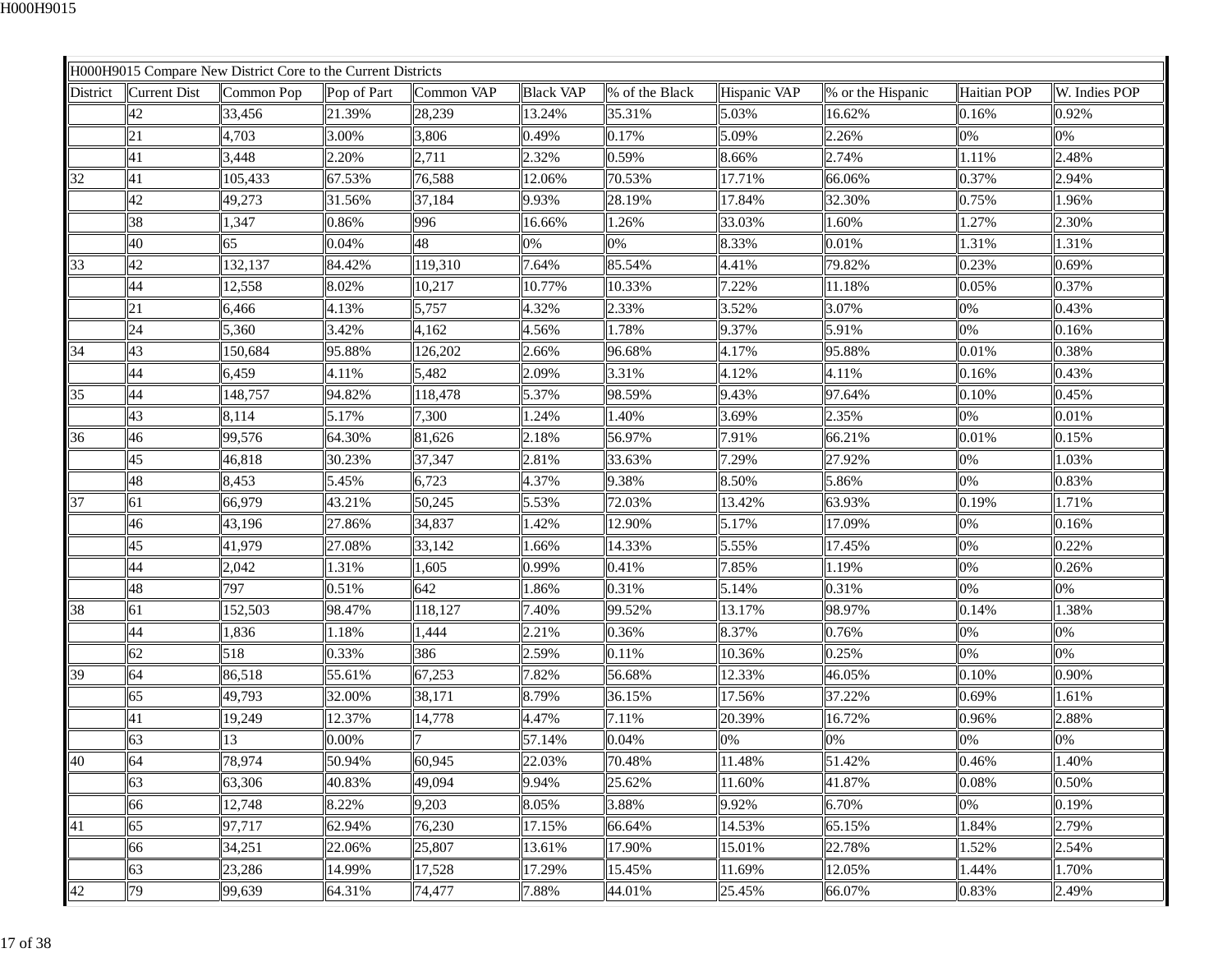|          |              | H000H9015 Compare New District Core to the Current Districts |             |            |                  |                |              |                   |             |               |
|----------|--------------|--------------------------------------------------------------|-------------|------------|------------------|----------------|--------------|-------------------|-------------|---------------|
| District | Current Dist | Common Pop                                                   | Pop of Part | Common VAP | <b>Black VAP</b> | % of the Black | Hispanic VAP | % or the Hispanic | Haitian POP | W. Indies POP |
|          | 42           | 33,456                                                       | 21.39%      | 28,239     | 13.24%           | 35.31%         | 5.03%        | 16.62%            | 0.16%       | 0.92%         |
|          | 21           | 4,703                                                        | 3.00%       | 3,806      | 0.49%            | 0.17%          | 5.09%        | 2.26%             | 0%          | 0%            |
|          | 41           | 3,448                                                        | 2.20%       | 2,711      | 2.32%            | 0.59%          | 8.66%        | 2.74%             | 1.11%       | 2.48%         |
| 32       | 41           | 105,433                                                      | 67.53%      | 76,588     | 12.06%           | 70.53%         | 17.71%       | 66.06%            | 0.37%       | 2.94%         |
|          | 42           | 49,273                                                       | 31.56%      | 37,184     | 9.93%            | 28.19%         | 17.84%       | 32.30%            | 0.75%       | 1.96%         |
|          | 38           | 1,347                                                        | 0.86%       | 996        | 16.66%           | 1.26%          | 33.03%       | 1.60%             | 1.27%       | 2.30%         |
|          | 40           | 65                                                           | 0.04%       | 48         | 0%               | 0%             | 8.33%        | $ 0.01\%$         | 1.31%       | 1.31%         |
| 33       | 42           | 132,137                                                      | 84.42%      | 119,310    | 7.64%            | 85.54%         | 4.41%        | 79.82%            | 0.23%       | 0.69%         |
|          | 44           | 12,558                                                       | 8.02%       | 10,217     | 10.77%           | 10.33%         | 7.22%        | 11.18%            | 0.05%       | 0.37%         |
|          | 21           | 6,466                                                        | 4.13%       | 5,757      | 4.32%            | 2.33%          | 3.52%        | 3.07%             | 0%          | 0.43%         |
|          | 24           | 5,360                                                        | 3.42%       | 4,162      | 4.56%            | 1.78%          | 9.37%        | 5.91%             | 0%          | 0.16%         |
| 34       | 43           | 150,684                                                      | 95.88%      | 126,202    | 2.66%            | 96.68%         | 4.17%        | 95.88%            | 0.01%       | 0.38%         |
|          | 44           | 6,459                                                        | 4.11%       | 5,482      | 2.09%            | 3.31%          | 4.12%        | 4.11%             | 0.16%       | 0.43%         |
| 35       | 44           | 148,757                                                      | 94.82%      | 118,478    | 5.37%            | 98.59%         | 9.43%        | 97.64%            | 0.10%       | 0.45%         |
|          | 43           | 8,114                                                        | 5.17%       | 7,300      | 1.24%            | 1.40%          | 3.69%        | 2.35%             | 0%          | 0.01%         |
| 36       | 46           | 99,576                                                       | 64.30%      | 81,626     | 2.18%            | 56.97%         | 7.91%        | 66.21%            | 0.01%       | 0.15%         |
|          | 45           | 46,818                                                       | 30.23%      | 37,347     | 2.81%            | 33.63%         | 7.29%        | 27.92%            | 0%          | 1.03%         |
|          | 48           | 8,453                                                        | 5.45%       | 6,723      | 4.37%            | 9.38%          | 8.50%        | 5.86%             | 0%          | 0.83%         |
| 37       | 61           | 66,979                                                       | 43.21%      | 50,245     | 5.53%            | 72.03%         | 13.42%       | 63.93%            | 0.19%       | 1.71%         |
|          | 46           | 43,196                                                       | 27.86%      | 34,837     | 1.42%            | 12.90%         | 5.17%        | 17.09%            | 0%          | 0.16%         |
|          | 45           | 41,979                                                       | 27.08%      | 33,142     | 1.66%            | 14.33%         | 5.55%        | 17.45%            | 0%          | 0.22%         |
|          | 44           | 2,042                                                        | 1.31%       | 1,605      | 0.99%            | 0.41%          | 7.85%        | 1.19%             | 0%          | 0.26%         |
|          | 48           | 797                                                          | 0.51%       | 642        | 1.86%            | 0.31%          | 5.14%        | 0.31%             | 0%          | 0%            |
| 38       | 61           | 152,503                                                      | 98.47%      | 118,127    | 7.40%            | 99.52%         | 13.17%       | 98.97%            | 0.14%       | 1.38%         |
|          | 44           | 1,836                                                        | 1.18%       | 1,444      | 2.21%            | 0.36%          | 8.37%        | 0.76%             | 0%          | 0%            |
|          | 62           | 518                                                          | 0.33%       | 386        | 2.59%            | 0.11%          | 10.36%       | 0.25%             | 0%          | 0%            |
| 39       | 64           | 86,518                                                       | 55.61%      | 67,253     | 7.82%            | 56.68%         | 12.33%       | 46.05%            | 0.10%       | 0.90%         |
|          | 65           | 49,793                                                       | 32.00%      | 38,171     | 8.79%            | 36.15%         | 17.56%       | 37.22%            | 0.69%       | 1.61%         |
|          | 41           | 19,249                                                       | 12.37%      | 14,778     | 4.47%            | 7.11%          | 20.39%       | 16.72%            | 0.96%       | 2.88%         |
|          | 63           | 13                                                           | 0.00%       |            | 57.14%           | 0.04%          | 0%           | 0%                | 0%          | 0%            |
| 40       | 64           | 78,974                                                       | 50.94%      | 60,945     | 22.03%           | 70.48%         | 11.48%       | 51.42%            | 0.46%       | 1.40%         |
|          | 63           | 63,306                                                       | 40.83%      | 49,094     | 9.94%            | 25.62%         | 11.60%       | 41.87%            | 0.08%       | 0.50%         |
|          | 66           | 12,748                                                       | 8.22%       | 9,203      | 8.05%            | 3.88%          | 9.92%        | 6.70%             | 0%          | 0.19%         |
| 41       | 65           | 97,717                                                       | 62.94%      | 76,230     | 17.15%           | 66.64%         | 14.53%       | 65.15%            | 1.84%       | 2.79%         |
|          | 66           | 34,251                                                       | 22.06%      | 25,807     | 13.61%           | 17.90%         | 15.01%       | 22.78%            | 1.52%       | 2.54%         |
|          | 63           | 23,286                                                       | 14.99%      | 17,528     | 17.29%           | 15.45%         | 11.69%       | 12.05%            | 1.44%       | 1.70%         |
| 42       | 79           | 99,639                                                       | 64.31%      | 74,477     | 7.88%            | 44.01%         | 25.45%       | 66.07%            | 0.83%       | 2.49%         |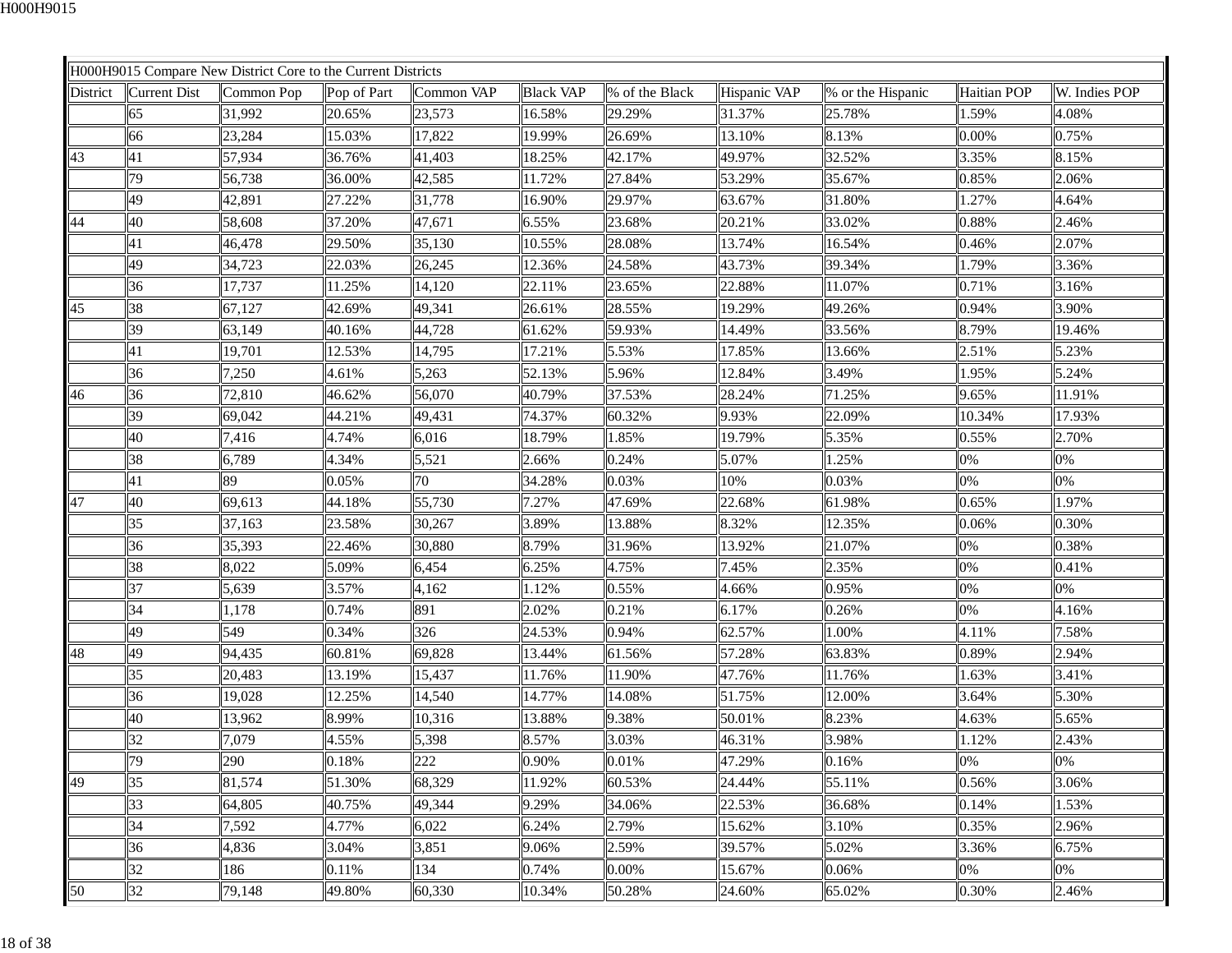|          |                     | H000H9015 Compare New District Core to the Current Districts |             |            |                  |                |              |                   |                    |               |
|----------|---------------------|--------------------------------------------------------------|-------------|------------|------------------|----------------|--------------|-------------------|--------------------|---------------|
| District | <b>Current Dist</b> | Common Pop                                                   | Pop of Part | Common VAP | <b>Black VAP</b> | % of the Black | Hispanic VAP | % or the Hispanic | <b>Haitian POP</b> | W. Indies POP |
|          | 65                  | 31,992                                                       | 20.65%      | 23,573     | 16.58%           | 29.29%         | 31.37%       | 25.78%            | 1.59%              | 4.08%         |
|          | 66                  | 23,284                                                       | 15.03%      | 17,822     | 19.99%           | 26.69%         | 13.10%       | 8.13%             | $0.00\%$           | 0.75%         |
| 43       | 41                  | 57,934                                                       | 36.76%      | 41,403     | 18.25%           | 42.17%         | 49.97%       | 32.52%            | 3.35%              | 8.15%         |
|          | 79                  | 56,738                                                       | 36.00%      | 42,585     | 11.72%           | 27.84%         | 53.29%       | 35.67%            | 0.85%              | 2.06%         |
|          | 49                  | 42,891                                                       | 27.22%      | 31,778     | 16.90%           | 29.97%         | 63.67%       | 31.80%            | 1.27%              | 4.64%         |
| 44       | 40                  | 58,608                                                       | 37.20%      | 47,671     | 6.55%            | 23.68%         | 20.21%       | 33.02%            | 0.88%              | 2.46%         |
|          | 41                  | 46,478                                                       | 29.50%      | 35,130     | 10.55%           | 28.08%         | 13.74%       | 16.54%            | 0.46%              | 2.07%         |
|          | 49                  | 34,723                                                       | 22.03%      | 26,245     | 12.36%           | 24.58%         | 43.73%       | 39.34%            | 1.79%              | 3.36%         |
|          | 36                  | 17,737                                                       | 11.25%      | 14,120     | 22.11%           | 23.65%         | 22.88%       | 11.07%            | 0.71%              | 3.16%         |
| 45       | 38                  | 67,127                                                       | 42.69%      | 49,341     | 26.61%           | 28.55%         | 19.29%       | 49.26%            | 0.94%              | 3.90%         |
|          | 39                  | 63,149                                                       | 40.16%      | 44,728     | 61.62%           | 59.93%         | 14.49%       | 33.56%            | 8.79%              | 19.46%        |
|          | 41                  | 19,701                                                       | 12.53%      | 14,795     | 17.21%           | 5.53%          | 17.85%       | 13.66%            | 2.51%              | 5.23%         |
|          | 36                  | 7,250                                                        | 4.61%       | 5,263      | 52.13%           | 5.96%          | 12.84%       | 3.49%             | 1.95%              | 5.24%         |
| 46       | 36                  | 72,810                                                       | 46.62%      | 56,070     | 40.79%           | 37.53%         | 28.24%       | 71.25%            | 9.65%              | 11.91%        |
|          | 39                  | 69,042                                                       | 44.21%      | 49,431     | 74.37%           | 60.32%         | 9.93%        | 22.09%            | 10.34%             | 17.93%        |
|          | 40                  | 7,416                                                        | 4.74%       | 6,016      | 18.79%           | 1.85%          | 19.79%       | 5.35%             | 0.55%              | 2.70%         |
|          | 38                  | 6,789                                                        | 4.34%       | 5,521      | 2.66%            | 0.24%          | 5.07%        | 1.25%             | 0%                 | 0%            |
|          | 41                  | 89                                                           | 0.05%       | 70         | 34.28%           | 0.03%          | 10%          | 0.03%             | 0%                 | 0%            |
| 47       | 40                  | 69,613                                                       | 44.18%      | 55,730     | 7.27%            | 47.69%         | 22.68%       | 61.98%            | 0.65%              | 1.97%         |
|          | 35                  | 37,163                                                       | 23.58%      | 30,267     | 3.89%            | 13.88%         | 8.32%        | 12.35%            | 0.06%              | 0.30%         |
|          | 36                  | 35,393                                                       | 22.46%      | 30,880     | 8.79%            | 31.96%         | 13.92%       | 21.07%            | 0%                 | 0.38%         |
|          | 38                  | 8,022                                                        | 5.09%       | 6,454      | 6.25%            | 4.75%          | 7.45%        | 2.35%             | 0%                 | 0.41%         |
|          | 37                  | 5,639                                                        | 3.57%       | 4,162      | 1.12%            | 0.55%          | 4.66%        | 0.95%             | 0%                 | 0%            |
|          | 34                  | 1,178                                                        | 0.74%       | 891        | 2.02%            | 0.21%          | 6.17%        | 0.26%             | $0\%$              | 4.16%         |
|          | 49                  | 549                                                          | 0.34%       | 326        | 24.53%           | 0.94%          | 62.57%       | 1.00%             | 4.11%              | 7.58%         |
| 48       | 49                  | 94,435                                                       | 60.81%      | 69,828     | 13.44%           | 61.56%         | 57.28%       | 63.83%            | 0.89%              | 2.94%         |
|          | 35                  | 20,483                                                       | 13.19%      | 15,437     | 11.76%           | 11.90%         | 47.76%       | 11.76%            | 1.63%              | 3.41%         |
|          | 36                  | 19,028                                                       | 12.25%      | 14,540     | 14.77%           | 14.08%         | 51.75%       | 12.00%            | 3.64%              | 5.30%         |
|          | 40                  | 13,962                                                       | 8.99%       | 10,316     | 13.88%           | 9.38%          | 50.01%       | 8.23%             | 4.63%              | 5.65%         |
|          | 32                  | 7,079                                                        | 4.55%       | 5,398      | 8.57%            | 3.03%          | 46.31%       | 3.98%             | 1.12%              | 2.43%         |
|          | 79                  | 290                                                          | 0.18%       | 222        | 0.90%            | 0.01%          | 47.29%       | 0.16%             | 0%                 | 0%            |
| 49       | 35                  | 81,574                                                       | 51.30%      | 68,329     | 11.92%           | 60.53%         | 24.44%       | 55.11%            | 0.56%              | 3.06%         |
|          | 33                  | 64,805                                                       | 40.75%      | 49,344     | 9.29%            | 34.06%         | 22.53%       | 36.68%            | 0.14%              | 1.53%         |
|          | 34                  | 7,592                                                        | 4.77%       | 6,022      | 6.24%            | 2.79%          | 15.62%       | 3.10%             | 0.35%              | 2.96%         |
|          | 36                  | 4,836                                                        | 3.04%       | 3,851      | 9.06%            | 2.59%          | 39.57%       | 5.02%             | 3.36%              | 6.75%         |
|          | 32                  | 186                                                          | 0.11%       | 134        | 0.74%            | 0.00%          | 15.67%       | 0.06%             | 0%                 | 0%            |
| 50       | 32                  | 79,148                                                       | 49.80%      | 60,330     | 10.34%           | 50.28%         | 24.60%       | 65.02%            | 0.30%              | 2.46%         |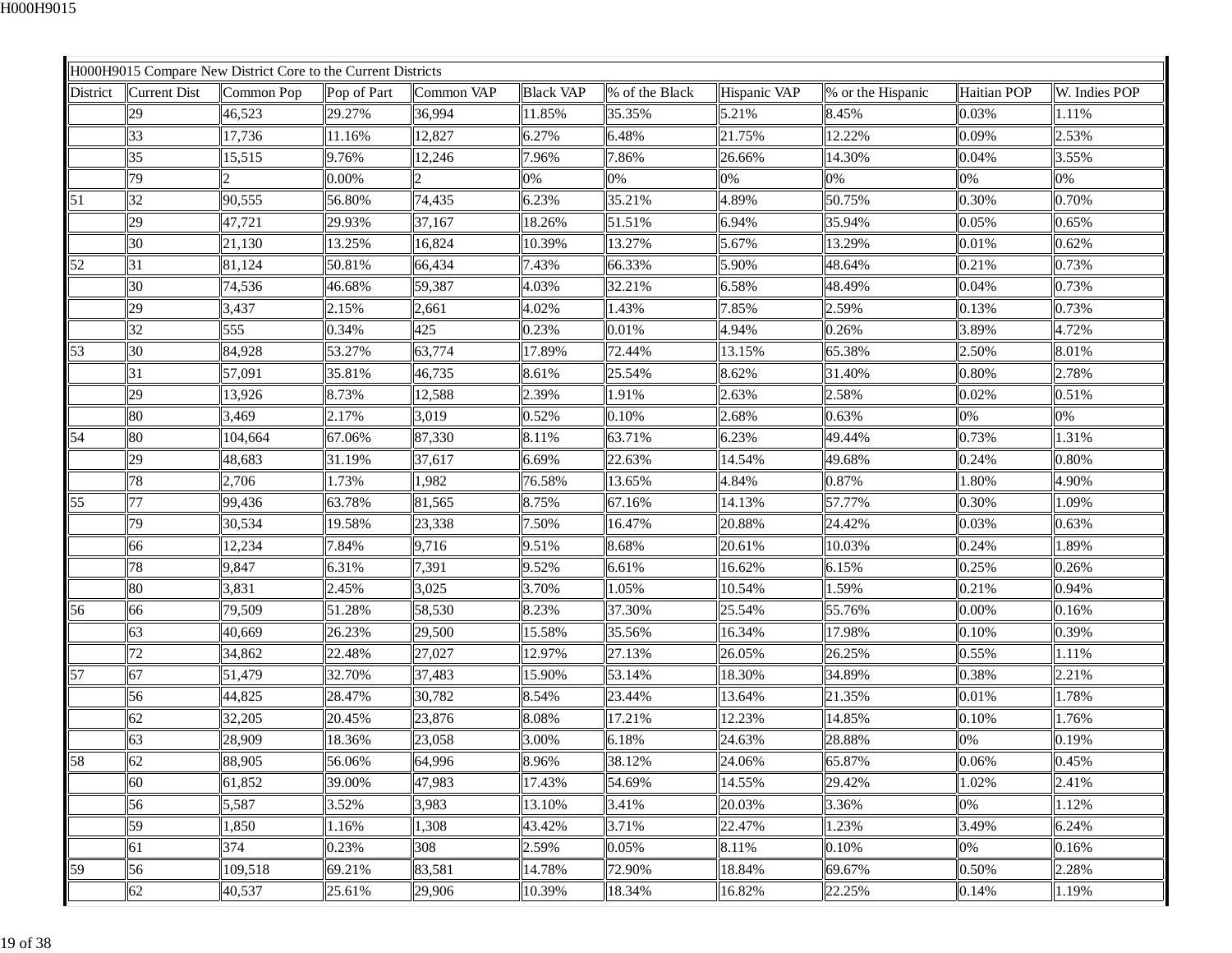|          |              | H000H9015 Compare New District Core to the Current Districts |             |            |                  |                |              |                   |                    |               |
|----------|--------------|--------------------------------------------------------------|-------------|------------|------------------|----------------|--------------|-------------------|--------------------|---------------|
| District | Current Dist | Common Pop                                                   | Pop of Part | Common VAP | <b>Black VAP</b> | % of the Black | Hispanic VAP | % or the Hispanic | <b>Haitian POP</b> | W. Indies POP |
|          | 29           | 46,523                                                       | 29.27%      | 36,994     | 11.85%           | 35.35%         | 5.21%        | 8.45%             | 0.03%              | 1.11%         |
|          | 33           | 17,736                                                       | 11.16%      | 12,827     | 6.27%            | 6.48%          | 21.75%       | 12.22%            | 0.09%              | 2.53%         |
|          | 35           | 15,515                                                       | 9.76%       | 12,246     | 7.96%            | 7.86%          | 26.66%       | 14.30%            | 0.04%              | 3.55%         |
|          | 79           |                                                              | 0.00%       |            | 0%               | 0%             | 0%           | 0%                | 0%                 | 0%            |
| 51       | 32           | 90,555                                                       | 56.80%      | 74,435     | 6.23%            | 35.21%         | 4.89%        | 50.75%            | 0.30%              | 0.70%         |
|          | 29           | 47,721                                                       | 29.93%      | 37,167     | 18.26%           | 51.51%         | 6.94%        | 35.94%            | 0.05%              | 0.65%         |
|          | 30           | 21,130                                                       | 13.25%      | 16,824     | 10.39%           | 13.27%         | 5.67%        | 13.29%            | 0.01%              | 0.62%         |
| 52       | 31           | 81,124                                                       | 50.81%      | 66,434     | 7.43%            | 66.33%         | 5.90%        | 48.64%            | 0.21%              | 0.73%         |
|          | 30           | 74,536                                                       | 46.68%      | 59,387     | 4.03%            | 32.21%         | 6.58%        | 48.49%            | 0.04%              | 0.73%         |
|          | 29           | 3,437                                                        | 2.15%       | 2,661      | 4.02%            | 1.43%          | 7.85%        | 2.59%             | 0.13%              | 0.73%         |
|          | 32           | 555                                                          | 0.34%       | 425        | 0.23%            | 0.01%          | 4.94%        | 0.26%             | 3.89%              | 4.72%         |
| 53       | 30           | 84,928                                                       | 53.27%      | 63,774     | 17.89%           | 72.44%         | 13.15%       | 65.38%            | 2.50%              | 8.01%         |
|          | 31           | 57,091                                                       | 35.81%      | 46,735     | 8.61%            | 25.54%         | 8.62%        | 31.40%            | 0.80%              | 2.78%         |
|          | 29           | 13,926                                                       | 8.73%       | 12,588     | 2.39%            | 1.91%          | 2.63%        | 2.58%             | 0.02%              | 0.51%         |
|          | 80           | 3,469                                                        | 2.17%       | 3,019      | 0.52%            | 0.10%          | 2.68%        | 0.63%             | 0%                 | 0%            |
| 54       | 80           | 104,664                                                      | 67.06%      | 87,330     | 8.11%            | 63.71%         | 6.23%        | 49.44%            | 0.73%              | 1.31%         |
|          | 29           | 48,683                                                       | 31.19%      | 37,617     | 6.69%            | 22.63%         | 14.54%       | 49.68%            | 0.24%              | 0.80%         |
|          | 78           | 2,706                                                        | 1.73%       | 1,982      | 76.58%           | 13.65%         | 4.84%        | 0.87%             | 1.80%              | 4.90%         |
| 55       | 77           | 99,436                                                       | 63.78%      | 81,565     | 8.75%            | 67.16%         | 14.13%       | 57.77%            | 0.30%              | 1.09%         |
|          | 79           | 30,534                                                       | 19.58%      | 23,338     | 7.50%            | 16.47%         | 20.88%       | 24.42%            | 0.03%              | 0.63%         |
|          | 66           | 12,234                                                       | 7.84%       | 9,716      | 9.51%            | 8.68%          | 20.61%       | 10.03%            | 0.24%              | 1.89%         |
|          | 78           | 9,847                                                        | 6.31%       | 7,391      | 9.52%            | 6.61%          | 16.62%       | 6.15%             | 0.25%              | 0.26%         |
|          | 80           | 3,831                                                        | 2.45%       | 3,025      | 3.70%            | 1.05%          | 10.54%       | 1.59%             | 0.21%              | 0.94%         |
| 56       | 66           | 79,509                                                       | 51.28%      | 58,530     | 8.23%            | 37.30%         | 25.54%       | 55.76%            | 0.00%              | 0.16%         |
|          | 63           | 40,669                                                       | 26.23%      | 29,500     | 15.58%           | 35.56%         | 16.34%       | 17.98%            | 0.10%              | 0.39%         |
|          | 72           | 34,862                                                       | 22.48%      | 27,027     | 12.97%           | 27.13%         | 26.05%       | 26.25%            | 0.55%              | 1.11%         |
| 57       | 67           | 51,479                                                       | 32.70%      | 37,483     | 15.90%           | 53.14%         | 18.30%       | 34.89%            | 0.38%              | 2.21%         |
|          | 56           | 44,825                                                       | 28.47%      | 30,782     | 8.54%            | 23.44%         | 13.64%       | 21.35%            | 0.01%              | 1.78%         |
|          | 62           | 32,205                                                       | 20.45%      | 23,876     | 8.08%            | 17.21%         | 12.23%       | 14.85%            | 0.10%              | 1.76%         |
|          | 63           | 28,909                                                       | 18.36%      | 23,058     | 3.00%            | 6.18%          | 24.63%       | 28.88%            | 0%                 | 0.19%         |
| 58       | 62           | 88,905                                                       | 56.06%      | 64,996     | 8.96%            | 38.12%         | 24.06%       | 65.87%            | 0.06%              | 0.45%         |
|          | 60           | 61,852                                                       | 39.00%      | 47,983     | 17.43%           | 54.69%         | 14.55%       | 29.42%            | 1.02%              | 2.41%         |
|          | 56           | 5,587                                                        | 3.52%       | 3,983      | 13.10%           | 3.41%          | 20.03%       | 3.36%             | 0%                 | 1.12%         |
|          | 59           | 1,850                                                        | 1.16%       | 1,308      | 43.42%           | 3.71%          | 22.47%       | 1.23%             | 3.49%              | 6.24%         |
|          | 61           | 374                                                          | 0.23%       | 308        | 2.59%            | 0.05%          | 8.11%        | 0.10%             | 0%                 | 0.16%         |
| 59       | 56           | 109,518                                                      | 69.21%      | 83,581     | 14.78%           | 72.90%         | 18.84%       | 69.67%            | 0.50%              | 2.28%         |
|          | 62           | 40,537                                                       | 25.61%      | 29,906     | 10.39%           | 18.34%         | 16.82%       | 22.25%            | 0.14%              | 1.19%         |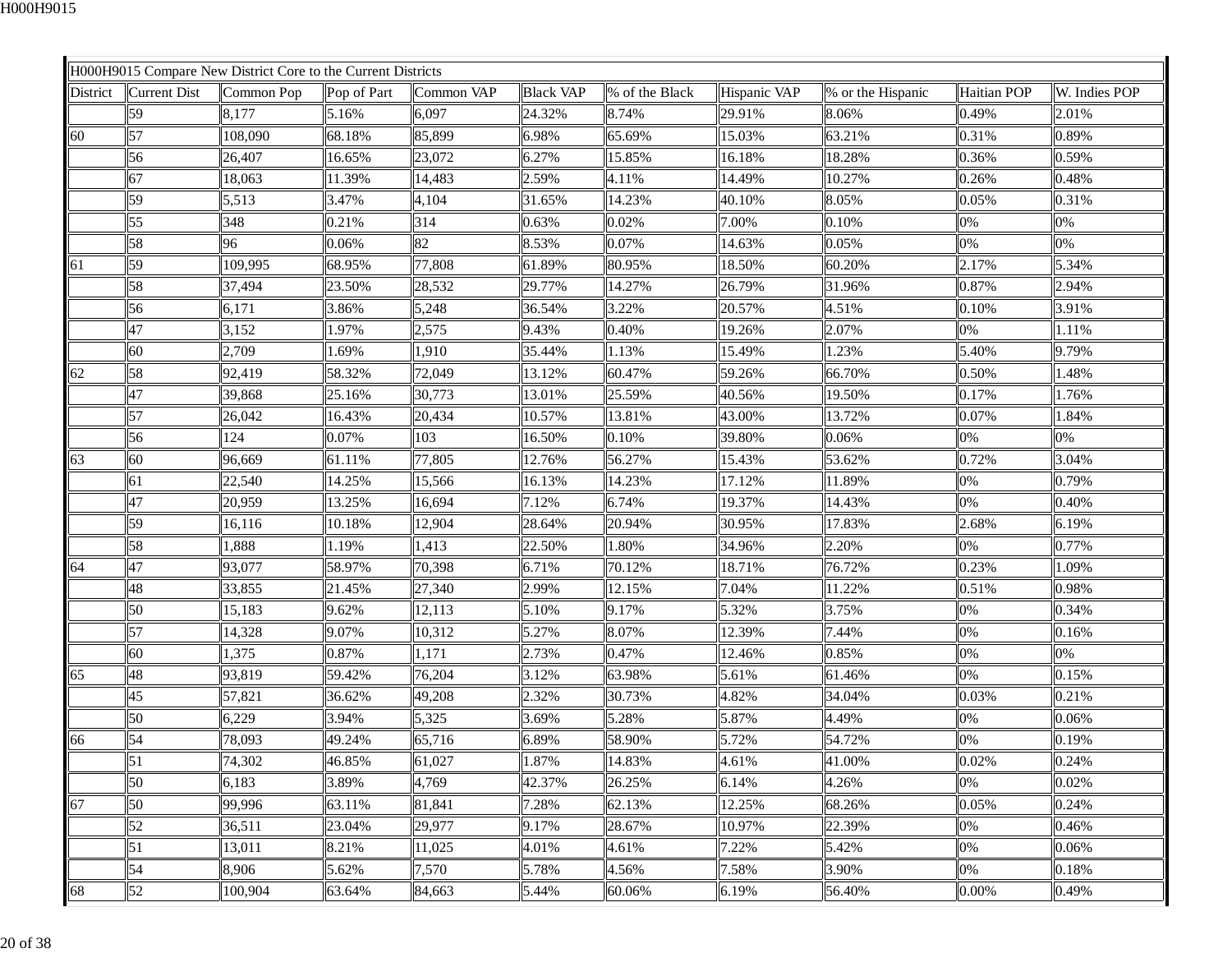|          |                     | H000H9015 Compare New District Core to the Current Districts |             |            |                  |                |              |                   |                    |               |
|----------|---------------------|--------------------------------------------------------------|-------------|------------|------------------|----------------|--------------|-------------------|--------------------|---------------|
| District | <b>Current Dist</b> | Common Pop                                                   | Pop of Part | Common VAP | <b>Black VAP</b> | % of the Black | Hispanic VAP | % or the Hispanic | <b>Haitian POP</b> | W. Indies POP |
|          | 59                  | 8,177                                                        | 5.16%       | 6,097      | 24.32%           | 8.74%          | 29.91%       | 8.06%             | 0.49%              | 2.01%         |
| 60       | 57                  | 108,090                                                      | 68.18%      | 85,899     | 6.98%            | 65.69%         | 15.03%       | 63.21%            | 0.31%              | 0.89%         |
|          | 56                  | 26,407                                                       | 16.65%      | 23,072     | 6.27%            | 15.85%         | 16.18%       | 18.28%            | 0.36%              | 0.59%         |
|          | 67                  | 18,063                                                       | 11.39%      | 14,483     | 2.59%            | 4.11%          | 14.49%       | 10.27%            | 0.26%              | 0.48%         |
|          | 59                  | 5,513                                                        | 3.47%       | 4,104      | 31.65%           | 14.23%         | 40.10%       | 8.05%             | 0.05%              | 0.31%         |
|          | 55                  | 348                                                          | 0.21%       | 314        | 0.63%            | 0.02%          | 7.00%        | 0.10%             | 0%                 | 0%            |
|          | 58                  | 96                                                           | 0.06%       | 82         | 8.53%            | 0.07%          | 14.63%       | 0.05%             | 0%                 | 0%            |
| 61       | 59                  | 109,995                                                      | 68.95%      | 77,808     | 61.89%           | 80.95%         | 18.50%       | 60.20%            | 2.17%              | 5.34%         |
|          | 58                  | 37,494                                                       | 23.50%      | 28,532     | 29.77%           | 14.27%         | 26.79%       | 31.96%            | 0.87%              | 2.94%         |
|          | 56                  | 6,171                                                        | 3.86%       | 5,248      | 36.54%           | 3.22%          | 20.57%       | 4.51%             | 0.10%              | 3.91%         |
|          | 47                  | 3,152                                                        | 1.97%       | 2,575      | 9.43%            | 0.40%          | 19.26%       | 2.07%             | 0%                 | 1.11%         |
|          | 60                  | 2,709                                                        | 1.69%       | 1,910      | 35.44%           | 1.13%          | 15.49%       | 1.23%             | 5.40%              | 9.79%         |
| 62       | 58                  | 92,419                                                       | 58.32%      | 72,049     | 13.12%           | 60.47%         | 59.26%       | 66.70%            | 0.50%              | 1.48%         |
|          | 47                  | 39,868                                                       | 25.16%      | 30,773     | 13.01%           | 25.59%         | 40.56%       | 19.50%            | 0.17%              | 1.76%         |
|          | 57                  | 26,042                                                       | 16.43%      | 20,434     | 10.57%           | 13.81%         | 43.00%       | 13.72%            | 0.07%              | 1.84%         |
|          | 56                  | 124                                                          | 0.07%       | 103        | 16.50%           | 0.10%          | 39.80%       | 0.06%             | 0%                 | 0%            |
| 63       | 60                  | 96,669                                                       | 61.11%      | 77,805     | 12.76%           | 56.27%         | 15.43%       | 53.62%            | 0.72%              | 3.04%         |
|          | 61                  | 22,540                                                       | 14.25%      | 15,566     | 16.13%           | 14.23%         | 17.12%       | 11.89%            | 0%                 | 0.79%         |
|          | 47                  | 20,959                                                       | 13.25%      | 16,694     | 7.12%            | 6.74%          | 19.37%       | 14.43%            | 0%                 | 0.40%         |
|          | 59                  | 16,116                                                       | 10.18%      | 12,904     | 28.64%           | 20.94%         | 30.95%       | 17.83%            | 2.68%              | 6.19%         |
|          | 58                  | 1,888                                                        | 1.19%       | 1,413      | 22.50%           | 1.80%          | 34.96%       | 2.20%             | 0%                 | 0.77%         |
| 64       | 47                  | 93,077                                                       | 58.97%      | 70,398     | 6.71%            | 70.12%         | 18.71%       | 76.72%            | 0.23%              | 1.09%         |
|          | 48                  | 33,855                                                       | 21.45%      | 27,340     | 2.99%            | 12.15%         | 7.04%        | 11.22%            | 0.51%              | 0.98%         |
|          | 50                  | 15,183                                                       | 9.62%       | 12,113     | 5.10%            | 9.17%          | 5.32%        | 3.75%             | 0%                 | 0.34%         |
|          | 57                  | 14,328                                                       | 9.07%       | 10,312     | 5.27%            | 8.07%          | 12.39%       | 7.44%             | 0%                 | 0.16%         |
|          | 60                  | 1,375                                                        | 0.87%       | 1,171      | 2.73%            | 0.47%          | 12.46%       | 0.85%             | 0%                 | 0%            |
| 65       | 48                  | 93,819                                                       | 59.42%      | 76,204     | 3.12%            | 63.98%         | 5.61%        | 61.46%            | 0%                 | 0.15%         |
|          | 45                  | 57,821                                                       | 36.62%      | 49,208     | 2.32%            | 30.73%         | 4.82%        | 34.04%            | 0.03%              | 0.21%         |
|          | 50                  | 6,229                                                        | 3.94%       | 5,325      | 3.69%            | 5.28%          | 5.87%        | 4.49%             | 0%                 | 0.06%         |
| 66       | 54                  | 78,093                                                       | 49.24%      | 65,716     | 6.89%            | 58.90%         | 5.72%        | 54.72%            | 0%                 | 0.19%         |
|          | 51                  | 74,302                                                       | 46.85%      | 61,027     | 1.87%            | 14.83%         | 4.61%        | 41.00%            | 0.02%              | 0.24%         |
|          | 50                  | 6,183                                                        | 3.89%       | 4,769      | 42.37%           | 26.25%         | 6.14%        | 4.26%             | 0%                 | 0.02%         |
| 67       | 50                  | 99,996                                                       | 63.11%      | 81,841     | 7.28%            | 62.13%         | 12.25%       | 68.26%            | 0.05%              | 0.24%         |
|          | 52                  | 36,511                                                       | 23.04%      | 29,977     | 9.17%            | 28.67%         | 10.97%       | 22.39%            | 0%                 | 0.46%         |
|          | 51                  | 13,011                                                       | 8.21%       | 11,025     | 4.01%            | 4.61%          | 7.22%        | 5.42%             | 0%                 | 0.06%         |
|          | 54                  | 8,906                                                        | 5.62%       | 7,570      | 5.78%            | 4.56%          | 7.58%        | 3.90%             | 0%                 | 0.18%         |
| 68       | 52                  | 100,904                                                      | 63.64%      | 84,663     | 5.44%            | 60.06%         | 6.19%        | 56.40%            | 0.00%              | 0.49%         |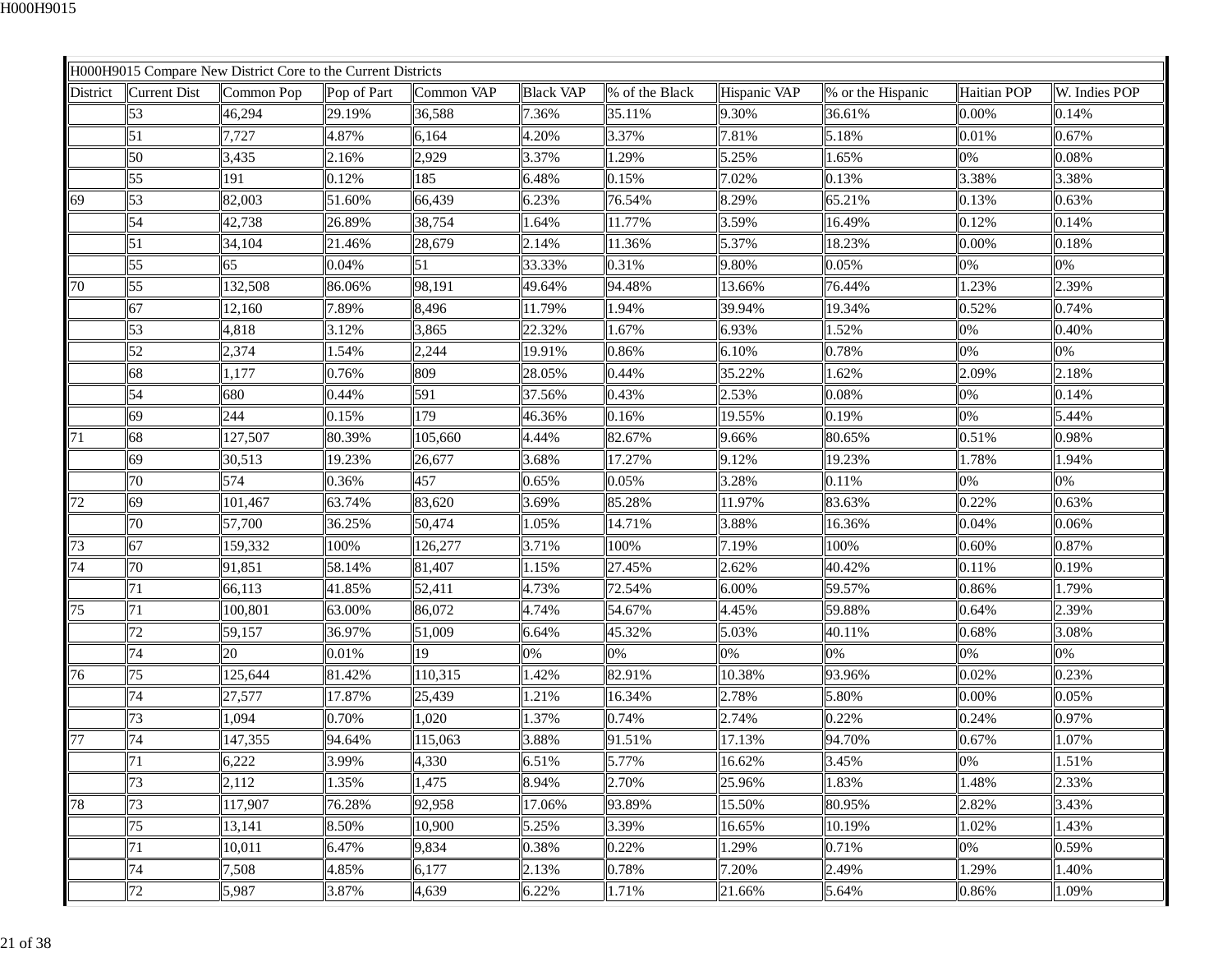|                 |              | H000H9015 Compare New District Core to the Current Districts |             |            |                  |                |              |                   |             |               |
|-----------------|--------------|--------------------------------------------------------------|-------------|------------|------------------|----------------|--------------|-------------------|-------------|---------------|
| <b>District</b> | Current Dist | Common Pop                                                   | Pop of Part | Common VAP | <b>Black VAP</b> | % of the Black | Hispanic VAP | % or the Hispanic | Haitian POP | W. Indies POP |
|                 | 53           | 46,294                                                       | 29.19%      | 36,588     | 7.36%            | 35.11%         | 9.30%        | 36.61%            | 0.00%       | 0.14%         |
|                 | 51           | 7,727                                                        | 4.87%       | 6,164      | 4.20%            | 3.37%          | 7.81%        | 5.18%             | 0.01%       | 0.67%         |
|                 | 50           | 3,435                                                        | 2.16%       | 2,929      | 3.37%            | 1.29%          | 5.25%        | 1.65%             | 0%          | 0.08%         |
|                 | 55           | 191                                                          | 0.12%       | 185        | 6.48%            | 0.15%          | 7.02%        | 0.13%             | 3.38%       | 3.38%         |
| 69              | 53           | 82,003                                                       | 51.60%      | 66,439     | 6.23%            | 76.54%         | 8.29%        | 65.21%            | 0.13%       | 0.63%         |
|                 | 54           | 42,738                                                       | 26.89%      | 38,754     | 1.64%            | 11.77%         | 3.59%        | 16.49%            | 0.12%       | 0.14%         |
|                 | 51           | 34,104                                                       | 21.46%      | 28,679     | 2.14%            | 11.36%         | 5.37%        | 18.23%            | 0.00%       | 0.18%         |
|                 | 55           | 65                                                           | 0.04%       | 51         | 33.33%           | 0.31%          | 9.80%        | 0.05%             | 0%          | 0%            |
| 70              | 55           | 132,508                                                      | 86.06%      | 98,191     | 49.64%           | 94.48%         | 13.66%       | 76.44%            | 1.23%       | 2.39%         |
|                 | 67           | 12,160                                                       | 7.89%       | 8,496      | 11.79%           | 1.94%          | 39.94%       | 19.34%            | 0.52%       | 0.74%         |
|                 | 53           | 4,818                                                        | 3.12%       | 3,865      | 22.32%           | 1.67%          | 6.93%        | 1.52%             | 0%          | 0.40%         |
|                 | 52           | 2,374                                                        | 1.54%       | 2,244      | 19.91%           | 0.86%          | 6.10%        | 0.78%             | 0%          | 0%            |
|                 | 68           | 1,177                                                        | 0.76%       | 809        | 28.05%           | 0.44%          | 35.22%       | 1.62%             | 2.09%       | 2.18%         |
|                 | 54           | 680                                                          | 0.44%       | 591        | 37.56%           | 0.43%          | 2.53%        | 0.08%             | 0%          | 0.14%         |
|                 | 69           | 244                                                          | 0.15%       | 179        | 46.36%           | 0.16%          | 19.55%       | 0.19%             | 0%          | 5.44%         |
| 71              | 68           | 127,507                                                      | 80.39%      | 105,660    | 4.44%            | 82.67%         | 9.66%        | 80.65%            | 0.51%       | 0.98%         |
|                 | 69           | 30,513                                                       | 19.23%      | 26,677     | 3.68%            | 17.27%         | 9.12%        | 19.23%            | 1.78%       | 1.94%         |
|                 | 70           | 574                                                          | 0.36%       | 457        | 0.65%            | 0.05%          | 3.28%        | 0.11%             | 0%          | 0%            |
| 72              | 69           | 101,467                                                      | 63.74%      | 83,620     | 3.69%            | 85.28%         | 11.97%       | 83.63%            | 0.22%       | 0.63%         |
|                 | 70           | 57,700                                                       | 36.25%      | 50,474     | 1.05%            | 14.71%         | 3.88%        | 16.36%            | 0.04%       | 0.06%         |
| 73              | 67           | 159,332                                                      | 100%        | 126,277    | 3.71%            | 100%           | 7.19%        | 100%              | 0.60%       | 0.87%         |
| 74              | 70           | 91,851                                                       | 58.14%      | 81,407     | 1.15%            | 27.45%         | 2.62%        | 40.42%            | 0.11%       | 0.19%         |
|                 | 71           | 66,113                                                       | 41.85%      | 52,411     | 4.73%            | 72.54%         | 6.00%        | 59.57%            | 0.86%       | 1.79%         |
| 75              | 71           | 100,801                                                      | 63.00%      | 86,072     | 4.74%            | 54.67%         | 4.45%        | 59.88%            | 0.64%       | 2.39%         |
|                 | 72           | 59,157                                                       | 36.97%      | 51,009     | 6.64%            | 45.32%         | 5.03%        | 40.11%            | 0.68%       | 3.08%         |
|                 | 74           | 20                                                           | 0.01%       | 19         | 0%               | 0%             | 0%           | 0%                | 0%          | 0%            |
| 76              | 75           | 125,644                                                      | 81.42%      | 110,315    | 1.42%            | 82.91%         | 10.38%       | 93.96%            | 0.02%       | 0.23%         |
|                 | 74           | 27,577                                                       | 17.87%      | 25,439     | 1.21%            | 16.34%         | 2.78%        | 5.80%             | $0.00\%$    | 0.05%         |
|                 | 73           | 1,094                                                        | 0.70%       | 1,020      | 1.37%            | 0.74%          | 2.74%        | 0.22%             | 0.24%       | 0.97%         |
| 77              | 74           | 147,355                                                      | 94.64%      | 115,063    | 3.88%            | 91.51%         | 17.13%       | 94.70%            | 0.67%       | 1.07%         |
|                 | 71           | 6,222                                                        | 3.99%       | 4,330      | 6.51%            | 5.77%          | 16.62%       | 3.45%             | 0%          | 1.51%         |
|                 | 73           | 2,112                                                        | 1.35%       | 1,475      | 8.94%            | 2.70%          | 25.96%       | 1.83%             | 1.48%       | 2.33%         |
| 78              | 73           | 117,907                                                      | 76.28%      | 92,958     | 17.06%           | 93.89%         | 15.50%       | 80.95%            | 2.82%       | 3.43%         |
|                 | 75           | 13,141                                                       | 8.50%       | 10,900     | 5.25%            | 3.39%          | 16.65%       | 10.19%            | 1.02%       | 1.43%         |
|                 | 71           | 10,011                                                       | 6.47%       | 9,834      | 0.38%            | 0.22%          | 1.29%        | 0.71%             | 0%          | 0.59%         |
|                 | 74           | 7,508                                                        | 4.85%       | 6,177      | 2.13%            | 0.78%          | 7.20%        | 2.49%             | 1.29%       | 1.40%         |
|                 | 72           | 5,987                                                        | 3.87%       | 4,639      | 6.22%            | 1.71%          | 21.66%       | 5.64%             | 0.86%       | 1.09%         |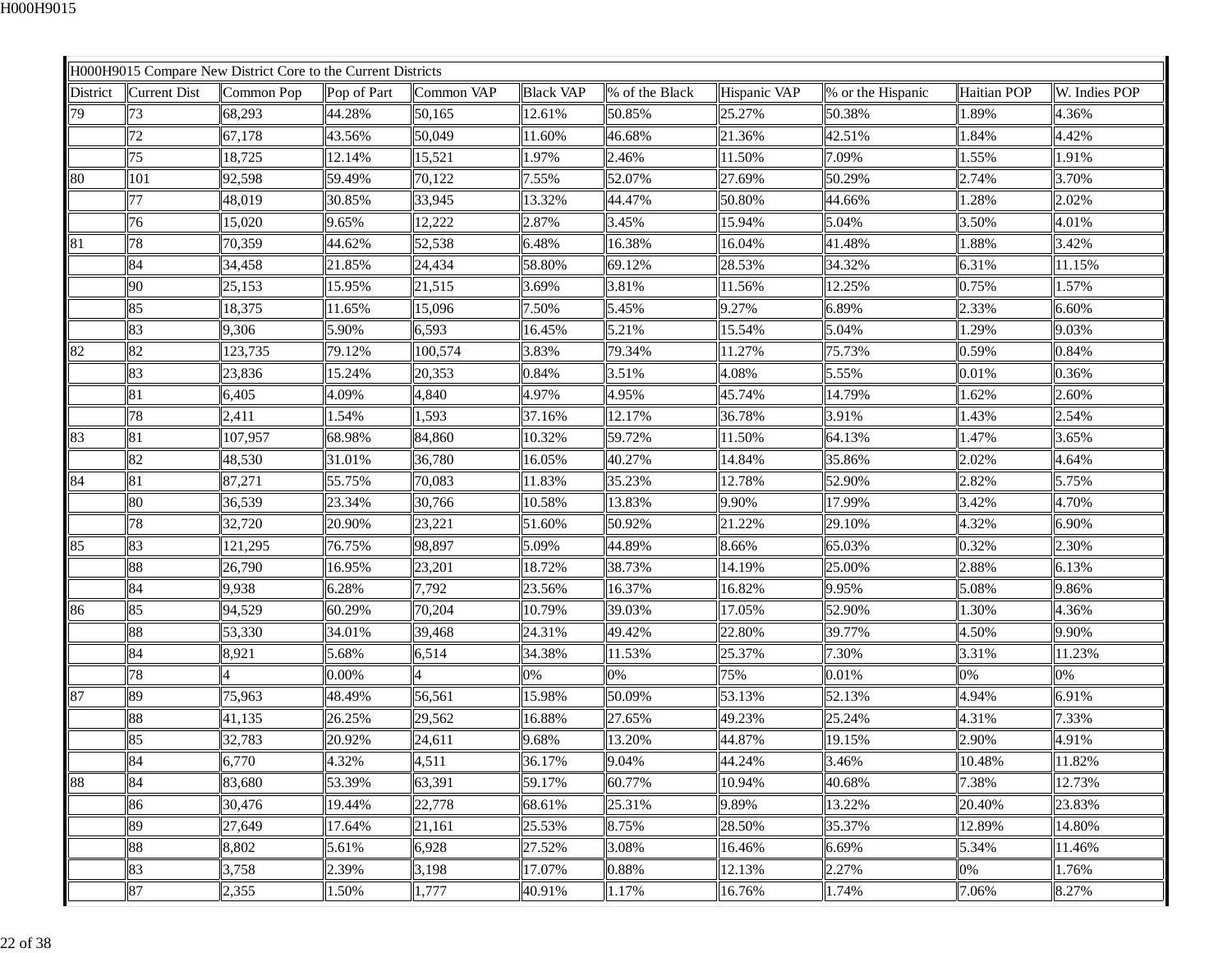|          |              | H000H9015 Compare New District Core to the Current Districts |             |            |                  |                |              |                   |             |               |
|----------|--------------|--------------------------------------------------------------|-------------|------------|------------------|----------------|--------------|-------------------|-------------|---------------|
| District | Current Dist | Common Pop                                                   | Pop of Part | Common VAP | <b>Black VAP</b> | % of the Black | Hispanic VAP | % or the Hispanic | Haitian POP | W. Indies POP |
| 79       | 73           | 68,293                                                       | 44.28%      | 50,165     | 12.61%           | 50.85%         | 25.27%       | 50.38%            | 1.89%       | 4.36%         |
|          | 72           | 67,178                                                       | 43.56%      | 50,049     | 11.60%           | 46.68%         | 21.36%       | 42.51%            | 1.84%       | 4.42%         |
|          | 75           | 18,725                                                       | 12.14%      | 15,521     | 1.97%            | 2.46%          | 11.50%       | 7.09%             | 1.55%       | 1.91%         |
| 80       | 101          | 92,598                                                       | 59.49%      | 70,122     | 7.55%            | 52.07%         | 27.69%       | 50.29%            | 2.74%       | 3.70%         |
|          | 77           | 48,019                                                       | 30.85%      | 33,945     | 13.32%           | 44.47%         | 50.80%       | 44.66%            | 1.28%       | 2.02%         |
|          | 76           | 15,020                                                       | 9.65%       | 12,222     | 2.87%            | 3.45%          | 15.94%       | 5.04%             | 3.50%       | 4.01%         |
| 81       | 78           | 70,359                                                       | 44.62%      | 52,538     | 6.48%            | 16.38%         | 16.04%       | 41.48%            | 1.88%       | 3.42%         |
|          | 84           | 34,458                                                       | 21.85%      | 24,434     | 58.80%           | 69.12%         | 28.53%       | 34.32%            | 6.31%       | 11.15%        |
|          | 90           | 25,153                                                       | 15.95%      | 21,515     | 3.69%            | 3.81%          | 11.56%       | 12.25%            | 0.75%       | 1.57%         |
|          | 85           | 18,375                                                       | 11.65%      | 15,096     | 7.50%            | 5.45%          | 9.27%        | 6.89%             | 2.33%       | 6.60%         |
|          | 83           | 9,306                                                        | 5.90%       | 6,593      | 16.45%           | 5.21%          | 15.54%       | 5.04%             | 1.29%       | 9.03%         |
| 82       | 82           | 123,735                                                      | 79.12%      | 100,574    | 3.83%            | 79.34%         | 11.27%       | 75.73%            | 0.59%       | 0.84%         |
|          | 83           | 23,836                                                       | 15.24%      | 20,353     | 0.84%            | 3.51%          | 4.08%        | 5.55%             | 0.01%       | 0.36%         |
|          | 81           | 6,405                                                        | 4.09%       | 4,840      | 4.97%            | 4.95%          | 45.74%       | 14.79%            | 1.62%       | 2.60%         |
|          | 78           | 2,411                                                        | 1.54%       | 1,593      | 37.16%           | 12.17%         | 36.78%       | 3.91%             | 1.43%       | 2.54%         |
| 83       | 81           | 107,957                                                      | 68.98%      | 84,860     | 10.32%           | 59.72%         | 11.50%       | 64.13%            | 1.47%       | 3.65%         |
|          | 82           | 48,530                                                       | 31.01%      | 36,780     | 16.05%           | 40.27%         | 14.84%       | 35.86%            | 2.02%       | 4.64%         |
| 84       | 81           | 87,271                                                       | 55.75%      | 70,083     | 11.83%           | 35.23%         | 12.78%       | 52.90%            | 2.82%       | 5.75%         |
|          | 80           | 36,539                                                       | 23.34%      | 30,766     | 10.58%           | 13.83%         | 9.90%        | 17.99%            | 3.42%       | 4.70%         |
|          | 78           | 32,720                                                       | 20.90%      | 23,221     | 51.60%           | 50.92%         | 21.22%       | 29.10%            | 4.32%       | 6.90%         |
| 85       | 83           | 121,295                                                      | 76.75%      | 98,897     | 5.09%            | 44.89%         | 8.66%        | 65.03%            | 0.32%       | 2.30%         |
|          | 88           | 26,790                                                       | 16.95%      | 23,201     | 18.72%           | 38.73%         | 14.19%       | 25.00%            | 2.88%       | 6.13%         |
|          | 84           | 9,938                                                        | 6.28%       | 7,792      | 23.56%           | 16.37%         | 16.82%       | 9.95%             | 5.08%       | 9.86%         |
| 86       | 85           | 94,529                                                       | 60.29%      | 70,204     | 10.79%           | 39.03%         | 17.05%       | 52.90%            | 1.30%       | 4.36%         |
|          | 88           | 53,330                                                       | 34.01%      | 39,468     | 24.31%           | 49.42%         | 22.80%       | 39.77%            | 4.50%       | 9.90%         |
|          | 84           | 8,921                                                        | 5.68%       | 6,514      | 34.38%           | 11.53%         | 25.37%       | 7.30%             | 3.31%       | 11.23%        |
|          | 78           |                                                              | 0.00%       |            | 0%               | 0%             | 75%          | 0.01%             | 0%          | 0%            |
| 87       | 89           | 75,963                                                       | 48.49%      | 56,561     | 15.98%           | 50.09%         | 53.13%       | 52.13%            | 4.94%       | 6.91%         |
|          | 88           | 41,135                                                       | 26.25%      | 29,562     | 16.88%           | 27.65%         | 49.23%       | 25.24%            | 4.31%       | 7.33%         |
|          | 85           | 32,783                                                       | 20.92%      | 24,611     | 9.68%            | 13.20%         | 44.87%       | 19.15%            | 2.90%       | 4.91%         |
|          | 84           | 6,770                                                        | 4.32%       | 4,511      | 36.17%           | 9.04%          | 44.24%       | 3.46%             | 10.48%      | 11.82%        |
| 88       | 84           | 83,680                                                       | 53.39%      | 63,391     | 59.17%           | 60.77%         | 10.94%       | 40.68%            | 7.38%       | 12.73%        |
|          | 86           | 30,476                                                       | 19.44%      | 22,778     | 68.61%           | 25.31%         | 9.89%        | 13.22%            | 20.40%      | 23.83%        |
|          | 89           | 27,649                                                       | 17.64%      | 21,161     | 25.53%           | 8.75%          | 28.50%       | 35.37%            | 12.89%      | 14.80%        |
|          | 88           | 8,802                                                        | 5.61%       | 6,928      | 27.52%           | 3.08%          | 16.46%       | 6.69%             | 5.34%       | 11.46%        |
|          | 83           | 3,758                                                        | 2.39%       | 3,198      | 17.07%           | 0.88%          | 12.13%       | 2.27%             | 0%          | 1.76%         |
|          | 87           | 2,355                                                        | 1.50%       | 1,777      | 40.91%           | 1.17%          | 16.76%       | 1.74%             | 7.06%       | 8.27%         |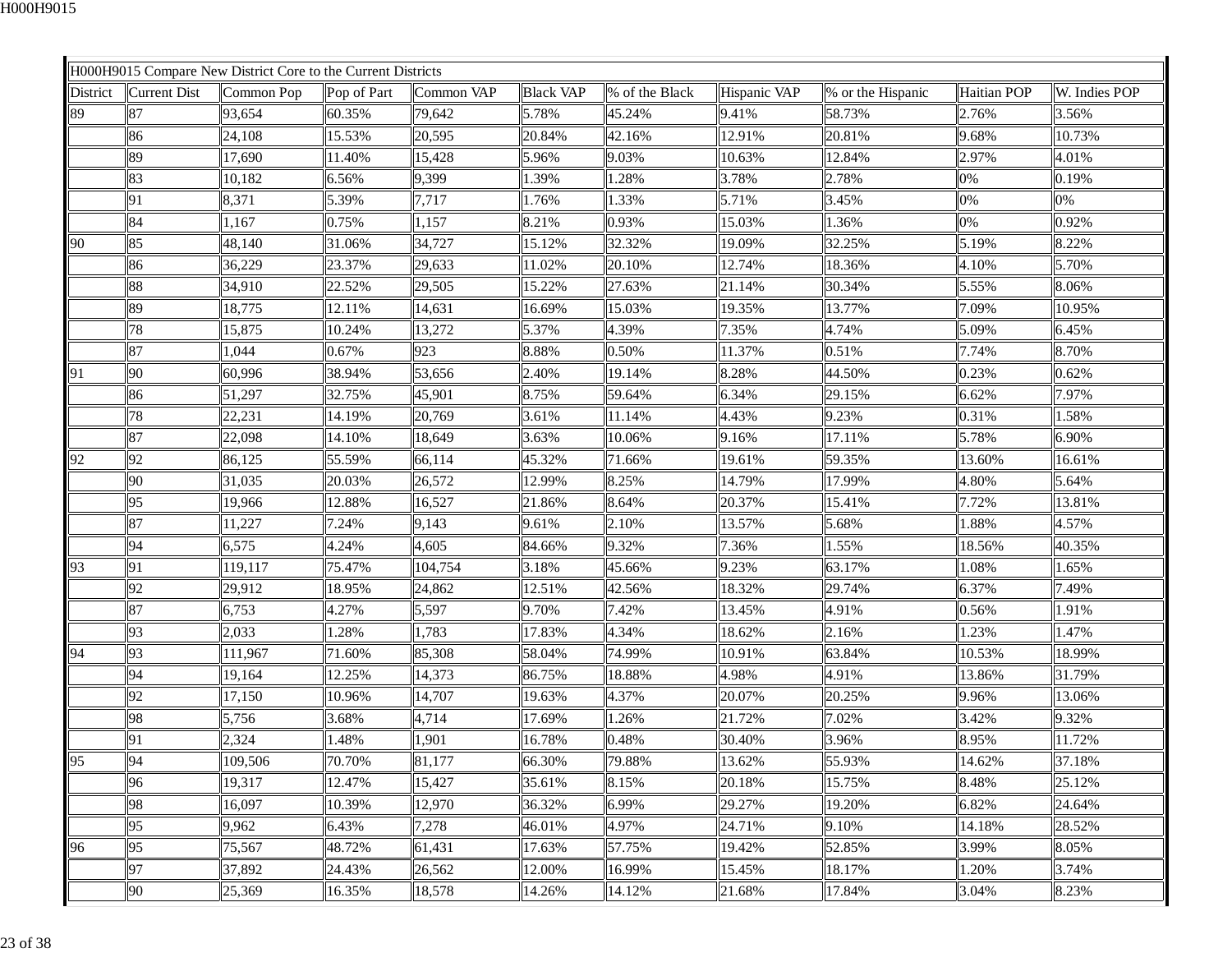| Common VAP<br><b>Black VAP</b><br>Hispanic VAP<br>Haitian POP<br>District<br>Current Dist<br>Common Pop<br>Pop of Part<br>% of the Black<br>% or the Hispanic<br>W. Indies POP<br>9.41%<br>87<br>93,654<br>60.35%<br>79,642<br>5.78%<br>58.73%<br>2.76%<br>3.56%<br>45.24%<br>12.91%<br>24,108<br>15.53%<br>20,595<br>20.84%<br>42.16%<br>20.81%<br>9.68%<br>10.73%<br>86<br>12.84%<br>89<br>17,690<br>11.40%<br>15,428<br>5.96%<br>9.03%<br>10.63%<br>2.97%<br>4.01%<br>83<br>10,182<br>6.56%<br>9,399<br>1.39%<br>1.28%<br>3.78%<br>2.78%<br>0.19%<br>0%<br>8,371<br>5.39%<br>1.33%<br>5.71%<br>0%<br>0%<br>91<br>7,717<br>1.76%<br>3.45%<br>15.03%<br>0%<br>0.92%<br>1,167<br>0.75%<br>1,157<br>8.21%<br>0.93%<br>1.36%<br>84<br>5.19%<br>85<br>48,140<br>31.06%<br>34,727<br>15.12%<br>19.09%<br>32.25%<br>8.22%<br>32.32%<br>12.74%<br>86<br>36,229<br>23.37%<br>29,633<br>11.02%<br>20.10%<br>18.36%<br>4.10%<br>5.70%<br>34,910<br>15.22%<br>5.55%<br>88<br>22.52%<br>29,505<br>27.63%<br>21.14%<br>30.34%<br>8.06%<br>19.35%<br>89<br>18,775<br>12.11%<br>14,631<br>16.69%<br>15.03%<br>13.77%<br>7.09%<br>10.95%<br>13,272<br>4.39%<br>7.35%<br>5.09%<br>78<br>15,875<br>10.24%<br>5.37%<br>4.74%<br>6.45%<br>8.70%<br>87<br>1,044<br>0.67%<br>923<br>8.88%<br>0.50%<br>11.37%<br>0.51%<br>7.74%<br>8.28%<br>90<br>60,996<br>38.94%<br>53,656<br>2.40%<br>19.14%<br>44.50%<br>0.23%<br>0.62%<br>6.34%<br>51,297<br>32.75%<br>45,901<br>8.75%<br>59.64%<br>6.62%<br>7.97%<br>86<br>29.15%<br>22,231<br>20,769<br>4.43%<br>9.23%<br>1.58%<br>78<br>14.19%<br>3.61%<br>11.14%<br>0.31%<br>17.11%<br>87<br>22,098<br>14.10%<br>18,649<br>3.63%<br>10.06%<br>9.16%<br>5.78%<br>6.90%<br>92<br>86,125<br>55.59%<br>45.32%<br>19.61%<br>59.35%<br>13.60%<br>16.61%<br>66,114<br>71.66%<br>90<br>14.79%<br>31,035<br>20.03%<br>26,572<br>12.99%<br>8.25%<br>17.99%<br>4.80%<br>5.64%<br>95<br>19,966<br>12.88%<br>16,527<br>21.86%<br>8.64%<br>20.37%<br>15.41%<br>7.72%<br>13.81%<br>13.57%<br>1.88%<br>4.57%<br>87<br>11,227<br>7.24%<br>9,143<br>9.61%<br>2.10%<br>5.68%<br>94<br>6,575<br>4.24%<br>4,605<br>9.32%<br>7.36%<br>84.66%<br>1.55%<br>18.56%<br>40.35%<br>9.23%<br>119,117<br>75.47%<br>104,754<br>3.18%<br>45.66%<br>63.17%<br>1.08%<br>1.65%<br>93<br>91<br>92<br>29,912<br>12.51%<br>18.32%<br>29.74%<br>18.95%<br>24,862<br>42.56%<br>6.37%<br>7.49%<br>13.45%<br>87<br>6,753<br>4.27%<br>5,597<br>9.70%<br>7.42%<br>4.91%<br>0.56%<br>1.91%<br>2,033<br>1,783<br>4.34%<br>93<br>1.28%<br>17.83%<br>18.62%<br>2.16%<br>1.23%<br>1.47%<br>93<br>71.60%<br>58.04%<br>74.99%<br>10.91%<br>63.84%<br>18.99%<br>111,967<br>85,308<br>10.53%<br>94<br>19,164<br>12.25%<br>14,373<br>18.88%<br>4.98%<br>4.91%<br>13.86%<br>86.75%<br>31.79%<br>92<br>17,150<br>10.96%<br>14,707<br>19.63%<br>4.37%<br>20.07%<br>20.25%<br>13.06%<br>9.96%<br>98<br>7.02%<br>5,756<br>3.68%<br>4,714<br>17.69%<br>1.26%<br>21.72%<br>3.42%<br>9.32%<br>1.48%<br>1,901<br>0.48%<br>30.40%<br>11.72%<br>91<br>2,324<br>16.78%<br>3.96%<br>8.95%<br>94<br>70.70%<br>81,177<br>79.88%<br>13.62%<br>37.18%<br>109,506<br>66.30%<br>55.93%<br>14.62%<br>15,427<br>20.18%<br>96<br>19,317<br>12.47%<br>35.61%<br>8.15%<br>15.75%<br>8.48%<br>25.12%<br>29.27%<br>98<br>10.39%<br>12,970<br>19.20%<br>16,097<br>36.32%<br>6.99%<br>6.82%<br>24.64%<br>24.71%<br>95<br>9,962<br>6.43%<br>7,278<br>46.01%<br>4.97%<br>9.10%<br>14.18%<br>28.52%<br>95<br>19.42%<br>75,567<br>48.72%<br>61,431<br>17.63%<br>57.75%<br>52.85%<br>3.99%<br>8.05%<br>97<br>37,892<br>24.43%<br>26,562<br>12.00%<br>15.45%<br>18.17%<br>3.74%<br>16.99%<br>1.20%<br>90<br>18,578<br>21.68%<br>17.84%<br>3.04%<br>14.26%<br>14.12%<br>8.23%<br>25,369<br>16.35% |    | H000H9015 Compare New District Core to the Current Districts |  |  |  |  |
|-----------------------------------------------------------------------------------------------------------------------------------------------------------------------------------------------------------------------------------------------------------------------------------------------------------------------------------------------------------------------------------------------------------------------------------------------------------------------------------------------------------------------------------------------------------------------------------------------------------------------------------------------------------------------------------------------------------------------------------------------------------------------------------------------------------------------------------------------------------------------------------------------------------------------------------------------------------------------------------------------------------------------------------------------------------------------------------------------------------------------------------------------------------------------------------------------------------------------------------------------------------------------------------------------------------------------------------------------------------------------------------------------------------------------------------------------------------------------------------------------------------------------------------------------------------------------------------------------------------------------------------------------------------------------------------------------------------------------------------------------------------------------------------------------------------------------------------------------------------------------------------------------------------------------------------------------------------------------------------------------------------------------------------------------------------------------------------------------------------------------------------------------------------------------------------------------------------------------------------------------------------------------------------------------------------------------------------------------------------------------------------------------------------------------------------------------------------------------------------------------------------------------------------------------------------------------------------------------------------------------------------------------------------------------------------------------------------------------------------------------------------------------------------------------------------------------------------------------------------------------------------------------------------------------------------------------------------------------------------------------------------------------------------------------------------------------------------------------------------------------------------------------------------------------------------------------------------------------------------------------------------------------------------------------------------------------------------------------------------------------------------------------------------------------------------------------------------------------------------------------------------------------------------------------------------------------------------------------------------------------------------------------------------------------------------------------------------------------------|----|--------------------------------------------------------------|--|--|--|--|
|                                                                                                                                                                                                                                                                                                                                                                                                                                                                                                                                                                                                                                                                                                                                                                                                                                                                                                                                                                                                                                                                                                                                                                                                                                                                                                                                                                                                                                                                                                                                                                                                                                                                                                                                                                                                                                                                                                                                                                                                                                                                                                                                                                                                                                                                                                                                                                                                                                                                                                                                                                                                                                                                                                                                                                                                                                                                                                                                                                                                                                                                                                                                                                                                                                                                                                                                                                                                                                                                                                                                                                                                                                                                                                                             |    |                                                              |  |  |  |  |
|                                                                                                                                                                                                                                                                                                                                                                                                                                                                                                                                                                                                                                                                                                                                                                                                                                                                                                                                                                                                                                                                                                                                                                                                                                                                                                                                                                                                                                                                                                                                                                                                                                                                                                                                                                                                                                                                                                                                                                                                                                                                                                                                                                                                                                                                                                                                                                                                                                                                                                                                                                                                                                                                                                                                                                                                                                                                                                                                                                                                                                                                                                                                                                                                                                                                                                                                                                                                                                                                                                                                                                                                                                                                                                                             | 89 |                                                              |  |  |  |  |
|                                                                                                                                                                                                                                                                                                                                                                                                                                                                                                                                                                                                                                                                                                                                                                                                                                                                                                                                                                                                                                                                                                                                                                                                                                                                                                                                                                                                                                                                                                                                                                                                                                                                                                                                                                                                                                                                                                                                                                                                                                                                                                                                                                                                                                                                                                                                                                                                                                                                                                                                                                                                                                                                                                                                                                                                                                                                                                                                                                                                                                                                                                                                                                                                                                                                                                                                                                                                                                                                                                                                                                                                                                                                                                                             |    |                                                              |  |  |  |  |
|                                                                                                                                                                                                                                                                                                                                                                                                                                                                                                                                                                                                                                                                                                                                                                                                                                                                                                                                                                                                                                                                                                                                                                                                                                                                                                                                                                                                                                                                                                                                                                                                                                                                                                                                                                                                                                                                                                                                                                                                                                                                                                                                                                                                                                                                                                                                                                                                                                                                                                                                                                                                                                                                                                                                                                                                                                                                                                                                                                                                                                                                                                                                                                                                                                                                                                                                                                                                                                                                                                                                                                                                                                                                                                                             |    |                                                              |  |  |  |  |
|                                                                                                                                                                                                                                                                                                                                                                                                                                                                                                                                                                                                                                                                                                                                                                                                                                                                                                                                                                                                                                                                                                                                                                                                                                                                                                                                                                                                                                                                                                                                                                                                                                                                                                                                                                                                                                                                                                                                                                                                                                                                                                                                                                                                                                                                                                                                                                                                                                                                                                                                                                                                                                                                                                                                                                                                                                                                                                                                                                                                                                                                                                                                                                                                                                                                                                                                                                                                                                                                                                                                                                                                                                                                                                                             |    |                                                              |  |  |  |  |
|                                                                                                                                                                                                                                                                                                                                                                                                                                                                                                                                                                                                                                                                                                                                                                                                                                                                                                                                                                                                                                                                                                                                                                                                                                                                                                                                                                                                                                                                                                                                                                                                                                                                                                                                                                                                                                                                                                                                                                                                                                                                                                                                                                                                                                                                                                                                                                                                                                                                                                                                                                                                                                                                                                                                                                                                                                                                                                                                                                                                                                                                                                                                                                                                                                                                                                                                                                                                                                                                                                                                                                                                                                                                                                                             |    |                                                              |  |  |  |  |
|                                                                                                                                                                                                                                                                                                                                                                                                                                                                                                                                                                                                                                                                                                                                                                                                                                                                                                                                                                                                                                                                                                                                                                                                                                                                                                                                                                                                                                                                                                                                                                                                                                                                                                                                                                                                                                                                                                                                                                                                                                                                                                                                                                                                                                                                                                                                                                                                                                                                                                                                                                                                                                                                                                                                                                                                                                                                                                                                                                                                                                                                                                                                                                                                                                                                                                                                                                                                                                                                                                                                                                                                                                                                                                                             |    |                                                              |  |  |  |  |
|                                                                                                                                                                                                                                                                                                                                                                                                                                                                                                                                                                                                                                                                                                                                                                                                                                                                                                                                                                                                                                                                                                                                                                                                                                                                                                                                                                                                                                                                                                                                                                                                                                                                                                                                                                                                                                                                                                                                                                                                                                                                                                                                                                                                                                                                                                                                                                                                                                                                                                                                                                                                                                                                                                                                                                                                                                                                                                                                                                                                                                                                                                                                                                                                                                                                                                                                                                                                                                                                                                                                                                                                                                                                                                                             | 90 |                                                              |  |  |  |  |
|                                                                                                                                                                                                                                                                                                                                                                                                                                                                                                                                                                                                                                                                                                                                                                                                                                                                                                                                                                                                                                                                                                                                                                                                                                                                                                                                                                                                                                                                                                                                                                                                                                                                                                                                                                                                                                                                                                                                                                                                                                                                                                                                                                                                                                                                                                                                                                                                                                                                                                                                                                                                                                                                                                                                                                                                                                                                                                                                                                                                                                                                                                                                                                                                                                                                                                                                                                                                                                                                                                                                                                                                                                                                                                                             |    |                                                              |  |  |  |  |
|                                                                                                                                                                                                                                                                                                                                                                                                                                                                                                                                                                                                                                                                                                                                                                                                                                                                                                                                                                                                                                                                                                                                                                                                                                                                                                                                                                                                                                                                                                                                                                                                                                                                                                                                                                                                                                                                                                                                                                                                                                                                                                                                                                                                                                                                                                                                                                                                                                                                                                                                                                                                                                                                                                                                                                                                                                                                                                                                                                                                                                                                                                                                                                                                                                                                                                                                                                                                                                                                                                                                                                                                                                                                                                                             |    |                                                              |  |  |  |  |
|                                                                                                                                                                                                                                                                                                                                                                                                                                                                                                                                                                                                                                                                                                                                                                                                                                                                                                                                                                                                                                                                                                                                                                                                                                                                                                                                                                                                                                                                                                                                                                                                                                                                                                                                                                                                                                                                                                                                                                                                                                                                                                                                                                                                                                                                                                                                                                                                                                                                                                                                                                                                                                                                                                                                                                                                                                                                                                                                                                                                                                                                                                                                                                                                                                                                                                                                                                                                                                                                                                                                                                                                                                                                                                                             |    |                                                              |  |  |  |  |
|                                                                                                                                                                                                                                                                                                                                                                                                                                                                                                                                                                                                                                                                                                                                                                                                                                                                                                                                                                                                                                                                                                                                                                                                                                                                                                                                                                                                                                                                                                                                                                                                                                                                                                                                                                                                                                                                                                                                                                                                                                                                                                                                                                                                                                                                                                                                                                                                                                                                                                                                                                                                                                                                                                                                                                                                                                                                                                                                                                                                                                                                                                                                                                                                                                                                                                                                                                                                                                                                                                                                                                                                                                                                                                                             |    |                                                              |  |  |  |  |
|                                                                                                                                                                                                                                                                                                                                                                                                                                                                                                                                                                                                                                                                                                                                                                                                                                                                                                                                                                                                                                                                                                                                                                                                                                                                                                                                                                                                                                                                                                                                                                                                                                                                                                                                                                                                                                                                                                                                                                                                                                                                                                                                                                                                                                                                                                                                                                                                                                                                                                                                                                                                                                                                                                                                                                                                                                                                                                                                                                                                                                                                                                                                                                                                                                                                                                                                                                                                                                                                                                                                                                                                                                                                                                                             |    |                                                              |  |  |  |  |
|                                                                                                                                                                                                                                                                                                                                                                                                                                                                                                                                                                                                                                                                                                                                                                                                                                                                                                                                                                                                                                                                                                                                                                                                                                                                                                                                                                                                                                                                                                                                                                                                                                                                                                                                                                                                                                                                                                                                                                                                                                                                                                                                                                                                                                                                                                                                                                                                                                                                                                                                                                                                                                                                                                                                                                                                                                                                                                                                                                                                                                                                                                                                                                                                                                                                                                                                                                                                                                                                                                                                                                                                                                                                                                                             | 91 |                                                              |  |  |  |  |
|                                                                                                                                                                                                                                                                                                                                                                                                                                                                                                                                                                                                                                                                                                                                                                                                                                                                                                                                                                                                                                                                                                                                                                                                                                                                                                                                                                                                                                                                                                                                                                                                                                                                                                                                                                                                                                                                                                                                                                                                                                                                                                                                                                                                                                                                                                                                                                                                                                                                                                                                                                                                                                                                                                                                                                                                                                                                                                                                                                                                                                                                                                                                                                                                                                                                                                                                                                                                                                                                                                                                                                                                                                                                                                                             |    |                                                              |  |  |  |  |
|                                                                                                                                                                                                                                                                                                                                                                                                                                                                                                                                                                                                                                                                                                                                                                                                                                                                                                                                                                                                                                                                                                                                                                                                                                                                                                                                                                                                                                                                                                                                                                                                                                                                                                                                                                                                                                                                                                                                                                                                                                                                                                                                                                                                                                                                                                                                                                                                                                                                                                                                                                                                                                                                                                                                                                                                                                                                                                                                                                                                                                                                                                                                                                                                                                                                                                                                                                                                                                                                                                                                                                                                                                                                                                                             |    |                                                              |  |  |  |  |
|                                                                                                                                                                                                                                                                                                                                                                                                                                                                                                                                                                                                                                                                                                                                                                                                                                                                                                                                                                                                                                                                                                                                                                                                                                                                                                                                                                                                                                                                                                                                                                                                                                                                                                                                                                                                                                                                                                                                                                                                                                                                                                                                                                                                                                                                                                                                                                                                                                                                                                                                                                                                                                                                                                                                                                                                                                                                                                                                                                                                                                                                                                                                                                                                                                                                                                                                                                                                                                                                                                                                                                                                                                                                                                                             |    |                                                              |  |  |  |  |
|                                                                                                                                                                                                                                                                                                                                                                                                                                                                                                                                                                                                                                                                                                                                                                                                                                                                                                                                                                                                                                                                                                                                                                                                                                                                                                                                                                                                                                                                                                                                                                                                                                                                                                                                                                                                                                                                                                                                                                                                                                                                                                                                                                                                                                                                                                                                                                                                                                                                                                                                                                                                                                                                                                                                                                                                                                                                                                                                                                                                                                                                                                                                                                                                                                                                                                                                                                                                                                                                                                                                                                                                                                                                                                                             | 92 |                                                              |  |  |  |  |
|                                                                                                                                                                                                                                                                                                                                                                                                                                                                                                                                                                                                                                                                                                                                                                                                                                                                                                                                                                                                                                                                                                                                                                                                                                                                                                                                                                                                                                                                                                                                                                                                                                                                                                                                                                                                                                                                                                                                                                                                                                                                                                                                                                                                                                                                                                                                                                                                                                                                                                                                                                                                                                                                                                                                                                                                                                                                                                                                                                                                                                                                                                                                                                                                                                                                                                                                                                                                                                                                                                                                                                                                                                                                                                                             |    |                                                              |  |  |  |  |
|                                                                                                                                                                                                                                                                                                                                                                                                                                                                                                                                                                                                                                                                                                                                                                                                                                                                                                                                                                                                                                                                                                                                                                                                                                                                                                                                                                                                                                                                                                                                                                                                                                                                                                                                                                                                                                                                                                                                                                                                                                                                                                                                                                                                                                                                                                                                                                                                                                                                                                                                                                                                                                                                                                                                                                                                                                                                                                                                                                                                                                                                                                                                                                                                                                                                                                                                                                                                                                                                                                                                                                                                                                                                                                                             |    |                                                              |  |  |  |  |
|                                                                                                                                                                                                                                                                                                                                                                                                                                                                                                                                                                                                                                                                                                                                                                                                                                                                                                                                                                                                                                                                                                                                                                                                                                                                                                                                                                                                                                                                                                                                                                                                                                                                                                                                                                                                                                                                                                                                                                                                                                                                                                                                                                                                                                                                                                                                                                                                                                                                                                                                                                                                                                                                                                                                                                                                                                                                                                                                                                                                                                                                                                                                                                                                                                                                                                                                                                                                                                                                                                                                                                                                                                                                                                                             |    |                                                              |  |  |  |  |
|                                                                                                                                                                                                                                                                                                                                                                                                                                                                                                                                                                                                                                                                                                                                                                                                                                                                                                                                                                                                                                                                                                                                                                                                                                                                                                                                                                                                                                                                                                                                                                                                                                                                                                                                                                                                                                                                                                                                                                                                                                                                                                                                                                                                                                                                                                                                                                                                                                                                                                                                                                                                                                                                                                                                                                                                                                                                                                                                                                                                                                                                                                                                                                                                                                                                                                                                                                                                                                                                                                                                                                                                                                                                                                                             |    |                                                              |  |  |  |  |
|                                                                                                                                                                                                                                                                                                                                                                                                                                                                                                                                                                                                                                                                                                                                                                                                                                                                                                                                                                                                                                                                                                                                                                                                                                                                                                                                                                                                                                                                                                                                                                                                                                                                                                                                                                                                                                                                                                                                                                                                                                                                                                                                                                                                                                                                                                                                                                                                                                                                                                                                                                                                                                                                                                                                                                                                                                                                                                                                                                                                                                                                                                                                                                                                                                                                                                                                                                                                                                                                                                                                                                                                                                                                                                                             |    |                                                              |  |  |  |  |
|                                                                                                                                                                                                                                                                                                                                                                                                                                                                                                                                                                                                                                                                                                                                                                                                                                                                                                                                                                                                                                                                                                                                                                                                                                                                                                                                                                                                                                                                                                                                                                                                                                                                                                                                                                                                                                                                                                                                                                                                                                                                                                                                                                                                                                                                                                                                                                                                                                                                                                                                                                                                                                                                                                                                                                                                                                                                                                                                                                                                                                                                                                                                                                                                                                                                                                                                                                                                                                                                                                                                                                                                                                                                                                                             |    |                                                              |  |  |  |  |
|                                                                                                                                                                                                                                                                                                                                                                                                                                                                                                                                                                                                                                                                                                                                                                                                                                                                                                                                                                                                                                                                                                                                                                                                                                                                                                                                                                                                                                                                                                                                                                                                                                                                                                                                                                                                                                                                                                                                                                                                                                                                                                                                                                                                                                                                                                                                                                                                                                                                                                                                                                                                                                                                                                                                                                                                                                                                                                                                                                                                                                                                                                                                                                                                                                                                                                                                                                                                                                                                                                                                                                                                                                                                                                                             |    |                                                              |  |  |  |  |
|                                                                                                                                                                                                                                                                                                                                                                                                                                                                                                                                                                                                                                                                                                                                                                                                                                                                                                                                                                                                                                                                                                                                                                                                                                                                                                                                                                                                                                                                                                                                                                                                                                                                                                                                                                                                                                                                                                                                                                                                                                                                                                                                                                                                                                                                                                                                                                                                                                                                                                                                                                                                                                                                                                                                                                                                                                                                                                                                                                                                                                                                                                                                                                                                                                                                                                                                                                                                                                                                                                                                                                                                                                                                                                                             |    |                                                              |  |  |  |  |
|                                                                                                                                                                                                                                                                                                                                                                                                                                                                                                                                                                                                                                                                                                                                                                                                                                                                                                                                                                                                                                                                                                                                                                                                                                                                                                                                                                                                                                                                                                                                                                                                                                                                                                                                                                                                                                                                                                                                                                                                                                                                                                                                                                                                                                                                                                                                                                                                                                                                                                                                                                                                                                                                                                                                                                                                                                                                                                                                                                                                                                                                                                                                                                                                                                                                                                                                                                                                                                                                                                                                                                                                                                                                                                                             | 94 |                                                              |  |  |  |  |
|                                                                                                                                                                                                                                                                                                                                                                                                                                                                                                                                                                                                                                                                                                                                                                                                                                                                                                                                                                                                                                                                                                                                                                                                                                                                                                                                                                                                                                                                                                                                                                                                                                                                                                                                                                                                                                                                                                                                                                                                                                                                                                                                                                                                                                                                                                                                                                                                                                                                                                                                                                                                                                                                                                                                                                                                                                                                                                                                                                                                                                                                                                                                                                                                                                                                                                                                                                                                                                                                                                                                                                                                                                                                                                                             |    |                                                              |  |  |  |  |
|                                                                                                                                                                                                                                                                                                                                                                                                                                                                                                                                                                                                                                                                                                                                                                                                                                                                                                                                                                                                                                                                                                                                                                                                                                                                                                                                                                                                                                                                                                                                                                                                                                                                                                                                                                                                                                                                                                                                                                                                                                                                                                                                                                                                                                                                                                                                                                                                                                                                                                                                                                                                                                                                                                                                                                                                                                                                                                                                                                                                                                                                                                                                                                                                                                                                                                                                                                                                                                                                                                                                                                                                                                                                                                                             |    |                                                              |  |  |  |  |
|                                                                                                                                                                                                                                                                                                                                                                                                                                                                                                                                                                                                                                                                                                                                                                                                                                                                                                                                                                                                                                                                                                                                                                                                                                                                                                                                                                                                                                                                                                                                                                                                                                                                                                                                                                                                                                                                                                                                                                                                                                                                                                                                                                                                                                                                                                                                                                                                                                                                                                                                                                                                                                                                                                                                                                                                                                                                                                                                                                                                                                                                                                                                                                                                                                                                                                                                                                                                                                                                                                                                                                                                                                                                                                                             |    |                                                              |  |  |  |  |
|                                                                                                                                                                                                                                                                                                                                                                                                                                                                                                                                                                                                                                                                                                                                                                                                                                                                                                                                                                                                                                                                                                                                                                                                                                                                                                                                                                                                                                                                                                                                                                                                                                                                                                                                                                                                                                                                                                                                                                                                                                                                                                                                                                                                                                                                                                                                                                                                                                                                                                                                                                                                                                                                                                                                                                                                                                                                                                                                                                                                                                                                                                                                                                                                                                                                                                                                                                                                                                                                                                                                                                                                                                                                                                                             |    |                                                              |  |  |  |  |
|                                                                                                                                                                                                                                                                                                                                                                                                                                                                                                                                                                                                                                                                                                                                                                                                                                                                                                                                                                                                                                                                                                                                                                                                                                                                                                                                                                                                                                                                                                                                                                                                                                                                                                                                                                                                                                                                                                                                                                                                                                                                                                                                                                                                                                                                                                                                                                                                                                                                                                                                                                                                                                                                                                                                                                                                                                                                                                                                                                                                                                                                                                                                                                                                                                                                                                                                                                                                                                                                                                                                                                                                                                                                                                                             | 95 |                                                              |  |  |  |  |
|                                                                                                                                                                                                                                                                                                                                                                                                                                                                                                                                                                                                                                                                                                                                                                                                                                                                                                                                                                                                                                                                                                                                                                                                                                                                                                                                                                                                                                                                                                                                                                                                                                                                                                                                                                                                                                                                                                                                                                                                                                                                                                                                                                                                                                                                                                                                                                                                                                                                                                                                                                                                                                                                                                                                                                                                                                                                                                                                                                                                                                                                                                                                                                                                                                                                                                                                                                                                                                                                                                                                                                                                                                                                                                                             |    |                                                              |  |  |  |  |
|                                                                                                                                                                                                                                                                                                                                                                                                                                                                                                                                                                                                                                                                                                                                                                                                                                                                                                                                                                                                                                                                                                                                                                                                                                                                                                                                                                                                                                                                                                                                                                                                                                                                                                                                                                                                                                                                                                                                                                                                                                                                                                                                                                                                                                                                                                                                                                                                                                                                                                                                                                                                                                                                                                                                                                                                                                                                                                                                                                                                                                                                                                                                                                                                                                                                                                                                                                                                                                                                                                                                                                                                                                                                                                                             |    |                                                              |  |  |  |  |
|                                                                                                                                                                                                                                                                                                                                                                                                                                                                                                                                                                                                                                                                                                                                                                                                                                                                                                                                                                                                                                                                                                                                                                                                                                                                                                                                                                                                                                                                                                                                                                                                                                                                                                                                                                                                                                                                                                                                                                                                                                                                                                                                                                                                                                                                                                                                                                                                                                                                                                                                                                                                                                                                                                                                                                                                                                                                                                                                                                                                                                                                                                                                                                                                                                                                                                                                                                                                                                                                                                                                                                                                                                                                                                                             |    |                                                              |  |  |  |  |
|                                                                                                                                                                                                                                                                                                                                                                                                                                                                                                                                                                                                                                                                                                                                                                                                                                                                                                                                                                                                                                                                                                                                                                                                                                                                                                                                                                                                                                                                                                                                                                                                                                                                                                                                                                                                                                                                                                                                                                                                                                                                                                                                                                                                                                                                                                                                                                                                                                                                                                                                                                                                                                                                                                                                                                                                                                                                                                                                                                                                                                                                                                                                                                                                                                                                                                                                                                                                                                                                                                                                                                                                                                                                                                                             | 96 |                                                              |  |  |  |  |
|                                                                                                                                                                                                                                                                                                                                                                                                                                                                                                                                                                                                                                                                                                                                                                                                                                                                                                                                                                                                                                                                                                                                                                                                                                                                                                                                                                                                                                                                                                                                                                                                                                                                                                                                                                                                                                                                                                                                                                                                                                                                                                                                                                                                                                                                                                                                                                                                                                                                                                                                                                                                                                                                                                                                                                                                                                                                                                                                                                                                                                                                                                                                                                                                                                                                                                                                                                                                                                                                                                                                                                                                                                                                                                                             |    |                                                              |  |  |  |  |
|                                                                                                                                                                                                                                                                                                                                                                                                                                                                                                                                                                                                                                                                                                                                                                                                                                                                                                                                                                                                                                                                                                                                                                                                                                                                                                                                                                                                                                                                                                                                                                                                                                                                                                                                                                                                                                                                                                                                                                                                                                                                                                                                                                                                                                                                                                                                                                                                                                                                                                                                                                                                                                                                                                                                                                                                                                                                                                                                                                                                                                                                                                                                                                                                                                                                                                                                                                                                                                                                                                                                                                                                                                                                                                                             |    |                                                              |  |  |  |  |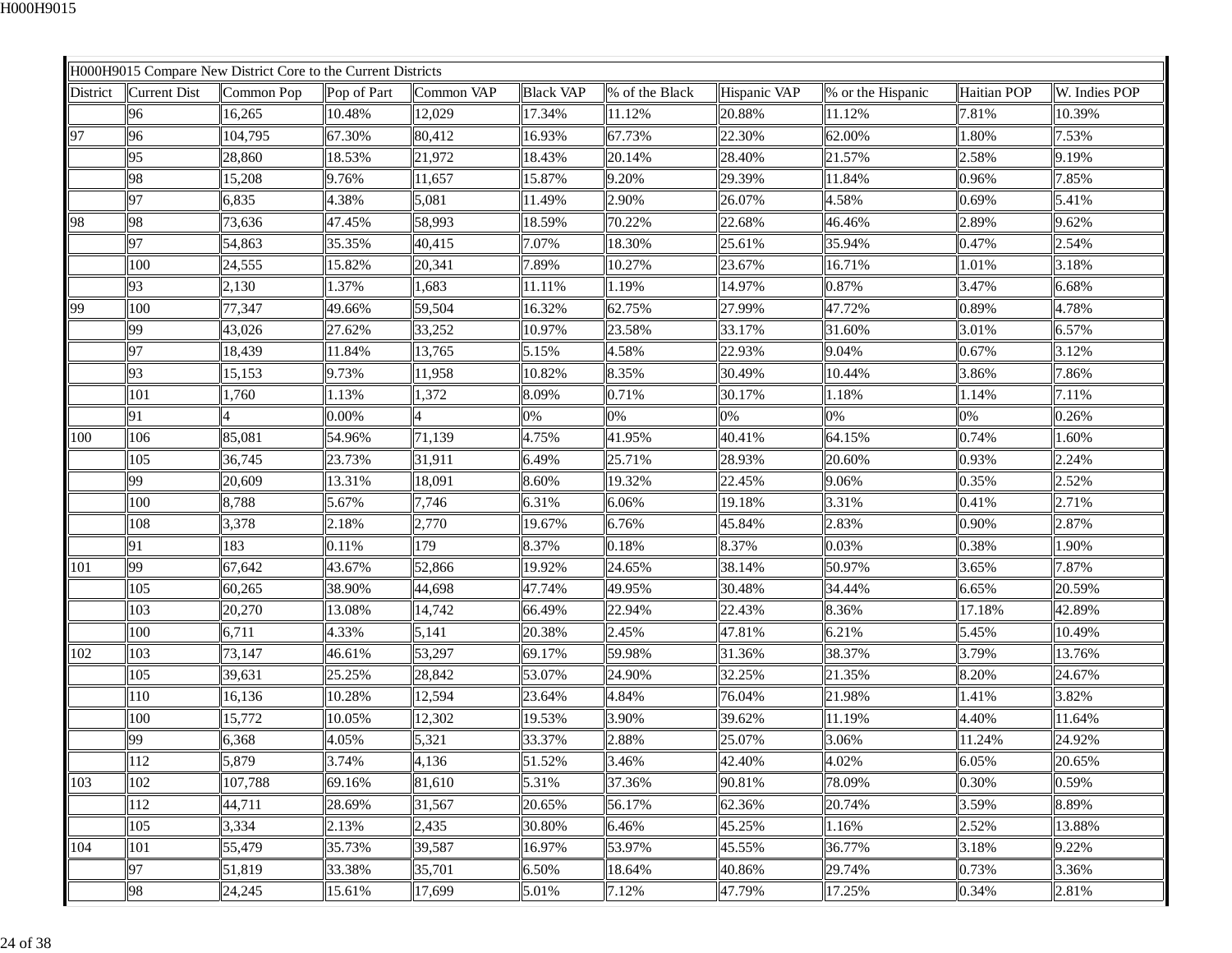|          |                     | H000H9015 Compare New District Core to the Current Districts |             |            |                  |                |              |                   |                    |               |
|----------|---------------------|--------------------------------------------------------------|-------------|------------|------------------|----------------|--------------|-------------------|--------------------|---------------|
| District | <b>Current Dist</b> | Common Pop                                                   | Pop of Part | Common VAP | <b>Black VAP</b> | % of the Black | Hispanic VAP | % or the Hispanic | <b>Haitian POP</b> | W. Indies POP |
|          | 96                  | 16,265                                                       | 10.48%      | 12,029     | 17.34%           | 11.12%         | 20.88%       | 11.12%            | 7.81%              | 10.39%        |
| 97       | 96                  | 104,795                                                      | 67.30%      | 80,412     | 16.93%           | 67.73%         | 22.30%       | 62.00%            | 1.80%              | 7.53%         |
|          | 95                  | 28,860                                                       | 18.53%      | 21,972     | 18.43%           | 20.14%         | 28.40%       | 21.57%            | 2.58%              | 9.19%         |
|          | 98                  | 15,208                                                       | 9.76%       | 11,657     | 15.87%           | 9.20%          | 29.39%       | 11.84%            | 0.96%              | 7.85%         |
|          | 97                  | 6,835                                                        | 4.38%       | 5,081      | 11.49%           | 2.90%          | 26.07%       | 4.58%             | 0.69%              | 5.41%         |
| 98       | 98                  | 73,636                                                       | 47.45%      | 58,993     | 18.59%           | 70.22%         | 22.68%       | 46.46%            | 2.89%              | 9.62%         |
|          | 97                  | 54,863                                                       | 35.35%      | 40,415     | 7.07%            | 18.30%         | 25.61%       | 35.94%            | 0.47%              | 2.54%         |
|          | 100                 | 24,555                                                       | 15.82%      | 20,341     | 7.89%            | 10.27%         | 23.67%       | 16.71%            | 1.01%              | 3.18%         |
|          | 93                  | 2,130                                                        | 1.37%       | 1,683      | 11.11%           | 1.19%          | 14.97%       | 0.87%             | 3.47%              | 6.68%         |
| 99       | 100                 | 77,347                                                       | 49.66%      | 59,504     | 16.32%           | 62.75%         | 27.99%       | 47.72%            | 0.89%              | 4.78%         |
|          | 99                  | 43,026                                                       | 27.62%      | 33,252     | 10.97%           | 23.58%         | 33.17%       | 31.60%            | 3.01%              | 6.57%         |
|          | 97                  | 18,439                                                       | 11.84%      | 13,765     | 5.15%            | 4.58%          | 22.93%       | 9.04%             | 0.67%              | 3.12%         |
|          | 93                  | 15,153                                                       | 9.73%       | 11,958     | 10.82%           | 8.35%          | 30.49%       | 10.44%            | 3.86%              | 7.86%         |
|          | 101                 | 1,760                                                        | 1.13%       | 1,372      | 8.09%            | 0.71%          | 30.17%       | 1.18%             | 1.14%              | 7.11%         |
|          | 91                  |                                                              | 0.00%       |            | 0%               | 0%             | 0%           | 0%                | 0%                 | 0.26%         |
| 100      | 106                 | 85,081                                                       | 54.96%      | 71,139     | 4.75%            | 41.95%         | 40.41%       | 64.15%            | 0.74%              | 1.60%         |
|          | 105                 | 36,745                                                       | 23.73%      | 31,911     | 6.49%            | 25.71%         | 28.93%       | 20.60%            | 0.93%              | 2.24%         |
|          | 99                  | 20,609                                                       | 13.31%      | 18,091     | 8.60%            | 19.32%         | 22.45%       | 9.06%             | 0.35%              | 2.52%         |
|          | 100                 | 8,788                                                        | 5.67%       | 7,746      | 6.31%            | 6.06%          | 19.18%       | 3.31%             | 0.41%              | 2.71%         |
|          | 108                 | 3,378                                                        | 2.18%       | 2,770      | 19.67%           | 6.76%          | 45.84%       | 2.83%             | 0.90%              | 2.87%         |
|          | 91                  | 183                                                          | 0.11%       | 179        | 8.37%            | 0.18%          | 8.37%        | 0.03%             | 0.38%              | 1.90%         |
| 101      | 99                  | 67,642                                                       | 43.67%      | 52,866     | 19.92%           | 24.65%         | 38.14%       | 50.97%            | 3.65%              | 7.87%         |
|          | 105                 | 60,265                                                       | 38.90%      | 44,698     | 47.74%           | 49.95%         | 30.48%       | 34.44%            | 6.65%              | 20.59%        |
|          | 103                 | 20,270                                                       | 13.08%      | 14,742     | 66.49%           | 22.94%         | 22.43%       | 8.36%             | 17.18%             | 42.89%        |
|          | 100                 | 6,711                                                        | 4.33%       | 5,141      | 20.38%           | 2.45%          | 47.81%       | 6.21%             | 5.45%              | 10.49%        |
| 102      | 103                 | 73,147                                                       | 46.61%      | 53,297     | 69.17%           | 59.98%         | 31.36%       | 38.37%            | 3.79%              | 13.76%        |
|          | 105                 | 39,631                                                       | 25.25%      | 28,842     | 53.07%           | 24.90%         | 32.25%       | 21.35%            | 8.20%              | 24.67%        |
|          | 110                 | 16,136                                                       | 10.28%      | 12,594     | 23.64%           | 4.84%          | 76.04%       | 21.98%            | 1.41%              | 3.82%         |
|          | 100                 | 15,772                                                       | 10.05%      | 12,302     | 19.53%           | 3.90%          | 39.62%       | 11.19%            | 4.40%              | 11.64%        |
|          | 99                  | 6,368                                                        | 4.05%       | 5,321      | 33.37%           | 2.88%          | 25.07%       | 3.06%             | 11.24%             | 24.92%        |
|          | 112                 | 5,879                                                        | 3.74%       | 4,136      | 51.52%           | 3.46%          | 42.40%       | 4.02%             | 6.05%              | 20.65%        |
| 103      | 102                 | 107,788                                                      | 69.16%      | 81,610     | 5.31%            | 37.36%         | 90.81%       | 78.09%            | 0.30%              | 0.59%         |
|          | 112                 | 44,711                                                       | 28.69%      | 31,567     | 20.65%           | 56.17%         | 62.36%       | 20.74%            | 3.59%              | 8.89%         |
|          | 105                 | 3,334                                                        | 2.13%       | 2,435      | 30.80%           | 6.46%          | 45.25%       | 1.16%             | 2.52%              | 13.88%        |
| 104      | 101                 | 55,479                                                       | 35.73%      | 39,587     | 16.97%           | 53.97%         | 45.55%       | 36.77%            | 3.18%              | 9.22%         |
|          | 97                  | 51,819                                                       | 33.38%      | 35,701     | 6.50%            | 18.64%         | 40.86%       | 29.74%            | 0.73%              | 3.36%         |
|          | 98                  | 24,245                                                       | 15.61%      | 17,699     | 5.01%            | 7.12%          | 47.79%       | 17.25%            | 0.34%              | 2.81%         |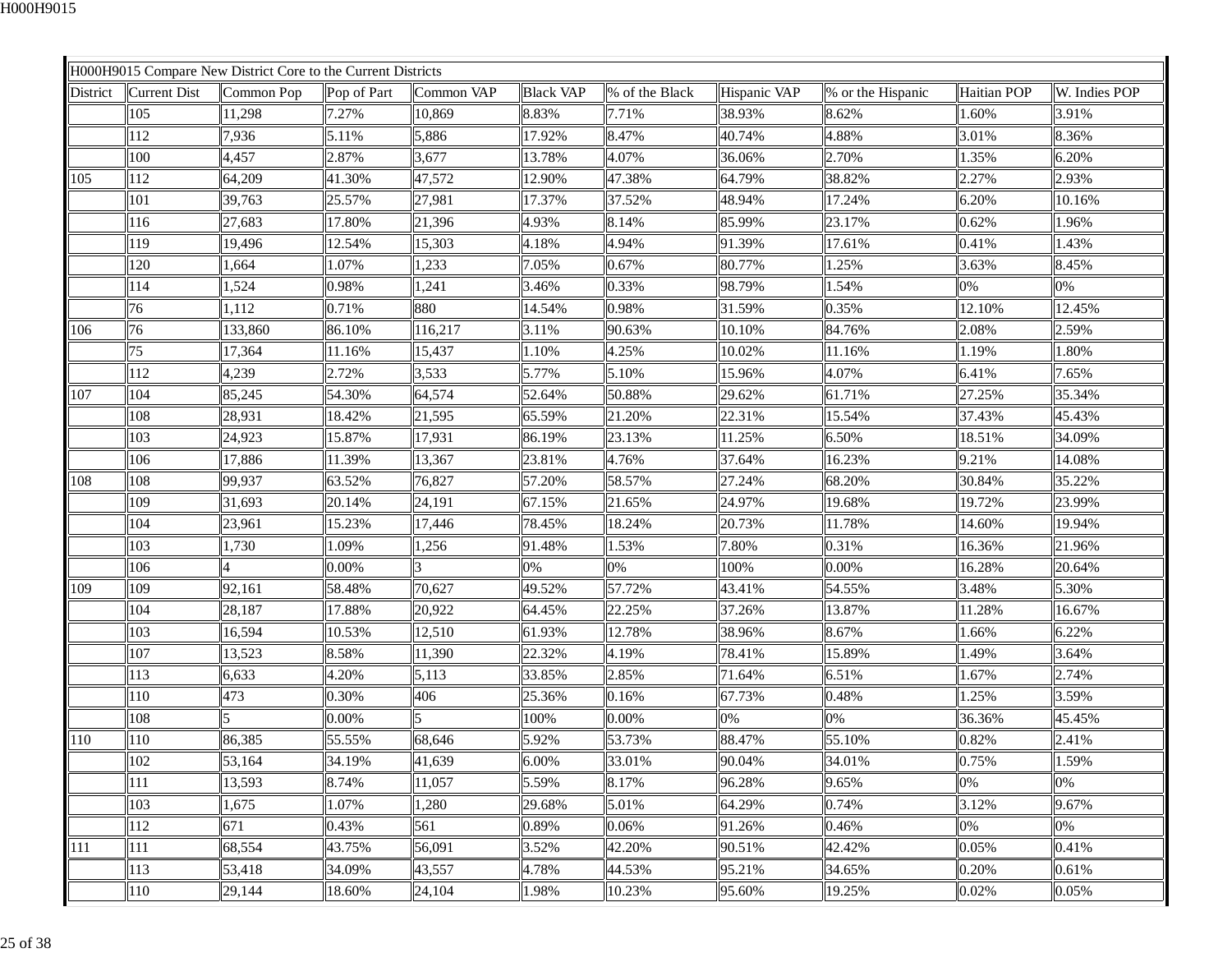|                 |              | H000H9015 Compare New District Core to the Current Districts |             |            |                  |                |              |                   |             |               |
|-----------------|--------------|--------------------------------------------------------------|-------------|------------|------------------|----------------|--------------|-------------------|-------------|---------------|
| <b>District</b> | Current Dist | Common Pop                                                   | Pop of Part | Common VAP | <b>Black VAP</b> | % of the Black | Hispanic VAP | % or the Hispanic | Haitian POP | W. Indies POP |
|                 | 105          | 11,298                                                       | 7.27%       | 10,869     | 8.83%            | 7.71%          | 38.93%       | 8.62%             | 1.60%       | 3.91%         |
|                 | 112          | 7,936                                                        | 5.11%       | 5,886      | 17.92%           | 8.47%          | 40.74%       | 4.88%             | 3.01%       | 8.36%         |
|                 | 100          | 4,457                                                        | 2.87%       | 3,677      | 13.78%           | 4.07%          | 36.06%       | 2.70%             | 1.35%       | 6.20%         |
| 105             | 112          | 64,209                                                       | 41.30%      | 47,572     | 12.90%           | 47.38%         | 64.79%       | 38.82%            | 2.27%       | 2.93%         |
|                 | 101          | 39,763                                                       | 25.57%      | 27,981     | 17.37%           | 37.52%         | 48.94%       | 17.24%            | 6.20%       | 10.16%        |
|                 | 116          | 27,683                                                       | 17.80%      | 21,396     | 4.93%            | 8.14%          | 85.99%       | 23.17%            | 0.62%       | 1.96%         |
|                 | 119          | 19,496                                                       | 12.54%      | 15,303     | 4.18%            | 4.94%          | 91.39%       | 17.61%            | 0.41%       | 1.43%         |
|                 | 120          | 1,664                                                        | 1.07%       | 1,233      | 7.05%            | 0.67%          | 80.77%       | 1.25%             | 3.63%       | 8.45%         |
|                 | 114          | 1,524                                                        | 0.98%       | 1,241      | 3.46%            | 0.33%          | 98.79%       | 1.54%             | 0%          | 0%            |
|                 | 76           | 1,112                                                        | 0.71%       | 880        | 14.54%           | 0.98%          | 31.59%       | 0.35%             | 12.10%      | 12.45%        |
| 106             | 76           | 133,860                                                      | 86.10%      | 116,217    | 3.11%            | 90.63%         | 10.10%       | 84.76%            | 2.08%       | 2.59%         |
|                 | 75           | 17,364                                                       | 11.16%      | 15,437     | 1.10%            | 4.25%          | 10.02%       | 11.16%            | 1.19%       | 1.80%         |
|                 | 112          | 4,239                                                        | 2.72%       | 3,533      | 5.77%            | 5.10%          | 15.96%       | 4.07%             | 6.41%       | 7.65%         |
| 107             | 104          | 85,245                                                       | 54.30%      | 64,574     | 52.64%           | 50.88%         | 29.62%       | 61.71%            | 27.25%      | 35.34%        |
|                 | 108          | 28,931                                                       | 18.42%      | 21,595     | 65.59%           | 21.20%         | 22.31%       | 15.54%            | 37.43%      | 45.43%        |
|                 | 103          | 24,923                                                       | 15.87%      | 17,931     | 86.19%           | 23.13%         | 11.25%       | 6.50%             | 18.51%      | 34.09%        |
|                 | 106          | 17,886                                                       | 11.39%      | 13,367     | 23.81%           | 4.76%          | 37.64%       | 16.23%            | 9.21%       | 14.08%        |
| 108             | 108          | 99,937                                                       | 63.52%      | 76,827     | 57.20%           | 58.57%         | 27.24%       | 68.20%            | 30.84%      | 35.22%        |
|                 | 109          | 31,693                                                       | 20.14%      | 24,191     | 67.15%           | 21.65%         | 24.97%       | 19.68%            | 19.72%      | 23.99%        |
|                 | 104          | 23,961                                                       | 15.23%      | 17,446     | 78.45%           | 18.24%         | 20.73%       | 11.78%            | 14.60%      | 19.94%        |
|                 | 103          | 1,730                                                        | 1.09%       | 1,256      | 91.48%           | 1.53%          | 7.80%        | 0.31%             | 16.36%      | 21.96%        |
|                 | 106          |                                                              | 0.00%       |            | 0%               | 0%             | 100%         | 0.00%             | 16.28%      | 20.64%        |
| 109             | 109          | 92,161                                                       | 58.48%      | 70,627     | 49.52%           | 57.72%         | 43.41%       | 54.55%            | 3.48%       | 5.30%         |
|                 | 104          | 28,187                                                       | 17.88%      | 20,922     | 64.45%           | 22.25%         | 37.26%       | 13.87%            | 11.28%      | 16.67%        |
|                 | 103          | 16,594                                                       | 10.53%      | 12,510     | 61.93%           | 12.78%         | 38.96%       | 8.67%             | 1.66%       | 6.22%         |
|                 | 107          | 13,523                                                       | 8.58%       | 11,390     | 22.32%           | 4.19%          | 78.41%       | 15.89%            | 1.49%       | 3.64%         |
|                 | 113          | 6,633                                                        | 4.20%       | 5,113      | 33.85%           | 2.85%          | 71.64%       | 6.51%             | 1.67%       | 2.74%         |
|                 | 110          | 473                                                          | 0.30%       | 406        | 25.36%           | 0.16%          | 67.73%       | 0.48%             | 1.25%       | 3.59%         |
|                 | 108          | 5                                                            | 0.00%       | 5          | 100%             | 0.00%          | 0%           | 0%                | 36.36%      | 45.45%        |
| 110             | 110          | 86,385                                                       | 55.55%      | 68,646     | 5.92%            | 53.73%         | 88.47%       | 55.10%            | 0.82%       | 2.41%         |
|                 | 102          | 53,164                                                       | 34.19%      | 41,639     | 6.00%            | 33.01%         | 90.04%       | 34.01%            | 0.75%       | 1.59%         |
|                 | 111          | 13,593                                                       | 8.74%       | 11,057     | 5.59%            | 8.17%          | 96.28%       | 9.65%             | 0%          | 0%            |
|                 | 103          | 1,675                                                        | 1.07%       | 1,280      | 29.68%           | 5.01%          | 64.29%       | 0.74%             | 3.12%       | 9.67%         |
|                 | 112          | 671                                                          | 0.43%       | 561        | 0.89%            | 0.06%          | 91.26%       | 0.46%             | 0%          | 0%            |
| 111             | 111          | 68,554                                                       | 43.75%      | 56,091     | 3.52%            | 42.20%         | 90.51%       | 42.42%            | 0.05%       | 0.41%         |
|                 | 113          | 53,418                                                       | 34.09%      | 43,557     | 4.78%            | 44.53%         | 95.21%       | 34.65%            | 0.20%       | 0.61%         |
|                 | 110          | 29,144                                                       | 18.60%      | 24,104     | 1.98%            | 10.23%         | 95.60%       | 19.25%            | 0.02%       | 0.05%         |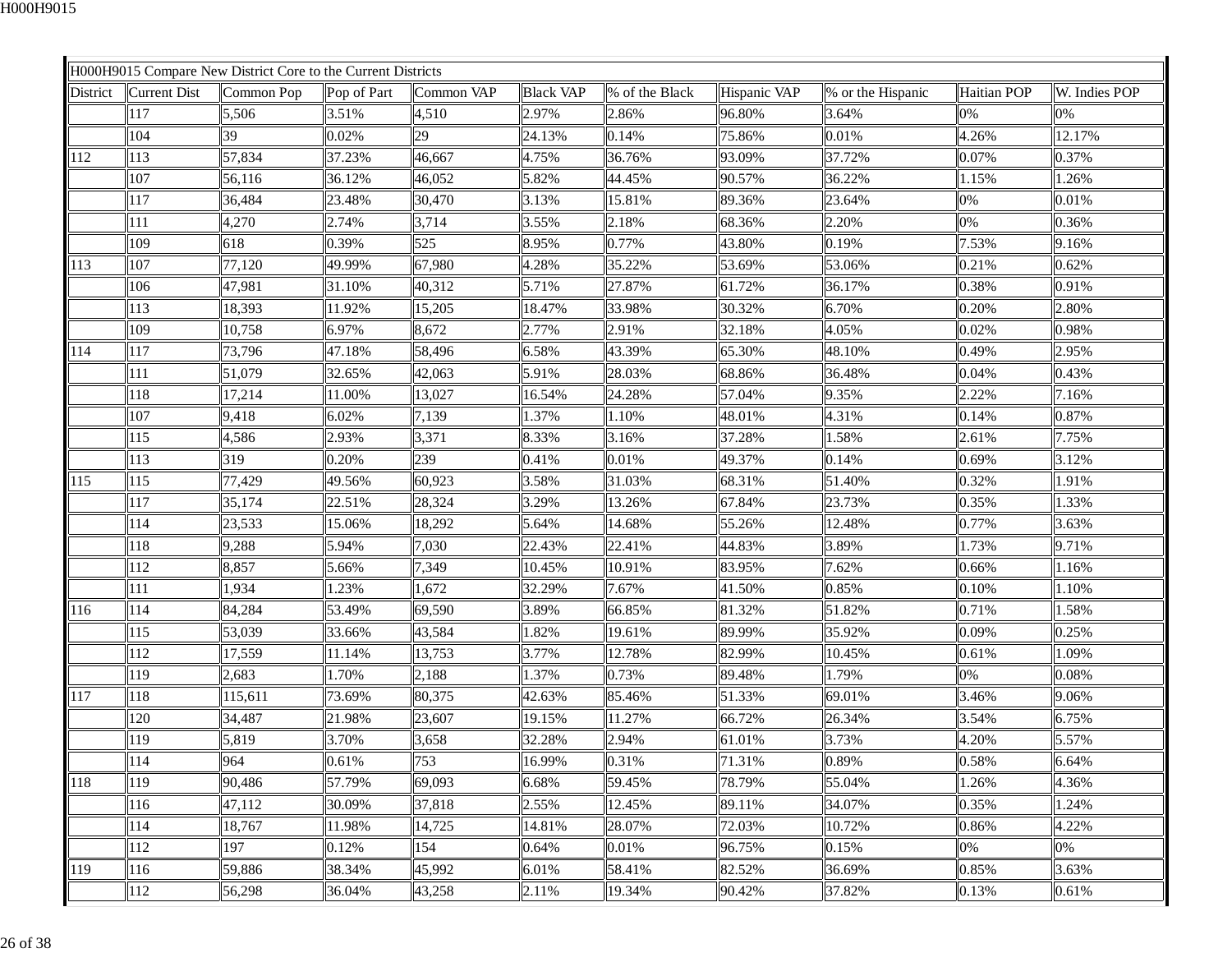|          |              | H000H9015 Compare New District Core to the Current Districts |             |            |                  |                |              |                   |                    |               |
|----------|--------------|--------------------------------------------------------------|-------------|------------|------------------|----------------|--------------|-------------------|--------------------|---------------|
| District | Current Dist | Common Pop                                                   | Pop of Part | Common VAP | <b>Black VAP</b> | % of the Black | Hispanic VAP | % or the Hispanic | <b>Haitian POP</b> | W. Indies POP |
|          | 117          | 5,506                                                        | 3.51%       | 4,510      | 2.97%            | 2.86%          | 96.80%       | 3.64%             | 0%                 | 0%            |
|          | 104          | 39                                                           | 0.02%       | 29         | 24.13%           | 0.14%          | 75.86%       | 0.01%             | 4.26%              | 12.17%        |
| 112      | 113          | 57,834                                                       | 37.23%      | 46,667     | 4.75%            | 36.76%         | 93.09%       | 37.72%            | 0.07%              | 0.37%         |
|          | 107          | 56,116                                                       | 36.12%      | 46,052     | 5.82%            | 44.45%         | 90.57%       | 36.22%            | 1.15%              | 1.26%         |
|          | 117          | 36,484                                                       | 23.48%      | 30,470     | 3.13%            | 15.81%         | 89.36%       | 23.64%            | 0%                 | 0.01%         |
|          | 111          | 4,270                                                        | 2.74%       | 3,714      | 3.55%            | 2.18%          | 68.36%       | 2.20%             | 0%                 | 0.36%         |
|          | 109          | 618                                                          | 0.39%       | 525        | 8.95%            | 0.77%          | 43.80%       | 0.19%             | 7.53%              | 9.16%         |
| 113      | 107          | 77,120                                                       | 49.99%      | 67,980     | 4.28%            | 35.22%         | 53.69%       | 53.06%            | 0.21%              | 0.62%         |
|          | 106          | 47,981                                                       | 31.10%      | 40,312     | 5.71%            | 27.87%         | 61.72%       | 36.17%            | 0.38%              | 0.91%         |
|          | 113          | 18,393                                                       | 11.92%      | 15,205     | 18.47%           | 33.98%         | 30.32%       | 6.70%             | 0.20%              | 2.80%         |
|          | 109          | 10,758                                                       | 6.97%       | 8,672      | 2.77%            | 2.91%          | 32.18%       | 4.05%             | 0.02%              | 0.98%         |
| 114      | 117          | 73,796                                                       | 47.18%      | 58,496     | 6.58%            | 43.39%         | 65.30%       | 48.10%            | 0.49%              | 2.95%         |
|          | 111          | 51,079                                                       | 32.65%      | 42,063     | 5.91%            | 28.03%         | 68.86%       | 36.48%            | 0.04%              | 0.43%         |
|          | 118          | 17,214                                                       | 11.00%      | 13,027     | 16.54%           | 24.28%         | 57.04%       | 9.35%             | 2.22%              | 7.16%         |
|          | 107          | 9,418                                                        | 6.02%       | 7,139      | 1.37%            | 1.10%          | 48.01%       | 4.31%             | 0.14%              | 0.87%         |
|          | 115          | 4,586                                                        | 2.93%       | 3,371      | 8.33%            | 3.16%          | 37.28%       | 1.58%             | 2.61%              | 7.75%         |
|          | 113          | 319                                                          | 0.20%       | 239        | 0.41%            | 0.01%          | 49.37%       | 0.14%             | 0.69%              | 3.12%         |
| 115      | 115          | 77,429                                                       | 49.56%      | 60,923     | 3.58%            | 31.03%         | 68.31%       | 51.40%            | 0.32%              | 1.91%         |
|          | 117          | 35,174                                                       | 22.51%      | 28,324     | 3.29%            | 13.26%         | 67.84%       | 23.73%            | 0.35%              | 1.33%         |
|          | 114          | 23,533                                                       | 15.06%      | 18,292     | 5.64%            | 14.68%         | 55.26%       | 12.48%            | 0.77%              | 3.63%         |
|          | 118          | 9,288                                                        | 5.94%       | 7,030      | 22.43%           | 22.41%         | 44.83%       | 3.89%             | 1.73%              | 9.71%         |
|          | 112          | 8,857                                                        | 5.66%       | 7,349      | 10.45%           | 10.91%         | 83.95%       | 7.62%             | 0.66%              | 1.16%         |
|          | 111          | 1,934                                                        | 1.23%       | 1,672      | 32.29%           | 7.67%          | 41.50%       | 0.85%             | 0.10%              | 1.10%         |
| 116      | 114          | 84,284                                                       | 53.49%      | 69,590     | 3.89%            | 66.85%         | 81.32%       | 51.82%            | 0.71%              | 1.58%         |
|          | 115          | 53,039                                                       | 33.66%      | 43,584     | 1.82%            | 19.61%         | 89.99%       | 35.92%            | 0.09%              | 0.25%         |
|          | 112          | 17,559                                                       | 11.14%      | 13,753     | 3.77%            | 12.78%         | 82.99%       | 10.45%            | 0.61%              | 1.09%         |
|          | 119          | 2,683                                                        | 1.70%       | 2,188      | 1.37%            | 0.73%          | 89.48%       | 1.79%             | $0\%$              | 0.08%         |
| 117      | 118          | 115,611                                                      | 73.69%      | 80,375     | 42.63%           | 85.46%         | 51.33%       | 69.01%            | 3.46%              | 9.06%         |
|          | 120          | 34,487                                                       | 21.98%      | 23,607     | 19.15%           | 11.27%         | 66.72%       | 26.34%            | 3.54%              | 6.75%         |
|          | 119          | 5,819                                                        | 3.70%       | 3,658      | 32.28%           | 2.94%          | 61.01%       | 3.73%             | 4.20%              | 5.57%         |
|          | 114          | 964                                                          | 0.61%       | 753        | 16.99%           | 0.31%          | 71.31%       | 0.89%             | 0.58%              | 6.64%         |
| 118      | 119          | 90,486                                                       | 57.79%      | 69,093     | 6.68%            | 59.45%         | 78.79%       | 55.04%            | 1.26%              | 4.36%         |
|          | 116          | 47,112                                                       | 30.09%      | 37,818     | 2.55%            | 12.45%         | 89.11%       | 34.07%            | 0.35%              | 1.24%         |
|          | 114          | 18,767                                                       | 11.98%      | 14,725     | 14.81%           | 28.07%         | 72.03%       | 10.72%            | 0.86%              | 4.22%         |
|          | 112          | 197                                                          | 0.12%       | 154        | 0.64%            | 0.01%          | 96.75%       | 0.15%             | 0%                 | 0%            |
| 119      | 116          | 59,886                                                       | 38.34%      | 45,992     | 6.01%            | 58.41%         | 82.52%       | 36.69%            | 0.85%              | 3.63%         |
|          | 112          | 56,298                                                       | 36.04%      | 43,258     | 2.11%            | 19.34%         | 90.42%       | 37.82%            | 0.13%              | 0.61%         |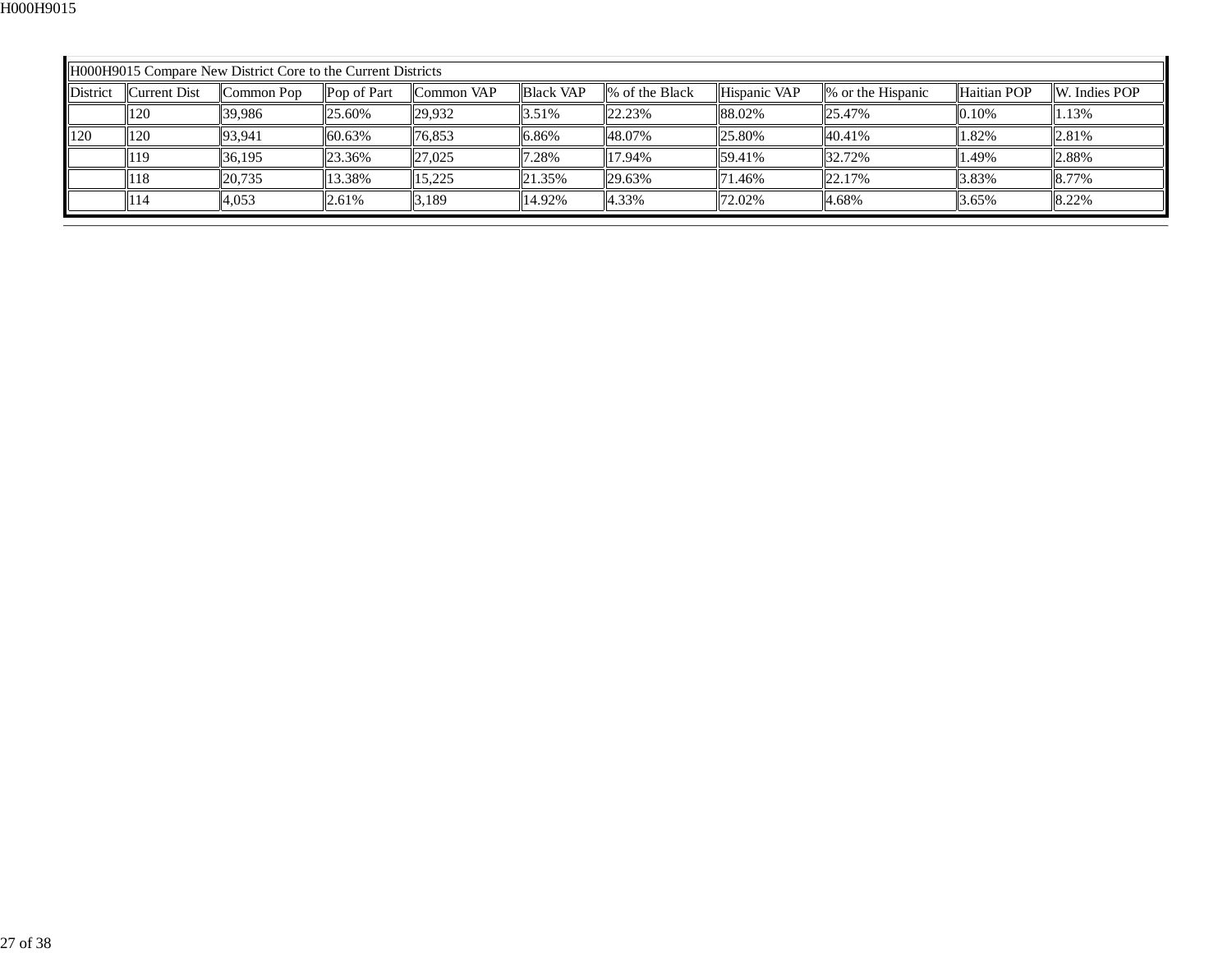|                                                                                                                                                                     | H000H9015 Compare New District Core to the Current Districts |        |        |        |             |        |        |             |               |       |
|---------------------------------------------------------------------------------------------------------------------------------------------------------------------|--------------------------------------------------------------|--------|--------|--------|-------------|--------|--------|-------------|---------------|-------|
| <b>District</b><br><b>Black VAP</b><br>Hispanic VAP<br>Current Dist<br>Common VAP<br>1\% of the Black<br>Pop of Part<br>$\frac{1}{2}$ or the Hispanic<br>Common Pop |                                                              |        |        |        |             |        |        | Haitian POP | W. Indies POP |       |
|                                                                                                                                                                     | 120                                                          | 39.986 | 25.60% | 29,932 | 3.51%       | 22.23% | 88.02% | 25.47%      | 0.10%         | 1.13% |
| $\blacksquare$ 120                                                                                                                                                  | 120                                                          | 93,941 | 60.63% | 76,853 | 6.86%       | 48.07% | 25.80% | $ 40.41\%$  | 1.82%         | 2.81% |
|                                                                                                                                                                     | 119                                                          | 36.195 | 23.36% | 27,025 | 7.28%       | 17.94% | 59.41% | 32.72%      | 1.49%         | 2.88% |
|                                                                                                                                                                     | 118                                                          | 20,735 | 13.38% | 15.225 | $\ 21.35\%$ | 29.63% | 71.46% | 22.17%      | 3.83%         | 8.77% |
|                                                                                                                                                                     | 114                                                          | 4,053  | 2.61%  | 3,189  | 14.92%      | 4.33%  | 72.02% | 4.68%       | 3.65%         | 8.22% |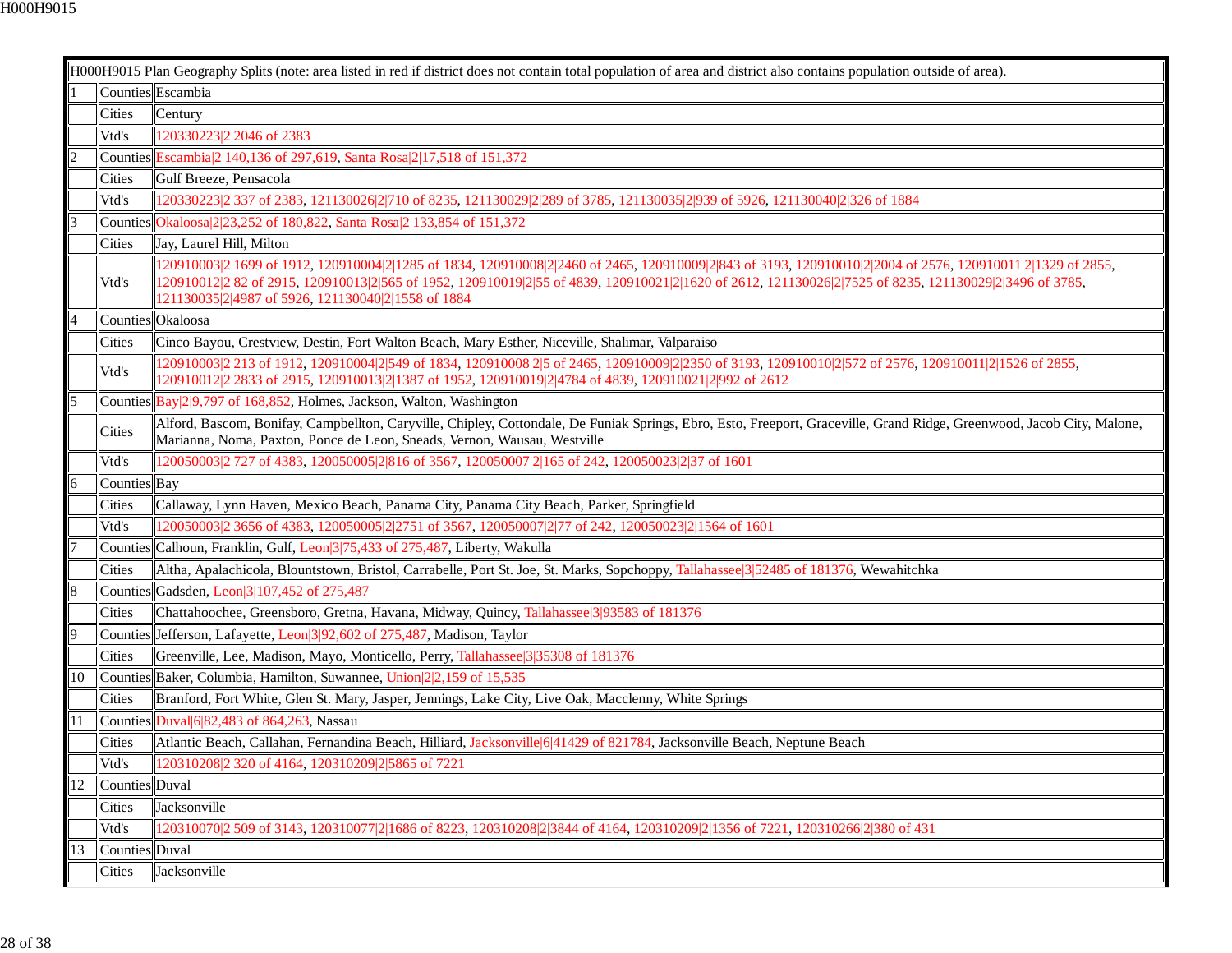|                |                | H000H9015 Plan Geography Splits (note: area listed in red if district does not contain total population of area and district also contains population outside of area).                                                                                                                                                                                                    |
|----------------|----------------|----------------------------------------------------------------------------------------------------------------------------------------------------------------------------------------------------------------------------------------------------------------------------------------------------------------------------------------------------------------------------|
|                |                | Counties Escambia                                                                                                                                                                                                                                                                                                                                                          |
|                | Cities         | Century                                                                                                                                                                                                                                                                                                                                                                    |
|                | Vtd's          | 120330223 2 2046 of 2383                                                                                                                                                                                                                                                                                                                                                   |
| $\overline{2}$ |                | Counties Escambia 2 140, 136 of 297, 619, Santa Rosa 2 17, 518 of 151, 372                                                                                                                                                                                                                                                                                                 |
|                | Cities         | Gulf Breeze, Pensacola                                                                                                                                                                                                                                                                                                                                                     |
|                | Vtd's          | (20330223 2 337 of 2383, 121130026 2 710 of 8235, 121130029 2 289 of 3785, 121130035 2 939 of 5926, 121130040 2 326 of 1884                                                                                                                                                                                                                                                |
| 13             | Counties       | Okaloosa<br>2<br>23,252 of 180,822, Santa Rosa<br>2<br>23,854 of 151,372<br>6<br>272<br>6<br>173<br>6<br>173<br>6<br>173<br>6<br>173<br>173<br>173<br>173<br>173<br>1                                                                                                                                                                                                      |
|                | <b>Cities</b>  | Jay, Laurel Hill, Milton                                                                                                                                                                                                                                                                                                                                                   |
|                | Vtd's          | (20910003 2 1699 of 1912, 120910004 2 1285 of 1834, 120910008 2 2460 of 2465, 120910009 2 843 of 3193, 120910010 2 2004 of 2576, 120910011 2 1329 of 2855,<br>120910012 2 82 of 2915, 120910013 2 565 of 1952, 120910019 2 55 of 4839, 120910021 2 1620 of 2612, 121130026 2 7525 of 8235, 121130029 2 3496 of 3785,<br>121130035 2 4987 of 5926, 121130040 2 1558 of 1884 |
|                |                | Counties Okaloosa                                                                                                                                                                                                                                                                                                                                                          |
|                | Cities         | Cinco Bayou, Crestview, Destin, Fort Walton Beach, Mary Esther, Niceville, Shalimar, Valparaiso                                                                                                                                                                                                                                                                            |
|                | Vtd's          | (20910003 2 213 of 1912, 120910004 2 549 of 1834, 120910008 2 5 of 2465, 120910009 2 2350 of 3193, 120910010 2 572 of 2576, 120910011 2 1526 of 2855,<br>120910012 2 2833 of 2915, 120910013 2 1387 of 1952, 120910019 2 4784 of 4839, 120910021 2 992 of 2612                                                                                                             |
|                |                | Counties Bay 29,797 of 168,852, Holmes, Jackson, Walton, Washington                                                                                                                                                                                                                                                                                                        |
|                | Cities         | Alford, Bascom, Bonifay, Campbellton, Caryville, Chipley, Cottondale, De Funiak Springs, Ebro, Esto, Freeport, Graceville, Grand Ridge, Greenwood, Jacob City, Malone,<br>Marianna, Noma, Paxton, Ponce de Leon, Sneads, Vernon, Wausau, Westville                                                                                                                         |
|                | Vtd's          | 120050003 2 727 of 4383, 120050005 2 816 of 3567, 120050007 2 165 of 242, 120050023 2 37 of 1601                                                                                                                                                                                                                                                                           |
|                | Counties Bay   |                                                                                                                                                                                                                                                                                                                                                                            |
|                | Cities         | Callaway, Lynn Haven, Mexico Beach, Panama City, Panama City Beach, Parker, Springfield                                                                                                                                                                                                                                                                                    |
|                | Vtd's          | 120050003 2 3656 of 4383, 120050005 2 2751 of 3567, 120050007 2 77 of 242, 120050023 2 1564 of 1601                                                                                                                                                                                                                                                                        |
|                | Counties       | Calhoun, Franklin, Gulf, Leon 3 75, 433 of 275, 487, Liberty, Wakulla                                                                                                                                                                                                                                                                                                      |
|                | Cities         | Altha, Apalachicola, Blountstown, Bristol, Carrabelle, Port St. Joe, St. Marks, Sopchoppy, Tallahassee 3 52485 of 181376, Wewahitchka                                                                                                                                                                                                                                      |
| 8              |                | Counties Gadsden, Leon 3 107,452 of 275,487                                                                                                                                                                                                                                                                                                                                |
|                | Cities         | Chattahoochee, Greensboro, Gretna, Havana, Midway, Quincy, Tallahassee 3 393583 of 181376                                                                                                                                                                                                                                                                                  |
| 9              |                | Counties Jefferson, Lafayette, Leon 3 92, 602 of 275, 487, Madison, Taylor                                                                                                                                                                                                                                                                                                 |
|                | Cities         | Greenville, Lee, Madison, Mayo, Monticello, Perry, Tallahassee 3 35308 of 181376                                                                                                                                                                                                                                                                                           |
| 10             |                | Counties Baker, Columbia, Hamilton, Suwannee, Union 22,159 of 15,535                                                                                                                                                                                                                                                                                                       |
|                | <b>Cities</b>  | Branford, Fort White, Glen St. Mary, Jasper, Jennings, Lake City, Live Oak, Macclenny, White Springs                                                                                                                                                                                                                                                                       |
| 11             |                | Counties Duval $6 82,483$ of 864,263, Nassau                                                                                                                                                                                                                                                                                                                               |
|                | Cities         | Atlantic Beach, Callahan, Fernandina Beach, Hilliard, Jacksonville 6 41429 of 821784, Jacksonville Beach, Neptune Beach                                                                                                                                                                                                                                                    |
|                | Vtd's          | 120310208 2 320 of 4164, 120310209 2 5865 of 7221                                                                                                                                                                                                                                                                                                                          |
| $\overline{2}$ | Counties Duval |                                                                                                                                                                                                                                                                                                                                                                            |
|                | Cities         | Jacksonville                                                                                                                                                                                                                                                                                                                                                               |
|                | Vtd's          | 120310070 2 509 of 3143, 120310077 2 1686 of 8223, 120310208 2 3844 of 4164, 120310209 2 1356 of 7221, 120310266 2 380 of 431                                                                                                                                                                                                                                              |
| 13             | Counties Duval |                                                                                                                                                                                                                                                                                                                                                                            |
|                | Cities         | Jacksonville                                                                                                                                                                                                                                                                                                                                                               |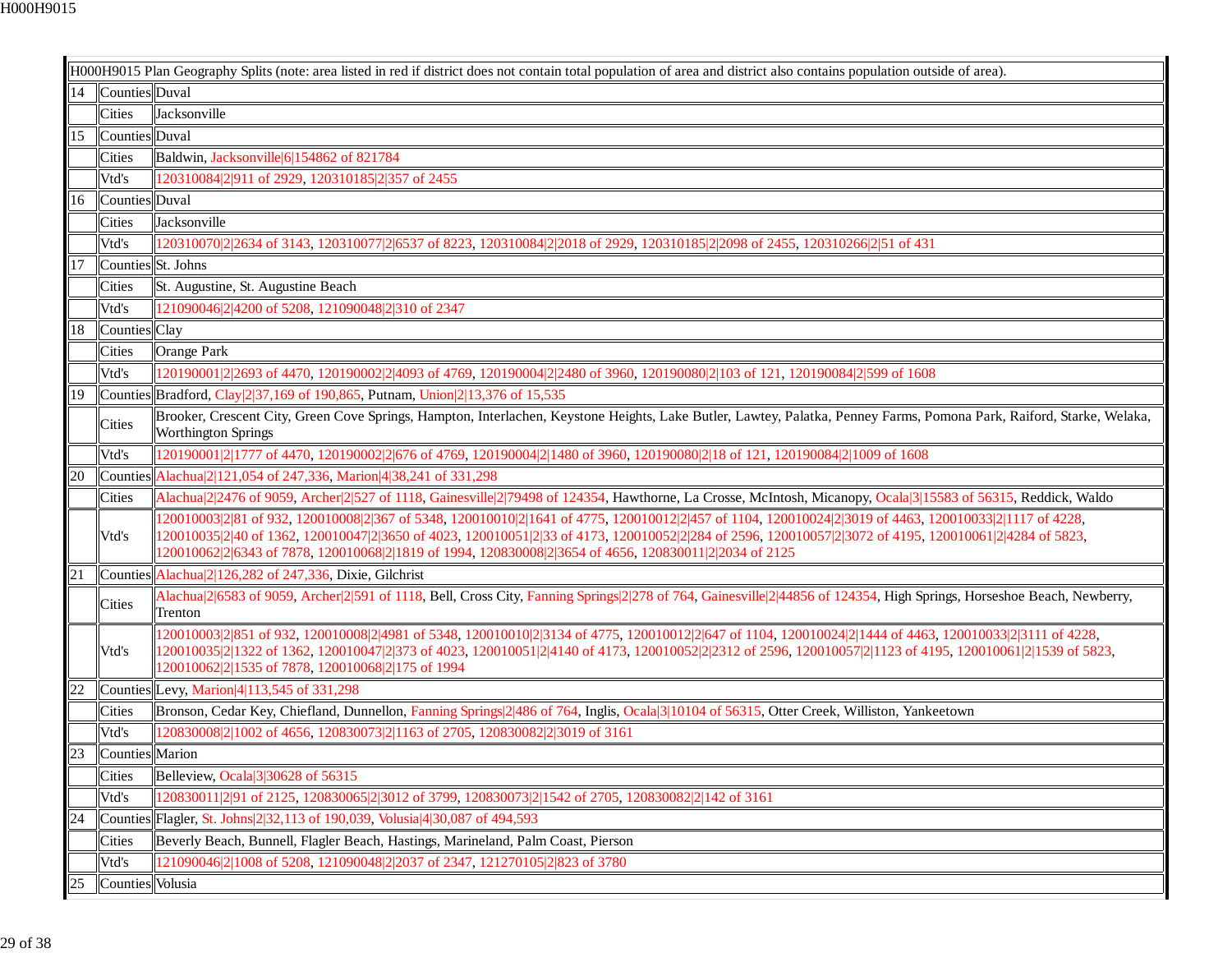|    |                    | H000H9015 Plan Geography Splits (note: area listed in red if district does not contain total population of area and district also contains population outside of area).                                                                                                                                                                                                                                                    |
|----|--------------------|----------------------------------------------------------------------------------------------------------------------------------------------------------------------------------------------------------------------------------------------------------------------------------------------------------------------------------------------------------------------------------------------------------------------------|
| 14 | Counties Duval     |                                                                                                                                                                                                                                                                                                                                                                                                                            |
|    | Cities             | Jacksonville                                                                                                                                                                                                                                                                                                                                                                                                               |
| 15 | Counties Duval     |                                                                                                                                                                                                                                                                                                                                                                                                                            |
|    | Cities             | Baldwin, Jacksonville 6 154862 of 821784                                                                                                                                                                                                                                                                                                                                                                                   |
|    | Vtd's              | 120310084 2 911 of 2929, 120310185 2 357 of 2455                                                                                                                                                                                                                                                                                                                                                                           |
| 16 | Counties Duval     |                                                                                                                                                                                                                                                                                                                                                                                                                            |
|    | <b>Cities</b>      | Jacksonville                                                                                                                                                                                                                                                                                                                                                                                                               |
|    | Vtd's              | 120310070 2 2634 of 3143, 120310077 2 6537 of 8223, 120310084 2 2018 of 2929, 120310185 2 2098 of 2455, 120310266 2 51 of 431                                                                                                                                                                                                                                                                                              |
| 17 | Counties St. Johns |                                                                                                                                                                                                                                                                                                                                                                                                                            |
|    | Cities             | St. Augustine, St. Augustine Beach                                                                                                                                                                                                                                                                                                                                                                                         |
|    | Vtd's              | 121090046 2 4200 of 5208, 121090048 2 310 of 2347                                                                                                                                                                                                                                                                                                                                                                          |
| 18 | Counties Clay      |                                                                                                                                                                                                                                                                                                                                                                                                                            |
|    | Cities             | Orange Park                                                                                                                                                                                                                                                                                                                                                                                                                |
|    | Vtd's              | 120190001 2 2693 of 4470, 120190002 2 4093 of 4769, 120190004 2 2480 of 3960, 120190080 2 103 of 121, 120190084 2 599 of 1608                                                                                                                                                                                                                                                                                              |
| 19 |                    | Counties Bradford, Clay $\left 2\right 37,169$ of 190,865, Putnam, Union $\left 2\right 13,376$ of 15,535                                                                                                                                                                                                                                                                                                                  |
|    | <b>Cities</b>      | Brooker, Crescent City, Green Cove Springs, Hampton, Interlachen, Keystone Heights, Lake Butler, Lawtey, Palatka, Penney Farms, Pomona Park, Raiford, Starke, Welaka,<br><b>Worthington Springs</b>                                                                                                                                                                                                                        |
|    | Vtd's              | 120190001 2 1777 of 4470, 120190002 2 676 of 4769, 120190004 2 1480 of 3960, 120190080 2 18 of 121, 120190084 2 1009 of 1608                                                                                                                                                                                                                                                                                               |
| 20 |                    | Counties Alachua 2 2121,054 of 247,336, Marion 4 38,241 of 331,298                                                                                                                                                                                                                                                                                                                                                         |
|    | Cities             | Alachua 2 2476 of 9059, Archer 2 527 of 1118, Gainesville 2 79498 of 124354, Hawthorne, La Crosse, McIntosh, Micanopy, Ocala 3 15583 of 56315, Reddick, Waldo                                                                                                                                                                                                                                                              |
|    | Vtd's              | (20010003 2 81 of 932, 120010008 2 367 of 5348, 120010010 2 1641 of 4775, 120010012 2 457 of 1104, 120010024 2 3019 of 4463, 120010033 2 1117 of 4228,<br>120010035 2 40 of 1362, 120010047 2 3650 of 4023, 120010051 2 33 of 4173, 120010052 2 284 of 2596, 120010057 2 3072 of 4195, 120010061 2 4284 of 5823,<br>120010062 2 6343 of 7878, 120010068 2 1819 of 1994, 120830008 2 3654 of 4656, 120830011 2 2034 of 2125 |
| 21 |                    | Counties Alachua 2 126,282 of 247,336, Dixie, Gilchrist                                                                                                                                                                                                                                                                                                                                                                    |
|    | Cities             | Alachua[2]6583 of 9059, Archer[2]591 of 1118, Bell, Cross City, Fanning Springs[2]278 of 764, Gainesville[2]44856 of 124354, High Springs, Horseshoe Beach, Newberry,<br>Trenton                                                                                                                                                                                                                                           |
|    | Vtd's              | 120010003 2 851 of 932, 120010008 2 4981 of 5348, 120010010 2 3134 of 4775, 120010012 2 647 of 1104, 120010024 2 1444 of 4463, 120010033 2 3111 of 4228,<br>l20010035 2 1322 of 1362, 120010047 2 373 of 4023, 120010051 2 4140 of 4173, 120010052 2 2312 of 2596, 120010057 2 1123 of 4195, 120010061 2 1539 of 5823,<br>120010062 2 1535 of 7878, 120010068 2 175 of 1994                                                |
| 22 |                    | Counties Levy, Marion 4 113,545 of 331,298                                                                                                                                                                                                                                                                                                                                                                                 |
|    | Cities             | Bronson, Cedar Key, Chiefland, Dunnellon, Fanning Springs 2 486 of 764, Inglis, Ocala 3 10104 of 56315, Otter Creek, Williston, Yankeetown                                                                                                                                                                                                                                                                                 |
|    | Vtd's              | 120830008 2 1002 of 4656, 120830073 2 1163 of 2705, 120830082 2 3019 of 3161                                                                                                                                                                                                                                                                                                                                               |
| 23 | Counties Marion    |                                                                                                                                                                                                                                                                                                                                                                                                                            |
|    | Cities             | Belleview, Ocala 3 30628 of 56315                                                                                                                                                                                                                                                                                                                                                                                          |
|    | Vtd's              | 120830011 2 91 of 2125, 120830065 2 3012 of 3799, 120830073 2 1542 of 2705, 120830082 2 142 of 3161                                                                                                                                                                                                                                                                                                                        |
| 24 |                    | Counties Flagler, St. Johns 2 32, 113 of 190, 039, Volusia 4 30, 087 of 494, 593                                                                                                                                                                                                                                                                                                                                           |
|    | Cities             | Beverly Beach, Bunnell, Flagler Beach, Hastings, Marineland, Palm Coast, Pierson                                                                                                                                                                                                                                                                                                                                           |
|    | Vtd's              | 121090046 2 1008 of 5208, 121090048 2 2037 of 2347, 121270105 2 823 of 3780                                                                                                                                                                                                                                                                                                                                                |
| 25 | Counties Volusia   |                                                                                                                                                                                                                                                                                                                                                                                                                            |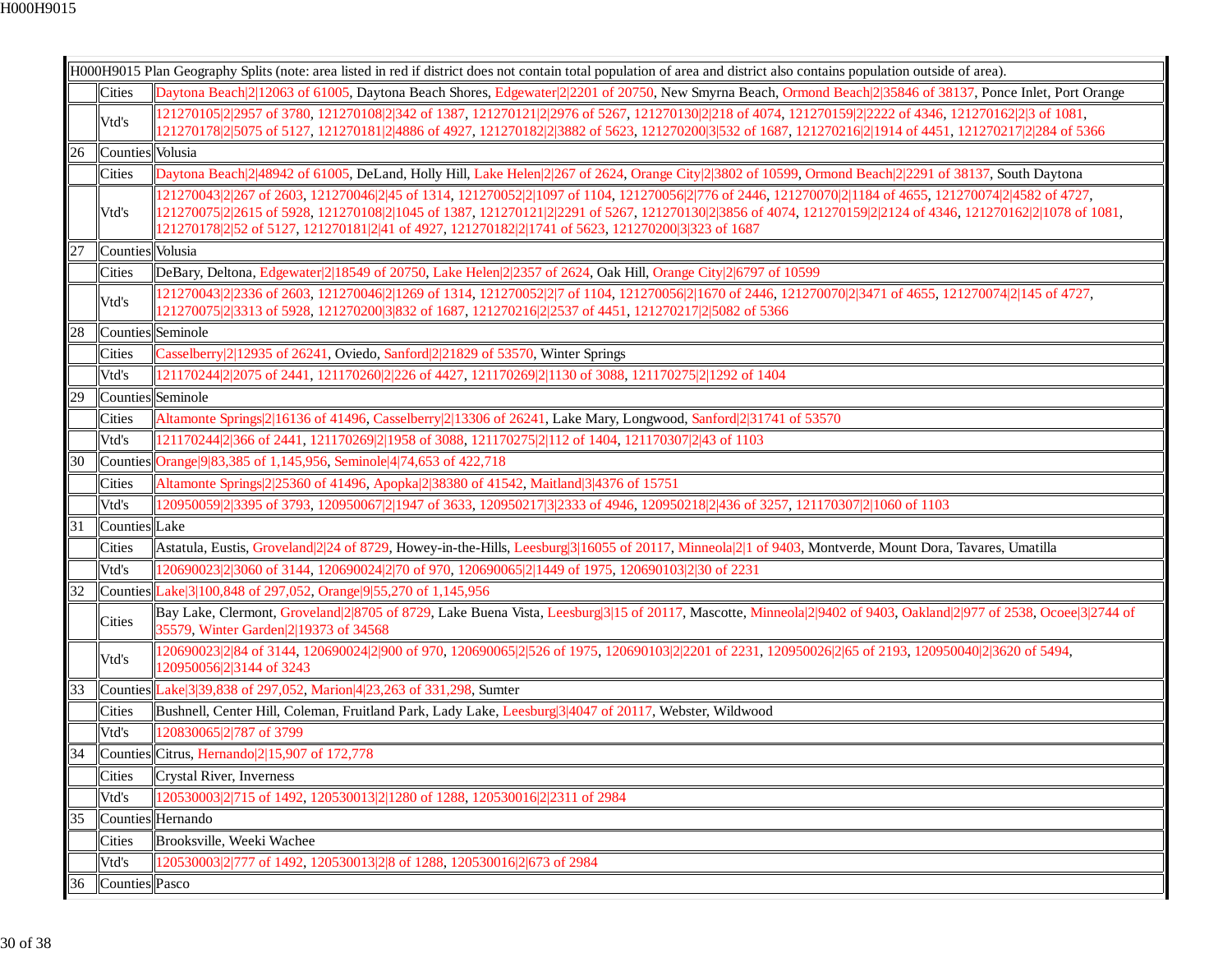|    |                   | H000H9015 Plan Geography Splits (note: area listed in red if district does not contain total population of area and district also contains population outside of area).                                                                                                                                                                                                                                                     |
|----|-------------------|-----------------------------------------------------------------------------------------------------------------------------------------------------------------------------------------------------------------------------------------------------------------------------------------------------------------------------------------------------------------------------------------------------------------------------|
|    | Cities            | Daytona Beach 2 12063 of 61005, Daytona Beach Shores, Edgewater 2 2201 of 20750, New Smyrna Beach, Ormond Beach 2 35846 of 38137, Ponce Inlet, Port Orange                                                                                                                                                                                                                                                                  |
|    | Vtd's             | 121270105 2 2957 of 3780, 121270108 2 342 of 1387, 121270121 2 2976 of 5267, 121270130 2 218 of 4074, 121270159 2 2222 of 4346, 121270162 2 3 of 1081,<br>121270178 2 5075 of 5127, 121270181 2 4886 of 4927, 121270182 2 3882 of 5623, 121270200 3 532 of 1687, 121270216 2 1914 of 4451, 121270217 2 284 of 5366                                                                                                          |
| 26 | Counties Volusia  |                                                                                                                                                                                                                                                                                                                                                                                                                             |
|    | <b>Cities</b>     | Daytona Beach 2 48942 of 61005, DeLand, Holly Hill, Lake Helen 2 267 of 2624, Orange City 2 3802 of 10599, Ormond Beach 2 2291 of 38137, South Daytona                                                                                                                                                                                                                                                                      |
|    | Vtd's             | 121270043 2 267 of 2603, 121270046 2 45 of 1314, 121270052 2 1097 of 1104, 121270056 2 776 of 2446, 121270070 2 1184 of 4655, 121270074 2 4582 of 4727,<br>121270075 2 2615 of 5928, 121270108 2 1045 of 1387, 121270121 2 2291 of 5267, 121270130 2 3856 of 4074, 121270159 2 2124 of 4346, 121270162 2 1078 of 1081,<br>121270178 2 52 of 5127, 121270181 2 41 of 4927, 121270182 2 1741 of 5623, 121270200 3 323 of 1687 |
| 27 | Counties Volusia  |                                                                                                                                                                                                                                                                                                                                                                                                                             |
|    | <b>Cities</b>     | DeBary, Deltona, Edgewater 2 18549 of 20750, Lake Helen 2 2357 of 2624, Oak Hill, Orange City 2 6797 of 10599                                                                                                                                                                                                                                                                                                               |
|    | Vtd's             | (21270043 2 2336 of 2603, 121270046 2 1269 of 1314, 121270052 2 7 of 1104, 121270056 2 1670 of 2446, 121270070 2 3471 of 4655, 121270074 2 145 of 4727,<br>121270075 2 3313 of 5928, 121270200 3 832 of 1687, 121270216 2 2537 of 4451, 121270217 2 5082 of 5366                                                                                                                                                            |
| 28 | Counties Seminole |                                                                                                                                                                                                                                                                                                                                                                                                                             |
|    | <b>Cities</b>     | Casselberry 2 12935 of 26241, Oviedo, Sanford 2 21829 of 53570, Winter Springs                                                                                                                                                                                                                                                                                                                                              |
|    | Vtd's             | 121170244 2 2075 of 2441, 121170260 2 226 of 4427, 121170269 2 1130 of 3088, 121170275 2 1292 of 1404                                                                                                                                                                                                                                                                                                                       |
| 29 | Counties Seminole |                                                                                                                                                                                                                                                                                                                                                                                                                             |
|    | <b>Cities</b>     | Altamonte Springs 2 16136 of 41496, Casselberry 2 13306 of 26241, Lake Mary, Longwood, Sanford 2 31741 of 53570                                                                                                                                                                                                                                                                                                             |
|    | Vtd's             | 121170244 2 366 of 2441, 121170269 2 1958 of 3088, 121170275 2 112 of 1404, 121170307 2 43 of 1103                                                                                                                                                                                                                                                                                                                          |
| 30 | Counties          | Orange 9 83,385 of 1,145,956, Seminole 4 74,653 of 422,718                                                                                                                                                                                                                                                                                                                                                                  |
|    | <b>Cities</b>     | Altamonte Springs 2 25360 of 41496, Apopka 2 38380 of 41542, Maitland 3 4376 of 15751                                                                                                                                                                                                                                                                                                                                       |
|    | Vtd's             | 120950059 2 3395 of 3793, 120950067 2 1947 of 3633, 120950217 3 2333 of 4946, 120950218 2 436 of 3257, 121170307 2 1060 of 1103                                                                                                                                                                                                                                                                                             |
| 31 | Counties Lake     |                                                                                                                                                                                                                                                                                                                                                                                                                             |
|    | <b>Cities</b>     | Astatula, Eustis, Groveland 224 of 8729, Howey-in-the-Hills, Leesburg 3 16055 of 20117, Minneola 21 of 9403, Montverde, Mount Dora, Tavares, Umatilla                                                                                                                                                                                                                                                                       |
|    | Vtd's             | 120690023 2 3060 of 3144, 120690024 2 70 of 970, 120690065 2 1449 of 1975, 120690103 2 30 of 2231                                                                                                                                                                                                                                                                                                                           |
| 32 |                   | Counties Lake 3 100, 848 of 297, 052, Orange 9 55, 270 of 1, 145, 956                                                                                                                                                                                                                                                                                                                                                       |
|    | <b>Cities</b>     | Bay Lake, Clermont, Groveland 2 8705 of 8729, Lake Buena Vista, Leesburg 3 15 of 20117, Mascotte, Minneola 2 9402 of 9403, Oakland 2 977 of 2538, Ocoee 3 2744 of<br>35579, Winter Garden 2 19373 of 34568                                                                                                                                                                                                                  |
|    | Vtd's             | 120690023 2 84 of 3144, 120690024 2 900 of 970, 120690065 2 526 of 1975, 120690103 2 2201 of 2231, 120950026 2 65 of 2193, 120950040 2 3620 of 5494,<br>120950056 2 3144 of 3243                                                                                                                                                                                                                                            |
| 33 |                   | Counties Lake 3 39,838 of 297,052, Marion 4 23,263 of 331,298, Sumter                                                                                                                                                                                                                                                                                                                                                       |
|    | <b>Cities</b>     | Bushnell, Center Hill, Coleman, Fruitland Park, Lady Lake, Leesburg 3 4047 of 20117, Webster, Wildwood                                                                                                                                                                                                                                                                                                                      |
|    | Vtd's             | 20830065 2 787 of 3799                                                                                                                                                                                                                                                                                                                                                                                                      |
| 34 |                   | Counties Citrus, Hernando 215,907 of 172,778                                                                                                                                                                                                                                                                                                                                                                                |
|    | Cities            | <b>Crystal River, Inverness</b>                                                                                                                                                                                                                                                                                                                                                                                             |
|    | Vtd's             | 20530003 2 715 of 1492, 120530013 2 1280 of 1288, 120530016 2 2311 of 2984                                                                                                                                                                                                                                                                                                                                                  |
| 35 |                   | Counties Hernando                                                                                                                                                                                                                                                                                                                                                                                                           |
|    | <b>Cities</b>     | Brooksville, Weeki Wachee                                                                                                                                                                                                                                                                                                                                                                                                   |
|    | Vtd's             | 120530003 2 777 of 1492, 120530013 2 8 of 1288, 120530016 2 673 of 2984                                                                                                                                                                                                                                                                                                                                                     |
| 36 | Counties Pasco    |                                                                                                                                                                                                                                                                                                                                                                                                                             |
|    |                   |                                                                                                                                                                                                                                                                                                                                                                                                                             |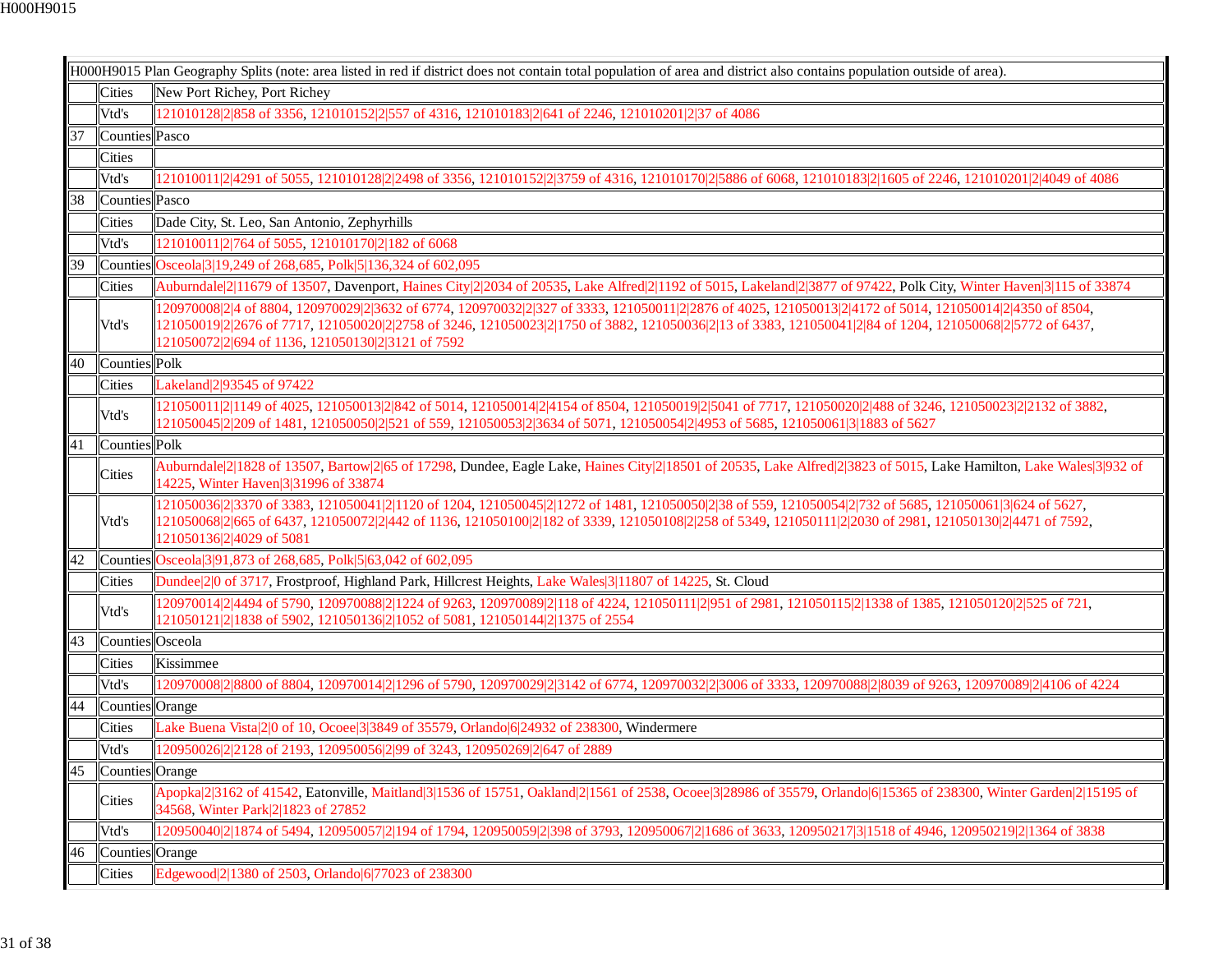|    |                  | H000H9015 Plan Geography Splits (note: area listed in red if district does not contain total population of area and district also contains population outside of area).                                                                                                                                                                                                 |
|----|------------------|-------------------------------------------------------------------------------------------------------------------------------------------------------------------------------------------------------------------------------------------------------------------------------------------------------------------------------------------------------------------------|
|    | <b>Cities</b>    | New Port Richey, Port Richey                                                                                                                                                                                                                                                                                                                                            |
|    | Vtd's            | 121010128 2 858 of 3356, 121010152 2 557 of 4316, 121010183 2 641 of 2246, 121010201 2 37 of 4086                                                                                                                                                                                                                                                                       |
| 37 | Counties Pasco   |                                                                                                                                                                                                                                                                                                                                                                         |
|    | Cities           |                                                                                                                                                                                                                                                                                                                                                                         |
|    | Vtd's            | 121010011 2 4291 of 5055, 121010128 2 2498 of 3356, 121010152 2 3759 of 4316, 121010170 2 5886 of 6068, 121010183 2 1605 of 2246, 121010201 2 4049 of 4086                                                                                                                                                                                                              |
| 38 | Counties Pasco   |                                                                                                                                                                                                                                                                                                                                                                         |
|    | Cities           | Dade City, St. Leo, San Antonio, Zephyrhills                                                                                                                                                                                                                                                                                                                            |
|    | Vtd's            | 121010011 2 764 of 5055, 121010170 2 182 of 6068                                                                                                                                                                                                                                                                                                                        |
| 39 |                  | Counties Osceola 3 19,249 of 268,685, Polk 5 136,324 of 602,095                                                                                                                                                                                                                                                                                                         |
|    | <b>Cities</b>    | Auburndale[2] 11679 of 13507, Davenport, Haines City[2] 2034 of 20535, Lake Alfred[2] 1192 of 5015, Lakeland[2] 3877 of 97422, Polk City, Winter Haven[3] 115 of 33874                                                                                                                                                                                                  |
|    | Vtd's            | (20970008)2 4 of 8804, 120970029 2 3632 of 6774, 120970032 2 327 of 3333, 121050011 2 2876 of 4025, 121050013 2 4172 of 5014, 121050014 2 4350 of 8504,<br>121050019 2 2676 of 7717, 121050020 2 2758 of 3246, 121050023 2 1750 of 3882, 121050036 2 13 of 3383, 121050041 2 84 of 1204, 121050068 2 5772 of 6437,<br>121050072 2 694 of 1136, 121050130 2 3121 of 7592 |
| 40 | Counties Polk    |                                                                                                                                                                                                                                                                                                                                                                         |
|    | <b>Cities</b>    | Lakeland 2 93545 of 97422                                                                                                                                                                                                                                                                                                                                               |
|    | Vtd's            | 121050011 2 1149 of 4025, 121050013 2 842 of 5014, 121050014 2 4154 of 8504, 121050019 2 5041 of 7717, 121050020 2 488 of 3246, 121050023 2 2132 of 3882,<br>121050045 2 209 of 1481, 121050050 2 521 of 559, 121050053 2 3634 of 5071, 121050054 2 4953 of 5685, 121050061 3 1883 of 5627                                                                              |
| 41 | Counties Polk    |                                                                                                                                                                                                                                                                                                                                                                         |
|    | <b>Cities</b>    | Auburndale 2   1828 of 13507, Bartow 2   65 of 17298, Dundee, Eagle Lake, Haines City 2   18501 of 20535, Lake Alfred 2   3823 of 5015, Lake Hamilton, Lake Wales 3   932 of<br>14225, Winter Haven 3 31996 of 33874                                                                                                                                                    |
|    | Vtd's            | 121050036 2 3370 of 3383, 121050041 2 1120 of 1204, 121050045 2 1272 of 1481, 121050050 2 38 of 559, 121050054 2 732 of 5685, 121050061 3 624 of 5627,<br>121050068 2 665 of 6437, 121050072 2 442 of 1136, 121050100 2 182 of 3339, 121050108 2 258 of 5349, 121050111 2 2030 of 2981, 121050130 2 4471 of 7592,<br>121050136 2 4029 of 5081                           |
| 42 |                  | Counties Osceola 3 91,873 of 268,685, Polk 5 63,042 of 602,095                                                                                                                                                                                                                                                                                                          |
|    | Cities           | Dundee 2 0 of 3717, Frostproof, Highland Park, Hillcrest Heights, Lake Wales 3 11807 of 14225, St. Cloud                                                                                                                                                                                                                                                                |
|    | Vtd's            | (20970014 2 4494 of 5790, 120970088 2 1224 of 9263, 120970089 2 118 of 4224, 121050111 2 951 of 2981, 121050115 2 1338 of 1385, 121050120 2 525 of 721,<br>121050121 2 1838 of 5902, 121050136 2 1052 of 5081, 121050144 2 1375 of 2554                                                                                                                                 |
| 43 | Counties Osceola |                                                                                                                                                                                                                                                                                                                                                                         |
|    | Cities           | Kissimmee                                                                                                                                                                                                                                                                                                                                                               |
|    | Vtd's            | l20970008 2 8800 of 8804, 120970014 2 1296 of 5790, 120970029 2 3142 of 6774, 120970032 2 3006 of 3333, 120970088 2 8039 of 9263, 120970089 2 4106 of 4224                                                                                                                                                                                                              |
| 44 | Counties Orange  |                                                                                                                                                                                                                                                                                                                                                                         |
|    | <b>Cities</b>    | Lake Buena Vista 2   0 of 10, Ocoee 3   3849 of 35579, Orlando 6   24932 of 238300, Windermere                                                                                                                                                                                                                                                                          |
|    | Vtd's            | 120950026 2 2128 of 2193, 120950056 2 99 of 3243, 120950269 2 647 of 2889                                                                                                                                                                                                                                                                                               |
| 45 | Counties Orange  |                                                                                                                                                                                                                                                                                                                                                                         |
|    | Cities           | Apopka 2 3162 of 41542, Eatonville, Maitland 3 1536 of 15751, Oakland 2 1561 of 2538, Ocoee 3 28986 of 35579, Orlando 6 15365 of 238300, Winter Garden 2 15195 of<br>34568, Winter Park 2 1823 of 27852                                                                                                                                                                 |
|    | Vtd's            | [20950040]2]1874 of 5494, 120950057]2]194 of 1794, 120950059]2]398 of 3793, 120950067]2]1686 of 3633, 120950217]3]1518 of 4946, 120950219]2]1364 of 3838                                                                                                                                                                                                                |
| 46 | Counties Orange  |                                                                                                                                                                                                                                                                                                                                                                         |
|    | Cities           | Edgewood 2 1380 of 2503, Orlando 6 77023 of 238300                                                                                                                                                                                                                                                                                                                      |
|    |                  |                                                                                                                                                                                                                                                                                                                                                                         |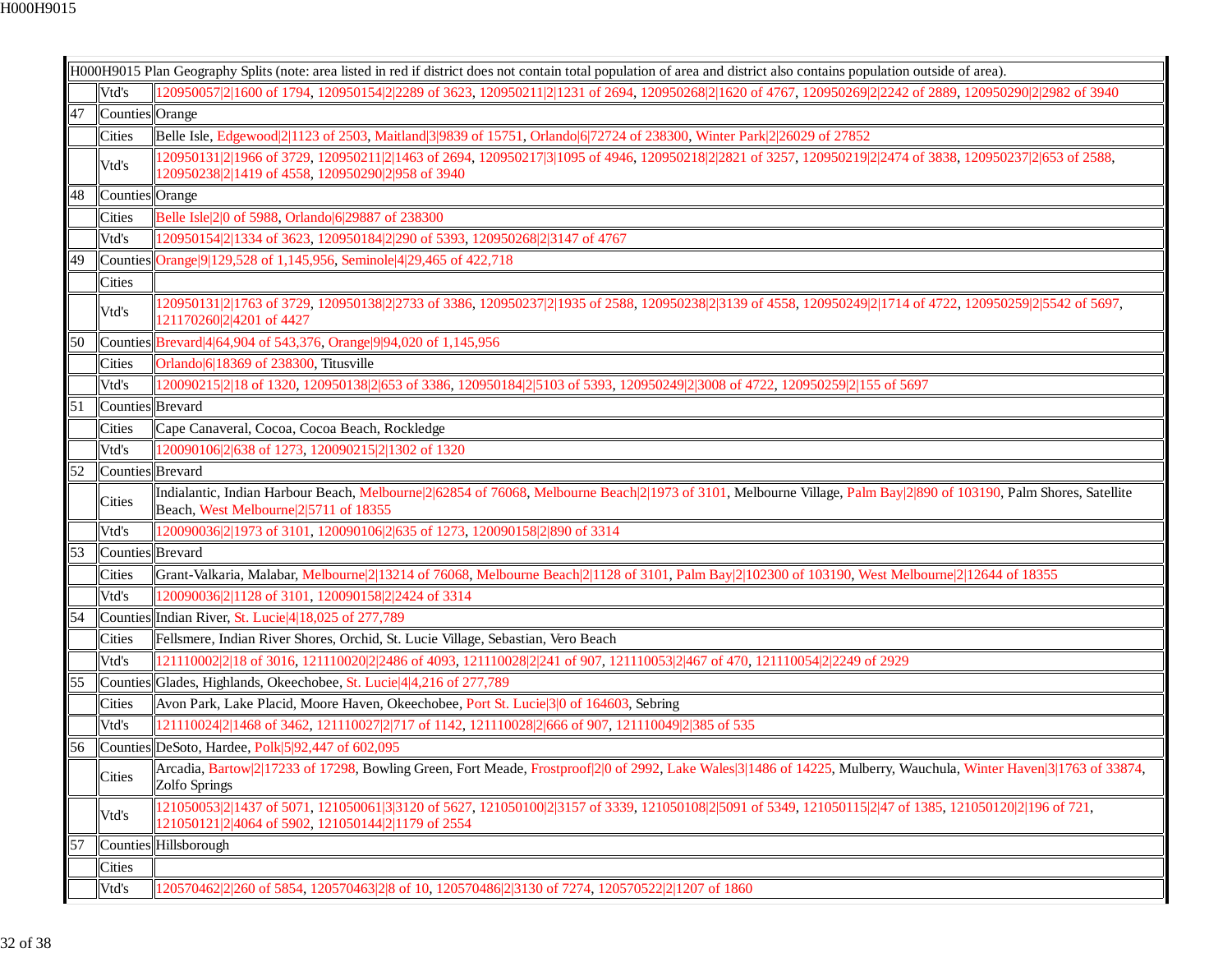|    |                  | H000H9015 Plan Geography Splits (note: area listed in red if district does not contain total population of area and district also contains population outside of area).                                        |
|----|------------------|----------------------------------------------------------------------------------------------------------------------------------------------------------------------------------------------------------------|
|    | Vtd's            | 120950057 2 1600 of 1794, 120950154 2 2289 of 3623, 120950211 2 1231 of 2694, 120950268 2 1620 of 4767, 120950269 2 2242 of 2889, 120950290 2 2982 of 3940                                                     |
| 47 | Counties Orange  |                                                                                                                                                                                                                |
|    | <b>Cities</b>    | Belle Isle, Edgewood 2 1123 of 2503, Maitland 3 9839 of 15751, Orlando 6 72724 of 238300, Winter Park 2 26029 of 27852                                                                                         |
|    | Vtd's            | 20950131 2 1966 of 3729, 120950211 2 1463 of 2694, 120950217 3 1095 of 4946, 120950218 2 2821 of 3257, 120950219 2 2474 of 3838, 120950237 2 653 of 2588,<br>120950238 2 1419 of 4558, 120950290 2 958 of 3940 |
| 48 | Counties Orange  |                                                                                                                                                                                                                |
|    | Cities           | Belle Isle 2 0 of 5988, Orlando 6 29887 of 238300                                                                                                                                                              |
|    | Vtd's            | 120950154 2 1334 of 3623, 120950184 2 290 of 5393, 120950268 2 3147 of 4767                                                                                                                                    |
| 49 |                  | Counties Orange 9 129, 528 of 1, 145, 956, Seminole 4 29, 465 of 422, 718                                                                                                                                      |
|    | Cities           |                                                                                                                                                                                                                |
|    | Vtd's            | 120950131 2 1763 of 3729, 120950138 2 2733 of 3386, 120950237 2 1935 of 2588, 120950238 2 3139 of 4558, 120950249 2 1714 of 4722, 120950259 2 5542 of 5697,<br>121170260 2 4201 of 4427                        |
| 50 |                  | Counties Brevard 4 64, 904 of 543, 376, Orange 9 94, 020 of 1, 145, 956                                                                                                                                        |
|    | <b>Cities</b>    | Orlando 6 18369 of 238300, Titusville                                                                                                                                                                          |
|    | Vtd's            | 120090215 2 18 of 1320, 120950138 2 653 of 3386, 120950184 2 5103 of 5393, 120950249 2 3008 of 4722, 120950259 2 155 of 5697                                                                                   |
| 51 | Counties Brevard |                                                                                                                                                                                                                |
|    | Cities           | Cape Canaveral, Cocoa, Cocoa Beach, Rockledge                                                                                                                                                                  |
|    | Vtd's            | 120090106 2 638 of 1273, 120090215 2 1302 of 1320                                                                                                                                                              |
| 52 | Counties Brevard |                                                                                                                                                                                                                |
|    | <b>Cities</b>    | Indialantic, Indian Harbour Beach, Melbourne 2 62854 of 76068, Melbourne Beach 2 1973 of 3101, Melbourne Village, Palm Bay 2 890 of 103190, Palm Shores, Satellite<br>Beach, West Melbourne 2 5711 of 18355    |
|    | Vtd's            | 120090036 2 1973 of 3101, 120090106 2 635 of 1273, 120090158 2 890 of 3314                                                                                                                                     |
| 53 | Counties Brevard |                                                                                                                                                                                                                |
|    | <b>Cities</b>    | Grant-Valkaria, Malabar, Melbourne 2  13214 of 76068, Melbourne Beach 2  1128 of 3101, Palm Bay 2  102300 of 103190, West Melbourne 2  12644 of 18355                                                          |
|    | Vtd's            | 120090036 2 1128 of 3101, 120090158 2 2424 of 3314                                                                                                                                                             |
| 54 |                  | Counties Indian River, St. Lucie 4 18,025 of 277,789                                                                                                                                                           |
|    | <b>Cities</b>    | Fellsmere, Indian River Shores, Orchid, St. Lucie Village, Sebastian, Vero Beach                                                                                                                               |
|    | Vtd's            | 121110002 2 18 of 3016, 121110020 2 2486 of 4093, 121110028 2 241 of 907, 121110053 2 467 of 470, 121110054 2 2249 of 2929                                                                                     |
| 55 |                  | Counties Glades, Highlands, Okeechobee, St. Lucie 4 4, 216 of 277, 789                                                                                                                                         |
|    | <b>Cities</b>    | Avon Park, Lake Placid, Moore Haven, Okeechobee, Port St. Lucie 3   0 of 164603, Sebring                                                                                                                       |
|    | Vtd's            | 121110024 2 1468 of 3462, 121110027 2 717 of 1142, 121110028 2 666 of 907, 121110049 2 385 of 535                                                                                                              |
| 56 |                  | Counties DeSoto, Hardee, Polk 5 92, 447 of 602,095                                                                                                                                                             |
|    | <b>Cities</b>    | Arcadia, Bartow 2 17233 of 17298, Bowling Green, Fort Meade, Frostproof 2 0 of 2992, Lake Wales 3 1486 of 14225, Mulberry, Wauchula, Winter Haven 3 1763 of 33874,<br>Zolfo Springs                            |
|    | Vtd's            | 121050053 2 1437 of 5071, 121050061 3 3120 of 5627, 121050100 2 3157 of 3339, 121050108 2 5091 of 5349, 121050115 2 47 of 1385, 121050120 2 196 of 721,<br>121050121 2 4064 of 5902, 121050144 2 1179 of 2554  |
| 57 |                  | Counties Hillsborough                                                                                                                                                                                          |
|    | <b>Cities</b>    |                                                                                                                                                                                                                |
|    | Vtd's            | 20570462 2 260 of 5854, 120570463 2 8 of 10, 120570486 2 3130 of 7274, 120570522 2 1207 of 1860                                                                                                                |
|    |                  |                                                                                                                                                                                                                |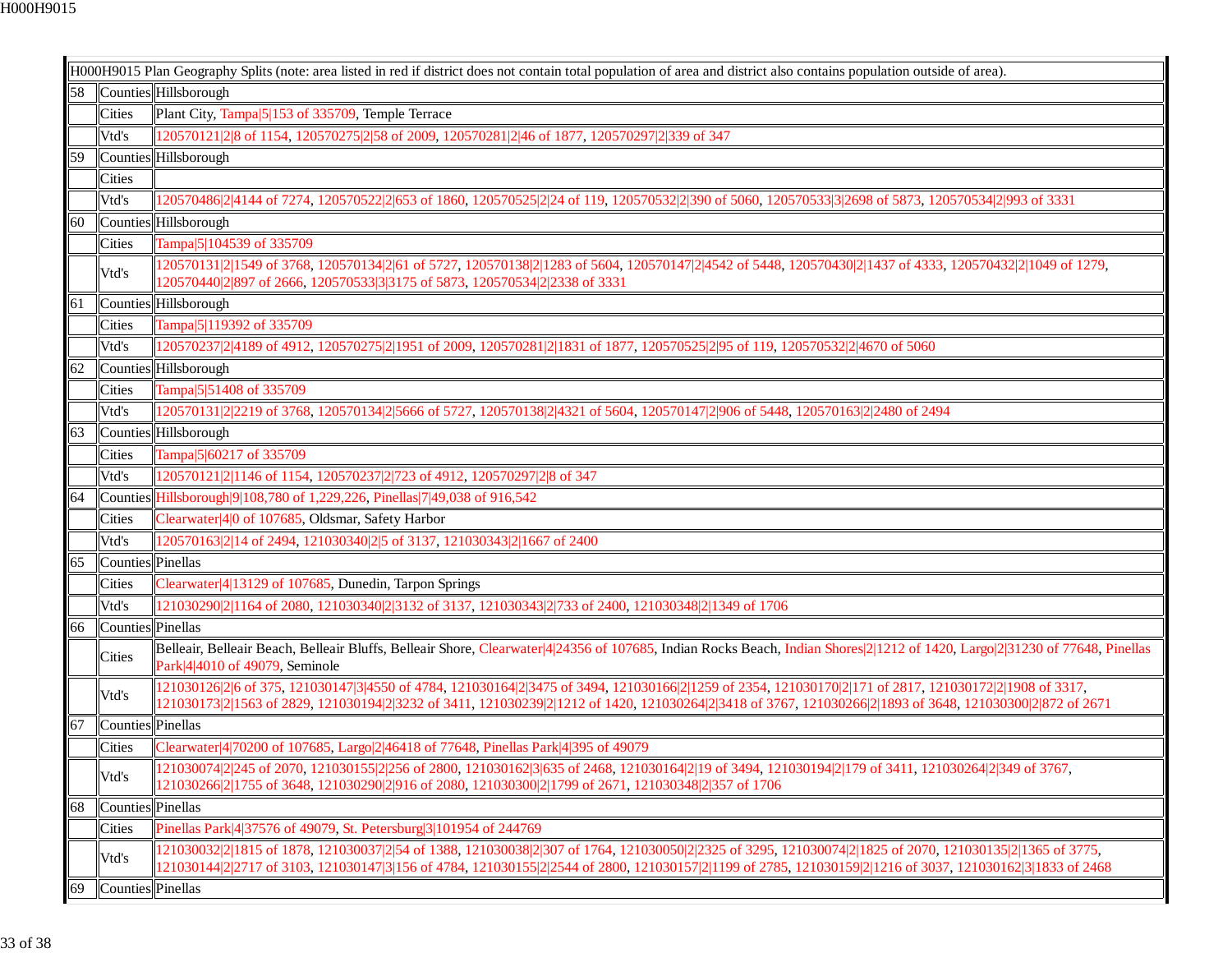|    |                   | H000H9015 Plan Geography Splits (note: area listed in red if district does not contain total population of area and district also contains population outside of area).                                                                                                                                               |
|----|-------------------|-----------------------------------------------------------------------------------------------------------------------------------------------------------------------------------------------------------------------------------------------------------------------------------------------------------------------|
| 58 |                   | Counties Hillsborough                                                                                                                                                                                                                                                                                                 |
|    | Cities            | Plant City, Tampa 5 153 of 335709, Temple Terrace                                                                                                                                                                                                                                                                     |
|    | Vtd's             | 120570121 2 8 of 1154, 120570275 2 58 of 2009, 120570281 2 46 of 1877, 120570297 2 339 of 347                                                                                                                                                                                                                         |
| 59 |                   | Counties Hillsborough                                                                                                                                                                                                                                                                                                 |
|    | Cities            |                                                                                                                                                                                                                                                                                                                       |
|    | Vtd's             | 120570486 2 4144 of 7274, 120570522 2 653 of 1860, 120570525 2 24 of 119, 120570532 2 390 of 5060, 120570533 3 2698 of 5873, 120570534 2 993 of 3331                                                                                                                                                                  |
| 60 |                   | Counties Hillsborough                                                                                                                                                                                                                                                                                                 |
|    | Cities            | Tampa 5 104539 of 335709                                                                                                                                                                                                                                                                                              |
|    | Vtd's             | 120570131 2 1549 of 3768, 120570134 2 61 of 5727, 120570138 2 1283 of 5604, 120570147 2 4542 of 5448, 120570430 2 1437 of 4333, 120570432 2 1049 of 1279,<br>120570440 2 897 of 2666, 120570533 3 3175 of 5873, 120570534 2 2338 of 3331                                                                              |
| 61 |                   | Counties Hillsborough                                                                                                                                                                                                                                                                                                 |
|    | Cities            | Tampa 5 119392 of 335709                                                                                                                                                                                                                                                                                              |
|    | Vtd's             | 120570237 2 4189 of 4912, 120570275 2 1951 of 2009, 120570281 2 1831 of 1877, 120570525 2 95 of 119, 120570532 2 4670 of 5060                                                                                                                                                                                         |
| 62 |                   | Counties Hillsborough                                                                                                                                                                                                                                                                                                 |
|    | Cities            | Tampa 5 51408 of 335709                                                                                                                                                                                                                                                                                               |
|    | Vtd's             | 120570131 2 2219 of 3768, 120570134 2 5666 of 5727, 120570138 2 4321 of 5604, 120570147 2 906 of 5448, 120570163 2 2480 of 2494                                                                                                                                                                                       |
| 63 |                   | Counties Hillsborough                                                                                                                                                                                                                                                                                                 |
|    | Cities            | Tampa 5 60217 of 335709                                                                                                                                                                                                                                                                                               |
|    | Vtd's             | 120570121 2 1146 of 1154, 120570237 2 723 of 4912, 120570297 2 8 of 347                                                                                                                                                                                                                                               |
| 64 |                   | Counties Hillsborough 9 108,780 of 1,229,226, Pinellas 7 49,038 of 916,542                                                                                                                                                                                                                                            |
|    | Cities            | Clearwater 4 0 of 107685, Oldsmar, Safety Harbor                                                                                                                                                                                                                                                                      |
|    | Vtd's             | 120570163 2 14 of 2494, 121030340 2 5 of 3137, 121030343 2 1667 of 2400                                                                                                                                                                                                                                               |
| 65 | Counties Pinellas |                                                                                                                                                                                                                                                                                                                       |
|    | Cities            | Clearwater 4 13129 of 107685, Dunedin, Tarpon Springs                                                                                                                                                                                                                                                                 |
|    | Vtd's             | 121030290 2 1164 of 2080, 121030340 2 3132 of 3137, 121030343 2 733 of 2400, 121030348 2 1349 of 1706                                                                                                                                                                                                                 |
| 66 | Counties Pinellas |                                                                                                                                                                                                                                                                                                                       |
|    | Cities            | Belleair, Belleair Beach, Belleair Bluffs, Belleair Shore, Clearwater 4 24356 of 107685, Indian Rocks Beach, Indian Shores 2 1212 of 1420, Largo 2 31230 of 77648, Pinellas<br>Park 4 4010 of 49079, Seminole                                                                                                         |
|    | Vtd's             | 121030126 2 6 of 375, 121030147 3 4550 of 4784, 121030164 2 3475 of 3494, 121030166 2 1259 of 2354, 121030170 2 171 of 2817, 121030172 2 1908 of 3317,<br>121030173 2 1563 of 2829, 121030194 2 3232 of 3411, 121030239 2 1212 of 1420, 121030264 2 3418 of 3767, 121030266 2 1893 of 3648, 121030300 2 872 of 2671   |
| 67 | Counties Pinellas |                                                                                                                                                                                                                                                                                                                       |
|    | Cities            | Clearwater 4 70200 of 107685, Largo 2 46418 of 77648, Pinellas Park 4 395 of 49079                                                                                                                                                                                                                                    |
|    | Vtd's             | 121030074 2 245 of 2070, 121030155 2 256 of 2800, 121030162 3 635 of 2468, 121030164 2 19 of 3494, 121030194 2 179 of 3411, 121030264 2 349 of 3767,<br>121030266 2 1755 of 3648, 121030290 2 916 of 2080, 121030300 2 1799 of 2671, 121030348 2 357 of 1706                                                          |
| 68 | Counties Pinellas |                                                                                                                                                                                                                                                                                                                       |
|    | <b>Cities</b>     | Pinellas Park 4 37576 of 49079, St. Petersburg 3 101954 of 244769                                                                                                                                                                                                                                                     |
|    | Vtd's             | 121030032 2 1815 of 1878, 121030037 2 54 of 1388, 121030038 2 307 of 1764, 121030050 2 2325 of 3295, 121030074 2 1825 of 2070, 121030135 2 1365 of 3775,<br>121030144 2 2717 of 3103, 121030147 3 156 of 4784, 121030155 2 2544 of 2800, 121030157 2 1199 of 2785, 121030159 2 1216 of 3037, 121030162 3 1833 of 2468 |
| 69 | Counties Pinellas |                                                                                                                                                                                                                                                                                                                       |
|    |                   |                                                                                                                                                                                                                                                                                                                       |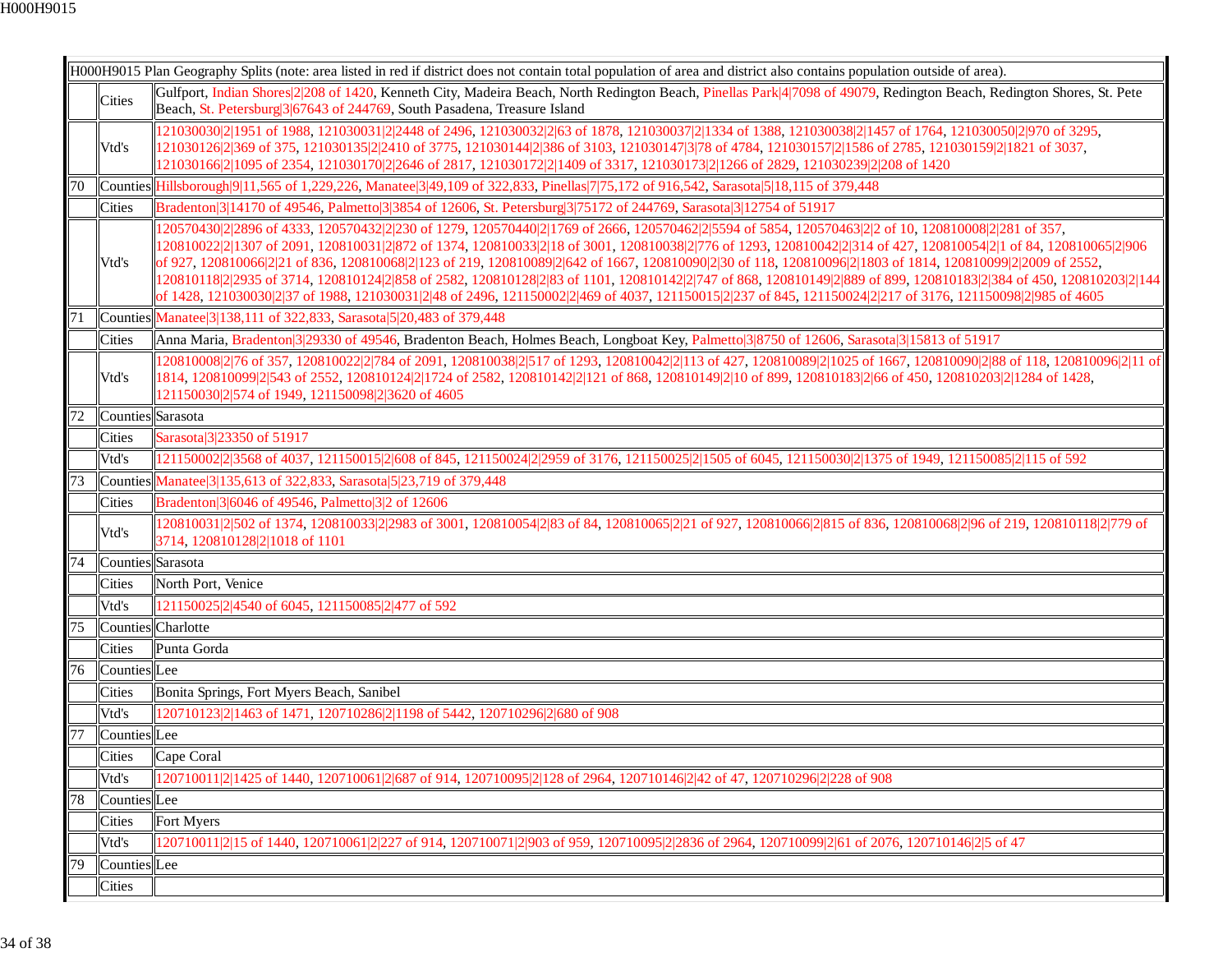|    |                   | H000H9015 Plan Geography Splits (note: area listed in red if district does not contain total population of area and district also contains population outside of area).                                                                                                                                                                                                                                                                                                                                                                                                                                                                                                                                                                                                                                                   |
|----|-------------------|---------------------------------------------------------------------------------------------------------------------------------------------------------------------------------------------------------------------------------------------------------------------------------------------------------------------------------------------------------------------------------------------------------------------------------------------------------------------------------------------------------------------------------------------------------------------------------------------------------------------------------------------------------------------------------------------------------------------------------------------------------------------------------------------------------------------------|
|    | Cities            | Gulfport, Indian Shores 2 208 of 1420, Kenneth City, Madeira Beach, North Redington Beach, Pinellas Park 4 7098 of 49079, Redington Beach, Redington Shores, St. Pete<br>Beach, St. Petersburg 3 67643 of 244769, South Pasadena, Treasure Island                                                                                                                                                                                                                                                                                                                                                                                                                                                                                                                                                                         |
|    | Vtd's             | 121030030 2 1951 of 1988, 121030031 2 2448 of 2496, 121030032 2 63 of 1878, 121030037 2 1334 of 1388, 121030038 2 1457 of 1764, 121030050 2 970 of 3295,<br>121030126 2 369 of 375, 121030135 2 2410 of 3775, 121030144 2 386 of 3103, 121030147 3 78 of 4784, 121030157 2 1586 of 2785, 121030159 2 1821 of 3037,<br>121030166 2 1095 of 2354, 121030170 2 2646 of 2817, 121030172 2 1409 of 3317, 121030173 2 1266 of 2829, 121030239 2 208 of 1420                                                                                                                                                                                                                                                                                                                                                                     |
| 70 |                   | Counties Hillsborough 9   11,565 of 1,229,226, Manatee 3   49,109 of 322,833, Pinellas 7   75,172 of 916,542, Sarasota 5   18,115 of 379,448                                                                                                                                                                                                                                                                                                                                                                                                                                                                                                                                                                                                                                                                              |
|    | <b>Cities</b>     | Bradenton 3 14170 of 49546, Palmetto 3 3854 of 12606, St. Petersburg 3 75172 of 244769, Sarasota 3 12754 of 51917                                                                                                                                                                                                                                                                                                                                                                                                                                                                                                                                                                                                                                                                                                         |
|    | Vtd's             | 120570430 2 2896 of 4333, 120570432 2 230 of 1279, 120570440 2 1769 of 2666, 120570462 2 5594 of 5854, 120570463 2 2 of 10, 120810008 2 281 of 357,<br>120810022 2 1307 of 2091, 120810031 2 872 of 1374, 120810033 2 18 of 3001, 120810038 2 776 of 1293, 120810042 2 314 of 427, 120810054 2 1 of 84, 120810065 2 906<br>of 927, 120810066 2 21 of 836, 120810068 2 123 of 219, 120810089 2 642 of 1667, 120810090 2 30 of 118, 120810096 2 1803 of 1814, 120810099 2 2009 of 2552,<br>120810118 2 2935 of 3714, 120810124 2 858 of 2582, 120810128 2 83 of 1101, 120810142 2 747 of 868, 120810149 2 889 of 899, 120810183 2 384 of 450, 120810203 2 144<br>of 1428, 121030030 2 37 of 1988, 121030031 2 48 of 2496, 121150002 2 469 of 4037, 121150015 2 237 of 845, 121150024 2 217 of 3176, 121150098 2 985 of 4605 |
| 71 |                   | Counties Manatee 3 138, 111 of 322, 833, Sarasota 5 20, 483 of 379, 448                                                                                                                                                                                                                                                                                                                                                                                                                                                                                                                                                                                                                                                                                                                                                   |
|    | <b>Cities</b>     | Anna Maria, Bradenton 3 29330 of 49546, Bradenton Beach, Holmes Beach, Longboat Key, Palmetto 3 8750 of 12606, Sarasota 3 15813 of 51917                                                                                                                                                                                                                                                                                                                                                                                                                                                                                                                                                                                                                                                                                  |
|    | Vtd's             | 120810008 2 76 of 357, 120810022 2 784 of 2091, 120810038 2 517 of 1293, 120810042 2 113 of 427, 120810089 2 1025 of 1667, 120810090 2 88 of 118, 120810096 2 11 of<br>1814, 120810099 2 543 of 2552, 120810124 2 1724 of 2582, 120810142 2 121 of 868, 120810149 2 10 of 899, 120810183 2 66 of 450, 120810203 2 1284 of 1428,<br>121150030 2 574 of 1949, 121150098 2 3620 of 4605                                                                                                                                                                                                                                                                                                                                                                                                                                      |
| 72 | Counties Sarasota |                                                                                                                                                                                                                                                                                                                                                                                                                                                                                                                                                                                                                                                                                                                                                                                                                           |
|    | <b>Cities</b>     | Sarasota 3 23350 of 51917                                                                                                                                                                                                                                                                                                                                                                                                                                                                                                                                                                                                                                                                                                                                                                                                 |
|    | Vtd's             | 121150002 2 3568 of 4037, 121150015 2 608 of 845, 121150024 2 2959 of 3176, 121150025 2 1505 of 6045, 121150030 2 1375 of 1949, 121150085 2 115 of 592                                                                                                                                                                                                                                                                                                                                                                                                                                                                                                                                                                                                                                                                    |
| 73 |                   | Counties Manatee 3 135, 613 of 322, 833, Sarasota 5 23, 719 of 379, 448                                                                                                                                                                                                                                                                                                                                                                                                                                                                                                                                                                                                                                                                                                                                                   |
|    | Cities            | Bradenton 3 6046 of 49546, Palmetto 3 2 of 12606                                                                                                                                                                                                                                                                                                                                                                                                                                                                                                                                                                                                                                                                                                                                                                          |
|    | Vtd's             | 120810031 2 502 of 1374, 120810033 2 2983 of 3001, 120810054 2 83 of 84, 120810065 2 21 of 927, 120810066 2 815 of 836, 120810068 2 96 of 219, 120810118 2 779 of<br>3714, 120810128 2 1018 of 1101                                                                                                                                                                                                                                                                                                                                                                                                                                                                                                                                                                                                                       |
| 74 | Counties Sarasota |                                                                                                                                                                                                                                                                                                                                                                                                                                                                                                                                                                                                                                                                                                                                                                                                                           |
|    | <b>Cities</b>     | North Port, Venice                                                                                                                                                                                                                                                                                                                                                                                                                                                                                                                                                                                                                                                                                                                                                                                                        |
|    | Vtd's             | 121150025 2 4540 of 6045, 121150085 2 477 of 592                                                                                                                                                                                                                                                                                                                                                                                                                                                                                                                                                                                                                                                                                                                                                                          |
| 75 |                   | Counties Charlotte                                                                                                                                                                                                                                                                                                                                                                                                                                                                                                                                                                                                                                                                                                                                                                                                        |
|    | Cities            | Punta Gorda                                                                                                                                                                                                                                                                                                                                                                                                                                                                                                                                                                                                                                                                                                                                                                                                               |
| 76 | Counties Lee      |                                                                                                                                                                                                                                                                                                                                                                                                                                                                                                                                                                                                                                                                                                                                                                                                                           |
|    | <b>Cities</b>     | Bonita Springs, Fort Myers Beach, Sanibel                                                                                                                                                                                                                                                                                                                                                                                                                                                                                                                                                                                                                                                                                                                                                                                 |
|    | Vtd's             | 120710123 2 1463 of 1471, 120710286 2 1198 of 5442, 120710296 2 680 of 908                                                                                                                                                                                                                                                                                                                                                                                                                                                                                                                                                                                                                                                                                                                                                |
| 77 | Counties Lee      |                                                                                                                                                                                                                                                                                                                                                                                                                                                                                                                                                                                                                                                                                                                                                                                                                           |
|    |                   | Cities Cape Coral                                                                                                                                                                                                                                                                                                                                                                                                                                                                                                                                                                                                                                                                                                                                                                                                         |
|    | Vtd's             | 120710011 2 1425 of 1440, 120710061 2 687 of 914, 120710095 2 128 of 2964, 120710146 2 42 of 47, 120710296 2 228 of 908                                                                                                                                                                                                                                                                                                                                                                                                                                                                                                                                                                                                                                                                                                   |
| 78 | Counties Lee      |                                                                                                                                                                                                                                                                                                                                                                                                                                                                                                                                                                                                                                                                                                                                                                                                                           |
|    | <b>Cities</b>     | Fort Myers                                                                                                                                                                                                                                                                                                                                                                                                                                                                                                                                                                                                                                                                                                                                                                                                                |
|    | Vtd's             | 20710011 2 15 of 1440, 120710061 2 227 of 914, 120710071 2 903 of 959, 120710095 2 2836 of 2964, 120710099 2 61 of 2076, 120710146 2 5 of 47                                                                                                                                                                                                                                                                                                                                                                                                                                                                                                                                                                                                                                                                              |
| 79 | Counties Lee      |                                                                                                                                                                                                                                                                                                                                                                                                                                                                                                                                                                                                                                                                                                                                                                                                                           |
|    | Cities            |                                                                                                                                                                                                                                                                                                                                                                                                                                                                                                                                                                                                                                                                                                                                                                                                                           |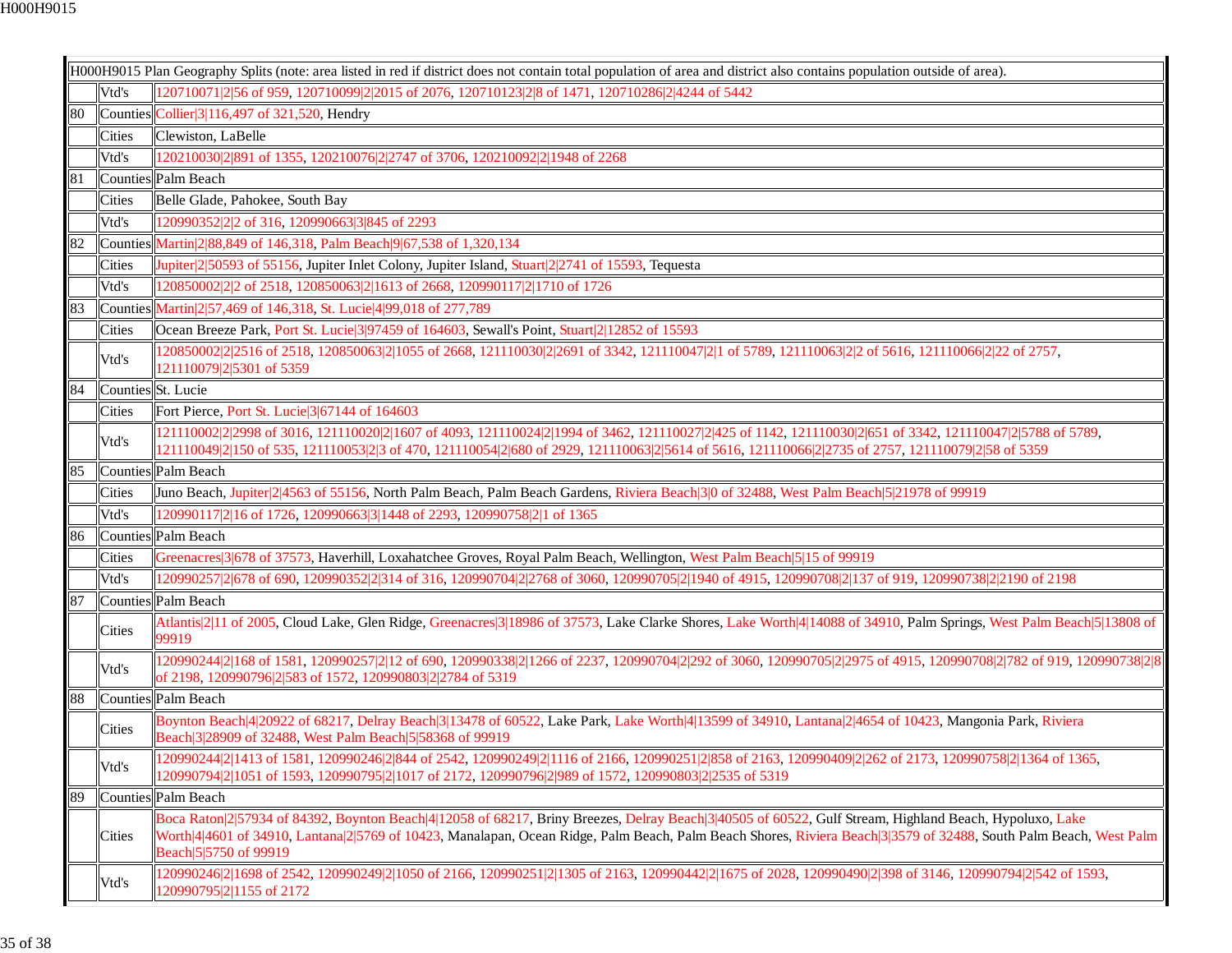|    |                    | H000H9015 Plan Geography Splits (note: area listed in red if district does not contain total population of area and district also contains population outside of area).                                                                                                                                                                              |
|----|--------------------|------------------------------------------------------------------------------------------------------------------------------------------------------------------------------------------------------------------------------------------------------------------------------------------------------------------------------------------------------|
|    | Vtd's              | 120710071 2 56 of 959, 120710099 2 2015 of 2076, 120710123 2 8 of 1471, 120710286 2 4244 of 5442                                                                                                                                                                                                                                                     |
| 80 |                    | $\vert$ Counties $\vert$ Collier $\vert$ 3 116,497 of 321,520, Hendry                                                                                                                                                                                                                                                                                |
|    | Cities             | Clewiston, LaBelle                                                                                                                                                                                                                                                                                                                                   |
|    | Vtd's              | 120210030 2 891 of 1355, 120210076 2 2747 of 3706, 120210092 2 1948 of 2268                                                                                                                                                                                                                                                                          |
| 81 |                    | Counties Palm Beach                                                                                                                                                                                                                                                                                                                                  |
|    | Cities             | Belle Glade, Pahokee, South Bay                                                                                                                                                                                                                                                                                                                      |
|    | Vtd's              | 120990352 2 2 of 316, 120990663 3 845 of 2293                                                                                                                                                                                                                                                                                                        |
| 82 |                    | Counties Martin 2 88,849 of 146,318, Palm Beach 9 67,538 of 1,320,134                                                                                                                                                                                                                                                                                |
|    | Cities             | Jupiter 2 50593 of 55156, Jupiter Inlet Colony, Jupiter Island, Stuart 2 2741 of 15593, Tequesta                                                                                                                                                                                                                                                     |
|    | Vtd's              | 120850002 2 2 of 2518, 120850063 2 1613 of 2668, 120990117 2 1710 of 1726                                                                                                                                                                                                                                                                            |
| 83 |                    | Counties Martin 2 57,469 of 146,318, St. Lucie 4 99,018 of 277,789                                                                                                                                                                                                                                                                                   |
|    | Cities             | Ocean Breeze Park, Port St. Lucie 3 397459 of 164603, Sewall's Point, Stuart 2 2 12852 of 15593                                                                                                                                                                                                                                                      |
|    | Vtd's              | 120850002 2 2516 of 2518, 120850063 2 1055 of 2668, 121110030 2 2691 of 3342, 121110047 2 1 of 5789, 121110063 2 2 of 5616, 121110066 2 22 of 2757,<br>121110079 2 5301 of 5359                                                                                                                                                                      |
| 84 | Counties St. Lucie |                                                                                                                                                                                                                                                                                                                                                      |
|    | <b>Cities</b>      | Fort Pierce, Port St. Lucie 3 67144 of 164603                                                                                                                                                                                                                                                                                                        |
|    | Vtd's              | 121110002 2 2998 of 3016, 121110020 2 1607 of 4093, 121110024 2 1994 of 3462, 121110027 2 425 of 1142, 121110030 2 651 of 3342, 121110047 2 5788 of 5789,<br>121110049 2 150 of 535, 121110053 2 3 of 470, 121110054 2 680 of 2929, 121110063 2 5614 of 5616, 121110066 2 2735 of 2757, 121110079 2 58 of 5359                                       |
| 85 |                    | Counties Palm Beach                                                                                                                                                                                                                                                                                                                                  |
|    | <b>Cities</b>      | Juno Beach, Jupiter 2 4563 of 55156, North Palm Beach, Palm Beach Gardens, Riviera Beach 3 0 of 32488, West Palm Beach 5 21978 of 99919                                                                                                                                                                                                              |
|    | Vtd's              | 120990117 2 16 of 1726, 120990663 3 1448 of 2293, 120990758 2 1 of 1365                                                                                                                                                                                                                                                                              |
| 86 |                    | Counties Palm Beach                                                                                                                                                                                                                                                                                                                                  |
|    | Cities             | Greenacres 3 678 of 37573, Haverhill, Loxahatchee Groves, Royal Palm Beach, Wellington, West Palm Beach 5 15 of 99919                                                                                                                                                                                                                                |
|    | Vtd's              | 120990257 2 678 of 690, 120990352 2 314 of 316, 120990704 2 2768 of 3060, 120990705 2 1940 of 4915, 120990708 2 137 of 919, 120990738 2 2190 of 2198                                                                                                                                                                                                 |
| 87 |                    | Counties Palm Beach                                                                                                                                                                                                                                                                                                                                  |
|    | Cities             | Atlantis 2 11 of 2005, Cloud Lake, Glen Ridge, Greenacres 3 18986 of 37573, Lake Clarke Shores, Lake Worth 4 14088 of 34910, Palm Springs, West Palm Beach 5 13808 of<br>99919                                                                                                                                                                       |
|    | Vtd's              | 120990244 2 168 of 1581, 120990257 2 12 of 690, 120990338 2 1266 of 2237, 120990704 2 292 of 3060, 120990705 2 2975 of 4915, 120990708 2 782 of 919, 120990738 2 8<br>of 2198, 120990796 2 583 of 1572, 120990803 2 2784 of 5319                                                                                                                     |
| 88 |                    | Counties Palm Beach                                                                                                                                                                                                                                                                                                                                  |
|    | <b>Cities</b>      | Boynton Beach 4 20922 of 68217, Delray Beach 3 13478 of 60522, Lake Park, Lake Worth 4 13599 of 34910, Lantana 2 4654 of 10423, Mangonia Park, Riviera<br>Beach 3 28909 of 32488, West Palm Beach 5 58368 of 99919                                                                                                                                   |
|    | Vtd's              | [120990244]2]1413 of 1581, 120990246[2]844 of 2542, 120990249[2]1116 of 2166, 120990251]2]858 of 2163, 120990409[2]262 of 2173, 120990758[2]1364 of 1365,<br>120990794 2 1051 of 1593, 120990795 2 1017 of 2172, 120990796 2 989 of 1572, 120990803 2 2535 of 5319                                                                                   |
| 89 |                    | Counties Palm Beach                                                                                                                                                                                                                                                                                                                                  |
|    | Cities             | Boca Raton 2 57934 of 84392, Boynton Beach 4 12058 of 68217, Briny Breezes, Delray Beach 3 40505 of 60522, Gulf Stream, Highland Beach, Hypoluxo, Lake<br>Worth 4 4601 of 34910, Lantana 2 5769 of 10423, Manalapan, Ocean Ridge, Palm Beach, Palm Beach Shores, Riviera Beach 3 3579 of 32488, South Palm Beach, West Palm<br>Beach 5 5750 of 99919 |
|    | Vtd's              | 120990246 2 1698 of 2542, 120990249 2 1050 of 2166, 120990251 2 1305 of 2163, 120990442 2 1675 of 2028, 120990490 2 398 of 3146, 120990794 2 542 of 1593,<br>120990795 2 1155 of 2172                                                                                                                                                                |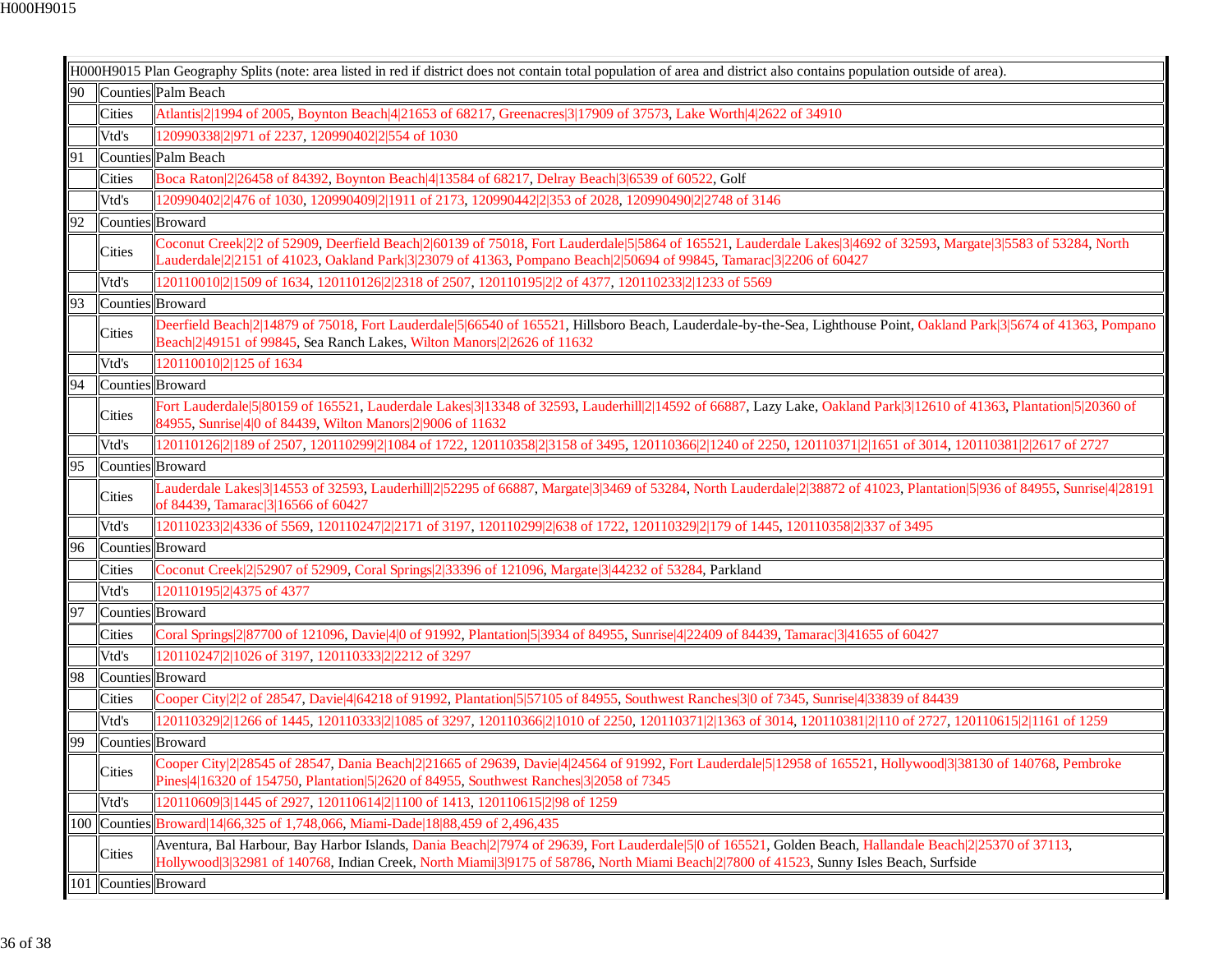$\blacksquare$ 

|    |                      | H000H9015 Plan Geography Splits (note: area listed in red if district does not contain total population of area and district also contains population outside of area).                                                                                                                           |
|----|----------------------|---------------------------------------------------------------------------------------------------------------------------------------------------------------------------------------------------------------------------------------------------------------------------------------------------|
| 90 |                      | Counties Palm Beach                                                                                                                                                                                                                                                                               |
|    | Cities               | Atlantis 2 1994 of 2005, Boynton Beach 4 21653 of 68217, Greenacres 3 17909 of 37573, Lake Worth 4 2622 of 34910                                                                                                                                                                                  |
|    | Vtd's                | 120990338 2 971 of 2237, 120990402 2 554 of 1030                                                                                                                                                                                                                                                  |
| 91 |                      | Counties Palm Beach                                                                                                                                                                                                                                                                               |
|    | Cities               | Boca Raton 2 26458 of 84392, Boynton Beach 4 13584 of 68217, Delray Beach 3 6539 of 60522, Golf                                                                                                                                                                                                   |
|    | Vtd's                | 120990402 2 476 of 1030, 120990409 2 1911 of 2173, 120990442 2 353 of 2028, 120990490 2 2748 of 3146                                                                                                                                                                                              |
| 92 | Counties Broward     |                                                                                                                                                                                                                                                                                                   |
|    | Cities               | Coconut Creek 2 2 of 52909, Deerfield Beach 2 60139 of 75018, Fort Lauderdale 5 5864 of 165521, Lauderdale Lakes 3 4692 of 32593, Margate 3 5583 of 53284, North<br>Lauderdale[2]2151 of 41023, Oakland Park[3]23079 of 41363, Pompano Beach[2]50694 of 99845, Tamarac[3]2206 of 60427            |
|    | Vtd's                | 120110010 2 1509 of 1634, 120110126 2 2318 of 2507, 120110195 2 2 of 4377, 120110233 2 1233 of 5569                                                                                                                                                                                               |
| 93 | Counties Broward     |                                                                                                                                                                                                                                                                                                   |
|    | Cities               | Deerfield Beach 2 14879 of 75018, Fort Lauderdale 5 66540 of 165521, Hillsboro Beach, Lauderdale-by-the-Sea, Lighthouse Point, Oakland Park 3 5674 of 41363, Pompano<br>Beach <sup>[2]</sup> [49151 of 99845, Sea Ranch Lakes, Wilton Manors <sup>[2]</sup> [2626 of 11632]                       |
|    | Vtd's                | 120110010 2 125 of 1634                                                                                                                                                                                                                                                                           |
| 94 | Counties Broward     |                                                                                                                                                                                                                                                                                                   |
|    | Cities               | Fort Lauderdale 5 80159 of 165521, Lauderdale Lakes 3 13348 of 32593, Lauderhill 2 14592 of 66887, Lazy Lake, Oakland Park 3 12610 of 41363, Plantation 5 20360 of<br>84955, Sunrise 4 0 of 84439, Wilton Manors 2 9006 of 11632                                                                  |
|    | Vtd's                | 120110126 2 189 of 2507, 120110299 2 1084 of 1722, 120110358 2 3158 of 3495, 120110366 2 1240 of 2250, 120110371 2 1651 of 3014, 120110381 2 2617 of 2727                                                                                                                                         |
| 95 | Counties Broward     |                                                                                                                                                                                                                                                                                                   |
|    | Cities               | Lauderdale Lakes 3 14553 of 32593, Lauderhill 2 52295 of 66887, Margate 3 3469 of 53284, North Lauderdale 2 38872 of 41023, Plantation 5 936 of 84955, Sunrise 4 28191<br>of 84439, Tamarac 3 16566 of 60427                                                                                      |
|    | Vtd's                | 120110233 2 4336 of 5569, 120110247 2 2171 of 3197, 120110299 2 638 of 1722, 120110329 2 179 of 1445, 120110358 2 337 of 3495                                                                                                                                                                     |
| 96 | Counties Broward     |                                                                                                                                                                                                                                                                                                   |
|    | Cities               | Coconut Creek 2 52907 of 52909, Coral Springs 2 33396 of 121096, Margate 3 44232 of 53284, Parkland                                                                                                                                                                                               |
|    | Vtd's                | 120110195 2 4375 of 4377                                                                                                                                                                                                                                                                          |
| 97 | Counties Broward     |                                                                                                                                                                                                                                                                                                   |
|    | Cities               | Coral Springs 2 87700 of 121096, Davie 4 0 of 91992, Plantation 5 3934 of 84955, Sunrise 4 22409 of 84439, Tamarac 3 41655 of 60427                                                                                                                                                               |
|    | Vtd's                | 120110247 2 1026 of 3197, 120110333 2 2212 of 3297                                                                                                                                                                                                                                                |
| 98 | Counties Broward     |                                                                                                                                                                                                                                                                                                   |
|    | Cities               | Cooper City 2 2 of 28547, Davie 4 64218 of 91992, Plantation 5 57105 of 84955, Southwest Ranches 3 0 of 7345, Sunrise 4 33839 of 84439                                                                                                                                                            |
|    | Vtd's                | 120110329 2 1266 of 1445, 120110333 2 1085 of 3297, 120110366 2 1010 of 2250, 120110371 2 1363 of 3014, 120110381 2 110 of 2727, 120110615 2 1161 of 1259                                                                                                                                         |
| 99 | Counties Broward     |                                                                                                                                                                                                                                                                                                   |
|    | <b>Cities</b>        | Cooper City 2 28545 of 28547, Dania Beach 2 21665 of 29639, Davie 4 24564 of 91992, Fort Lauderdale 5 12958 of 165521, Hollywood 3 38130 of 140768, Pembroke<br>Pines 4 16320 of 154750, Plantation 5 2620 of 84955, Southwest Ranches 3 2058 of 7345                                             |
|    | Vtd's                | 120110609 3 1445 of 2927, 120110614 2 1100 of 1413, 120110615 2 98 of 1259                                                                                                                                                                                                                        |
|    |                      | 100 Counties Broward 14 66, 325 of 1, 748, 066, Miami-Dade 18 88, 459 of 2, 496, 435                                                                                                                                                                                                              |
|    | Cities               | Aventura, Bal Harbour, Bay Harbor Islands, Dania Beach 2 7974 of 29639, Fort Lauderdale 5 0 of 165521, Golden Beach, Hallandale Beach 2 25370 of 37113,<br>Hollywood 3 32981 of 140768, Indian Creek, North Miami 3 9175 of 58786, North Miami Beach 2 7800 of 41523, Sunny Isles Beach, Surfside |
|    | 101 Counties Broward |                                                                                                                                                                                                                                                                                                   |
|    |                      |                                                                                                                                                                                                                                                                                                   |

ъ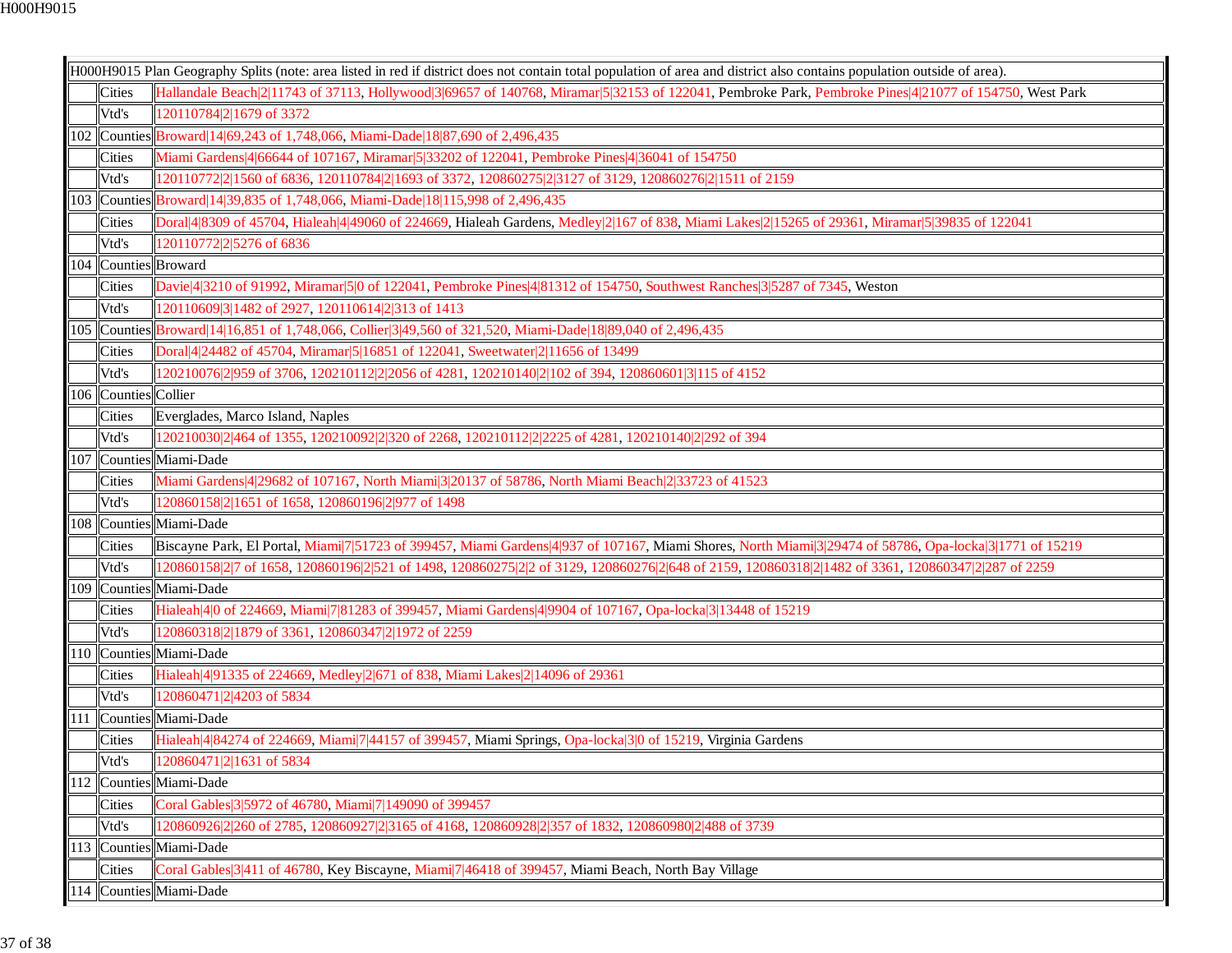| H000H9015 Plan Geography Splits (note: area listed in red if district does not contain total population of area and district also contains population outside of area). |                      |                                                                                                                                                         |  |  |
|-------------------------------------------------------------------------------------------------------------------------------------------------------------------------|----------------------|---------------------------------------------------------------------------------------------------------------------------------------------------------|--|--|
|                                                                                                                                                                         | <b>Cities</b>        | Hallandale Beach 2 11743 of 37113, Hollywood 3 69657 of 140768, Miramar 5 32153 of 122041, Pembroke Park, Pembroke Pines 4 21077 of 154750, West Park   |  |  |
|                                                                                                                                                                         | Vtd's                | 120110784 2 1679 of 3372                                                                                                                                |  |  |
|                                                                                                                                                                         |                      | 102 Counties Broward 14 69, 243 of 1, 748, 066, Miami-Dade 18 87, 690 of 2, 496, 435                                                                    |  |  |
|                                                                                                                                                                         | Cities               | Miami Gardens 4 66644 of 107167, Miramar 5 33202 of 122041, Pembroke Pines 4 36041 of 154750                                                            |  |  |
|                                                                                                                                                                         | Vtd's                | 120110772 2 1560 of 6836, 120110784 2 1693 of 3372, 120860275 2 3127 of 3129, 120860276 2 1511 of 2159                                                  |  |  |
|                                                                                                                                                                         |                      | 103 Counties Broward 14 39, 835 of 1,748, 066, Miami-Dade 18 115, 998 of 2,496, 435                                                                     |  |  |
|                                                                                                                                                                         | <b>Cities</b>        | Doral 4 8309 of 45704, Hialeah 4 49060 of 224669, Hialeah Gardens, Medley 2 167 of 838, Miami Lakes 2 15265 of 29361, Miramar 5 39835 of 122041         |  |  |
|                                                                                                                                                                         | Vtd's                | 120110772 2 5276 of 6836                                                                                                                                |  |  |
|                                                                                                                                                                         |                      | 104 Counties Broward                                                                                                                                    |  |  |
|                                                                                                                                                                         | Cities               | Davie 4 3210 of 91992, Miramar 5 0 of 122041, Pembroke Pines 4 81312 of 154750, Southwest Ranches 3 5287 of 7345, Weston                                |  |  |
|                                                                                                                                                                         | Vtd's                | 120110609 3 1482 of 2927, 120110614 2 313 of 1413                                                                                                       |  |  |
|                                                                                                                                                                         |                      | 105 Counties Broward 14 16,851 of 1,748,066, Collier 3 49,560 of 321,520, Miami-Dade 18 89,040 of 2,496,435                                             |  |  |
|                                                                                                                                                                         | Cities               | Doral 4 24482 of 45704, Miramar 5 16851 of 122041, Sweetwater 2 11656 of 13499                                                                          |  |  |
|                                                                                                                                                                         | Vtd's                | 120210076 2 959 of 3706, 120210112 2 2056 of 4281, 120210140 2 102 of 394, 120860601 3 115 of 4152                                                      |  |  |
|                                                                                                                                                                         | 106 Counties Collier |                                                                                                                                                         |  |  |
|                                                                                                                                                                         | Cities               | Everglades, Marco Island, Naples                                                                                                                        |  |  |
|                                                                                                                                                                         | Vtd's                | 120210030 2 464 of 1355, 120210092 2 320 of 2268, 120210112 2 2225 of 4281, 120210140 2 292 of 394                                                      |  |  |
| 107                                                                                                                                                                     |                      | Counties Miami-Dade                                                                                                                                     |  |  |
|                                                                                                                                                                         | <b>Cities</b>        | Miami Gardens 4 29682 of 107167, North Miami 3 20137 of 58786, North Miami Beach 2 33723 of 41523                                                       |  |  |
|                                                                                                                                                                         | Vtd's                | 20860158 2 1651 of 1658, 120860196 2 977 of 1498                                                                                                        |  |  |
|                                                                                                                                                                         |                      | 108 Counties Miami-Dade                                                                                                                                 |  |  |
|                                                                                                                                                                         | Cities               | Biscayne Park, El Portal, Miami 7 51723 of 399457, Miami Gardens 4 937 of 107167, Miami Shores, North Miami 3 29474 of 58786, Opa-locka 3 1771 of 15219 |  |  |
|                                                                                                                                                                         | Vtd's                | l20860158 2 7 of 1658, 120860196 2 521 of 1498, 120860275 2 2 of 3129, 120860276 2 648 of 2159, 120860318 2 1482 of 3361, 120860347 2 287 of 2259       |  |  |
|                                                                                                                                                                         |                      | 109 Counties Miami-Dade                                                                                                                                 |  |  |
|                                                                                                                                                                         | <b>Cities</b>        | Hialeah 4 0 of 224669, Miami 7 81283 of 399457, Miami Gardens 4 9904 of 107167, Opa-locka 3 13448 of 15219                                              |  |  |
|                                                                                                                                                                         | Vtd's                | 120860318 2 1879 of 3361, 120860347 2 1972 of 2259                                                                                                      |  |  |
|                                                                                                                                                                         |                      | 110 Counties Miami-Dade                                                                                                                                 |  |  |
|                                                                                                                                                                         | <b>Cities</b>        | Hialeah 4 91335 of 224669, Medley 2 671 of 838, Miami Lakes 2 14096 of 29361                                                                            |  |  |
|                                                                                                                                                                         | Vtd's                | 120860471 2 4203 of 5834                                                                                                                                |  |  |
|                                                                                                                                                                         |                      | 111   Counties   Miami-Dade                                                                                                                             |  |  |
|                                                                                                                                                                         | Cities               | Hialeah 4 84274 of 224669, Miami 7 44157 of 399457, Miami Springs, Opa-locka 3 0 of 15219, Virginia Gardens                                             |  |  |
|                                                                                                                                                                         | Vtd's                | 120860471 2 1631 of 5834                                                                                                                                |  |  |
|                                                                                                                                                                         | 112 Counties         | Miami-Dade                                                                                                                                              |  |  |
|                                                                                                                                                                         | <b>Cities</b>        | Coral Gables 3 5972 of 46780, Miami 7 149090 of 399457                                                                                                  |  |  |
|                                                                                                                                                                         | Vtd's                | 120860926 2 260 of 2785, 120860927 2 3165 of 4168, 120860928 2 357 of 1832, 120860980 2 488 of 3739                                                     |  |  |
| 113                                                                                                                                                                     | Counties             | Miami-Dade                                                                                                                                              |  |  |
|                                                                                                                                                                         | <b>Cities</b>        | Coral Gables 3 411 of 46780, Key Biscayne, Miami 7 46418 of 399457, Miami Beach, North Bay Village                                                      |  |  |
|                                                                                                                                                                         |                      | 114 Counties Miami-Dade                                                                                                                                 |  |  |